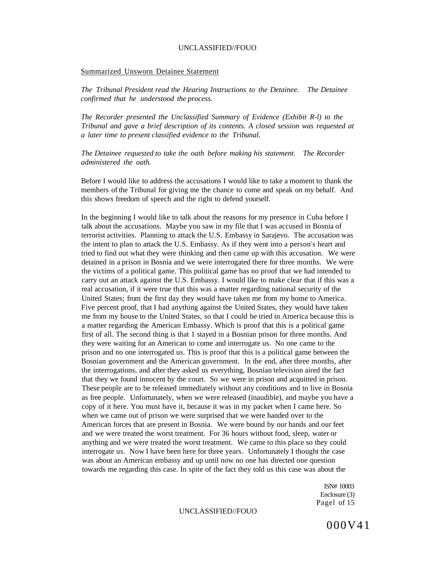#### Summarized Unsworn Detainee Statement

*The Tribunal President read the Hearing Instructions to the Detainee. The Detainee confirmed that he understood the process.* 

*The Recorder presented the Unclassified Summary of Evidence (Exhibit R-l) to the Tribunal and gave a brief description of its contents. A closed session was requested at a later time to present classified evidence to the Tribunal.* 

*The Detainee requested to take the oath before making his statement. The Recorder administered the oath.* 

Before I would like to address the accusations I would like to take a moment to thank the members of the Tribunal for giving me the chance to come and speak on my behalf. And this shows freedom of speech and the right to defend yourself.

In the beginning I would like to talk about the reasons for my presence in Cuba before I talk about the accusations. Maybe you saw in my file that I was accused in Bosnia of terrorist activities. Planning to attack the U.S. Embassy in Sarajevo. The accusation was the intent to plan to attack the U.S. Embassy. As if they went into a person's heart and tried to find out what they were thinking and then came up with this accusation. We were detained in a prison in Bosnia and we were interrogated there for three months. We were the victims of a political game. This political game has no proof that we had intended to carry out an attack against the U.S. Embassy. I would like to make clear that if this was a real accusation, if it were true that this was a matter regarding national security of the United States; from the first day they would have taken me from my home to America. Five percent proof, that I had anything against the United States, they would have taken me from my house to the United States, so that I could be tried in America because this is a matter regarding the American Embassy. Which is proof that this is a political game first of all. The second thing is that 1 stayed in a Bosnian prison for three months. And they were waiting for an American to come and interrogate us. No one came to the prison and no one interrogated us. This is proof that this is a political game between the Bosnian government and the American government. In the end, after three months, after the interrogations, and after they asked us everything, Bosnian television aired the fact that they we found innocent by the court. So we were in prison and acquitted in prison. These people are to be released immediately without any conditions and to live in Bosnia as free people. Unfortunately, when we were released (inaudible), and maybe you have a copy of it here. You must have it, because it was in my packet when I came here. So when we came out of prison we were surprised that we were handed over to the American forces that are present in Bosnia. We were bound by our hands and our feet and we were treated the worst treatment. For 36 hours without food, sleep, water or anything and we were treated the worst treatment. We came to this place so they could interrogate us. Now I have been here for three years. Unfortunately I thought the case was about an American embassy and up until now no one has directed one question towards me regarding this case. In spite of the fact they told us this case was about the

> ISN# 10003 Enclosure (3) Pagel of 15

000V41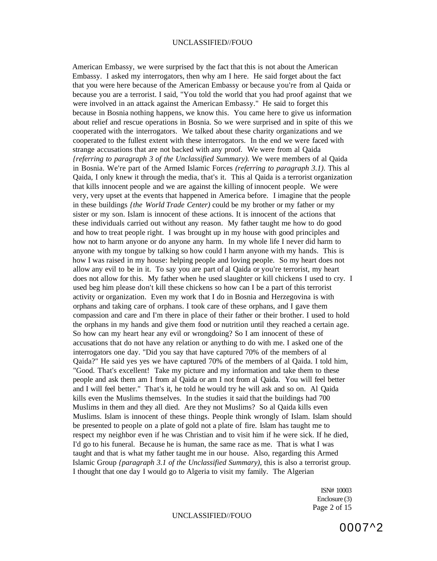American Embassy, we were surprised by the fact that this is not about the American Embassy. I asked my interrogators, then why am I here. He said forget about the fact that you were here because of the American Embassy or because you're from al Qaida or because you are a terrorist. I said, "You told the world that you had proof against that we were involved in an attack against the American Embassy." He said to forget this because in Bosnia nothing happens, we know this. You came here to give us information about relief and rescue operations in Bosnia. So we were surprised and in spite of this we cooperated with the interrogators. We talked about these charity organizations and we cooperated to the fullest extent with these interrogators. In the end we were faced with strange accusations that are not backed with any proof. We were from al Qaida *{referring to paragraph 3 of the Unclassified Summary).* We were members of al Qaida in Bosnia. We're part of the Armed Islamic Forces *(referring to paragraph 3.1).* This al Qaida, I only knew it through the media, that's it. This al Qaida is a terrorist organization that kills innocent people and we are against the killing of innocent people. We were very, very upset at the events that happened in America before. I imagine that the people in these buildings *{the World Trade Center)* could be my brother or my father or my sister or my son. Islam is innocent of these actions. It is innocent of the actions that these individuals carried out without any reason. My father taught me how to do good and how to treat people right. I was brought up in my house with good principles and how not to harm anyone or do anyone any harm. In my whole life I never did harm to anyone with my tongue by talking so how could I harm anyone with my hands. This is how I was raised in my house: helping people and loving people. So my heart does not allow any evil to be in it. To say you are part of al Qaida or you're terrorist, my heart does not allow for this. My father when he used slaughter or kill chickens I used to cry. I used beg him please don't kill these chickens so how can I be a part of this terrorist activity or organization. Even my work that I do in Bosnia and Herzegovina is with orphans and taking care of orphans. I took care of these orphans, and I gave them compassion and care and I'm there in place of their father or their brother. I used to hold the orphans in my hands and give them food or nutrition until they reached a certain age. So how can my heart hear any evil or wrongdoing? So I am innocent of these of accusations that do not have any relation or anything to do with me. I asked one of the interrogators one day. "Did you say that have captured 70% of the members of al Qaida?" He said yes yes we have captured 70% of the members of al Qaida. I told him, "Good. That's excellent! Take my picture and my information and take them to these people and ask them am I from al Qaida or am I not from al Qaida. You will feel better and I will feel better." That's it, he told he would try he will ask and so on. Al Qaida kills even the Muslims themselves. In the studies it said that the buildings had 700 Muslims in them and they all died. Are they not Muslims? So al Qaida kills even Muslims. Islam is innocent of these things. People think wrongly of Islam. Islam should be presented to people on a plate of gold not a plate of fire. Islam has taught me to respect my neighbor even if he was Christian and to visit him if he were sick. If he died, I'd go to his funeral. Because he is human, the same race as me. That is what I was taught and that is what my father taught me in our house. Also, regarding this Armed Islamic Group *{paragraph 3.1 of the Unclassified Summary),* this is also a terrorist group. I thought that one day I would go to Algeria to visit my family. The Algerian

> ISN# 10003 Enclosure (3) Page 2 of 15

0007^2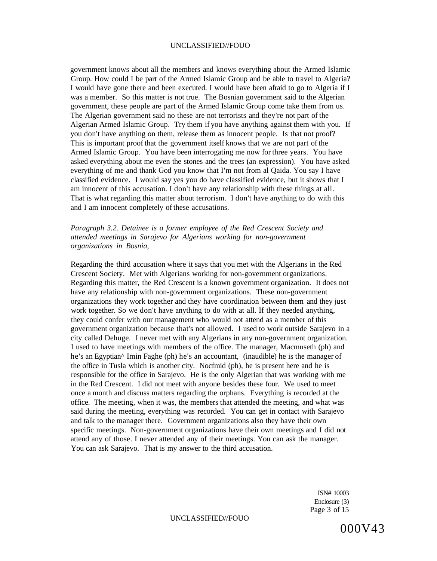government knows about all the members and knows everything about the Armed Islamic Group. How could I be part of the Armed Islamic Group and be able to travel to Algeria? I would have gone there and been executed. I would have been afraid to go to Algeria if I was a member. So this matter is not true. The Bosnian government said to the Algerian government, these people are part of the Armed Islamic Group come take them from us. The Algerian government said no these are not terrorists and they're not part of the Algerian Armed Islamic Group. Try them if you have anything against them with you. If you don't have anything on them, release them as innocent people. Is that not proof? This is important proof that the government itself knows that we are not part of the Armed Islamic Group. You have been interrogating me now for three years. You have asked everything about me even the stones and the trees (an expression). You have asked everything of me and thank God you know that I'm not from al Qaida. You say I have classified evidence. I would say yes you do have classified evidence, but it shows that I am innocent of this accusation. I don't have any relationship with these things at all. That is what regarding this matter about terrorism. I don't have anything to do with this and I am innocent completely of these accusations.

*Paragraph 3.2. Detainee is a former employee of the Red Crescent Society and attended meetings in Sarajevo for Algerians working for non-government organizations in Bosnia,* 

Regarding the third accusation where it says that you met with the Algerians in the Red Crescent Society. Met with Algerians working for non-government organizations. Regarding this matter, the Red Crescent is a known government organization. It does not have any relationship with non-government organizations. These non-government organizations they work together and they have coordination between them and they just work together. So we don't have anything to do with at all. If they needed anything, they could confer with our management who would not attend as a member of this government organization because that's not allowed. I used to work outside Sarajevo in a city called Dehuge. I never met with any Algerians in any non-government organization. I used to have meetings with members of the office. The manager, Macmuseth (ph) and he's an Egyptian^ Imin Faghe (ph) he's an accountant, (inaudible) he is the manager of the office in Tusla which is another city. Nocfmid (ph), he is present here and he is responsible for the office in Sarajevo. He is the only Algerian that was working with me in the Red Crescent. I did not meet with anyone besides these four. We used to meet once a month and discuss matters regarding the orphans. Everything is recorded at the office. The meeting, when it was, the members that attended the meeting, and what was said during the meeting, everything was recorded. You can get in contact with Sarajevo and talk to the manager there. Government organizations also they have their own specific meetings. Non-government organizations have their own meetings and I did not attend any of those. I never attended any of their meetings. You can ask the manager. You can ask Sarajevo. That is my answer to the third accusation.

> ISN# 10003 Enclosure (3) Page 3 of 15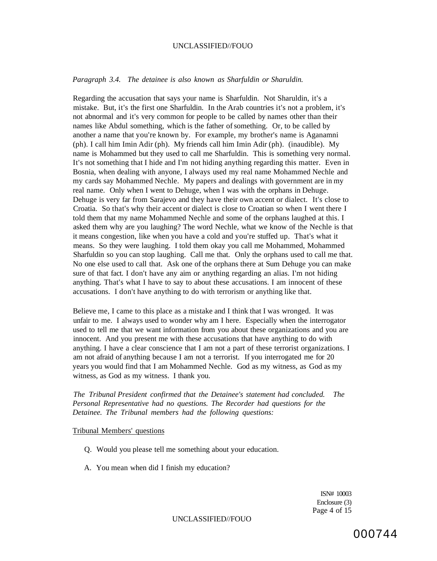### *Paragraph 3.4. The detainee is also known as Sharfuldin or Sharuldin.*

Regarding the accusation that says your name is Sharfuldin. Not Sharuldin, it's a mistake. But, it's the first one Sharfuldin. In the Arab countries it's not a problem, it's not abnormal and it's very common for people to be called by names other than their names like Abdul something, which is the father of something. Or, to be called by another a name that you're known by. For example, my brother's name is Aganamni (ph). I call him Imin Adir (ph). My friends call him Imin Adir (ph). (inaudible). My name is Mohammed but they used to call me Sharfuldin. This is something very normal. It's not something that I hide and I'm not hiding anything regarding this matter. Even in Bosnia, when dealing with anyone, I always used my real name Mohammed Nechle and my cards say Mohammed Nechle. My papers and dealings with government are in my real name. Only when I went to Dehuge, when I was with the orphans in Dehuge. Dehuge is very far from Sarajevo and they have their own accent or dialect. It's close to Croatia. So that's why their accent or dialect is close to Croatian so when I went there I told them that my name Mohammed Nechle and some of the orphans laughed at this. I asked them why are you laughing? The word Nechle, what we know of the Nechle is that it means congestion, like when you have a cold and you're stuffed up. That's what it means. So they were laughing. I told them okay you call me Mohammed, Mohammed Sharfuldin so you can stop laughing. Call me that. Only the orphans used to call me that. No one else used to call that. Ask one of the orphans there at Sum Dehuge you can make sure of that fact. I don't have any aim or anything regarding an alias. I'm not hiding anything. That's what I have to say to about these accusations. I am innocent of these accusations. I don't have anything to do with terrorism or anything like that.

Believe me, I came to this place as a mistake and I think that I was wronged. It was unfair to me. I always used to wonder why am I here. Especially when the interrogator used to tell me that we want information from you about these organizations and you are innocent. And you present me with these accusations that have anything to do with anything. I have a clear conscience that I am not a part of these terrorist organizations. I am not afraid of anything because I am not a terrorist. If you interrogated me for 20 years you would find that I am Mohammed Nechle. God as my witness, as God as my witness, as God as my witness. I thank you.

*The Tribunal President confirmed that the Detainee's statement had concluded. The Personal Representative had no questions. The Recorder had questions for the Detainee. The Tribunal members had the following questions:* 

## Tribunal Members' questions

- Q. Would you please tell me something about your education.
- A. You mean when did I finish my education?

ISN# 10003 Enclosure (3) Page 4 of 15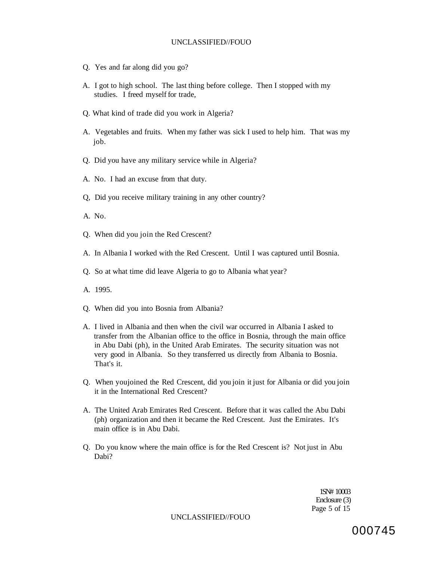- Q. Yes and far along did you go?
- A. I got to high school. The last thing before college. Then I stopped with my studies. I freed myself for trade,
- Q. What kind of trade did you work in Algeria?
- A. Vegetables and fruits. When my father was sick I used to help him. That was my job.
- Q. Did you have any military service while in Algeria?
- A. No. I had an excuse from that duty.
- Q, Did you receive military training in any other country?
- A. No.
- Q. When did you join the Red Crescent?
- A. In Albania I worked with the Red Crescent. Until I was captured until Bosnia.
- Q. So at what time did leave Algeria to go to Albania what year?
- A. 1995.
- Q. When did you into Bosnia from Albania?
- A. I lived in Albania and then when the civil war occurred in Albania I asked to transfer from the Albanian office to the office in Bosnia, through the main office in Abu Dabi (ph), in the United Arab Emirates. The security situation was not very good in Albania. So they transferred us directly from Albania to Bosnia. That's it.
- Q. When youjoined the Red Crescent, did you join it just for Albania or did you join it in the International Red Crescent?
- A. The United Arab Emirates Red Crescent. Before that it was called the Abu Dabi (ph) organization and then it became the Red Crescent. Just the Emirates. It's main office is in Abu Dabi.
- Q. Do you know where the main office is for the Red Crescent is? Not just in Abu Dabi?

1SN# 10003 Enclosure (3) Page 5 of 15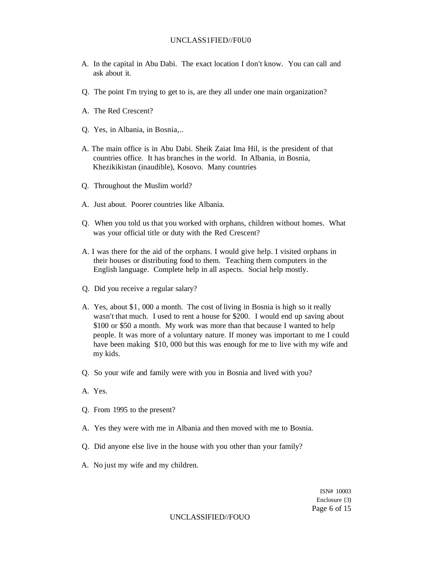### UNCLASS1FIED//F0U0

- A. In the capital in Abu Dabi. The exact location I don't know. You can call and ask about it.
- Q. The point I'm trying to get to is, are they all under one main organization?
- A. The Red Crescent?
- Q. Yes, in Albania, in Bosnia,..
- A. The main office is in Abu Dabi. Sheik Zaiat Ima Hil, is the president of that countries office. It has branches in the world. In Albania, in Bosnia, Khezikikistan (inaudible), Kosovo. Many countries
- Q. Throughout the Muslim world?
- A. Just about. Poorer countries like Albania.
- Q. When you told us that you worked with orphans, children without homes. What was your official title or duty with the Red Crescent?
- A. I was there for the aid of the orphans. I would give help. I visited orphans in their houses or distributing food to them. Teaching them computers in the English language. Complete help in all aspects. Social help mostly.
- Q. Did you receive a regular salary?
- A. Yes, about \$1, 000 a month. The cost of living in Bosnia is high so it really wasn't that much. I used to rent a house for \$200. I would end up saving about \$100 or \$50 a month. My work was more than that because I wanted to help people. It was more of a voluntary nature. If money was important to me I could have been making \$10, 000 but this was enough for me to live with my wife and my kids.
- Q. So your wife and family were with you in Bosnia and lived with you?
- A. Yes.
- Q. From 1995 to the present?
- A. Yes they were with me in Albania and then moved with me to Bosnia.
- Q. Did anyone else live in the house with you other than your family?
- A. No just my wife and my children.

ISN# 10003 Enclosure {3) Page 6 of 15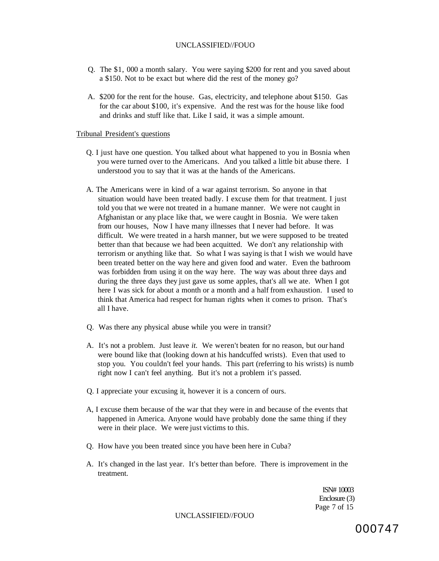- Q. The \$1, 000 a month salary. You were saying \$200 for rent and you saved about a \$150. Not to be exact but where did the rest of the money go?
- A. \$200 for the rent for the house. Gas, electricity, and telephone about \$150. Gas for the car about \$100, it's expensive. And the rest was for the house like food and drinks and stuff like that. Like I said, it was a simple amount.

## Tribunal President's questions

- Q. I just have one question. You talked about what happened to you in Bosnia when you were turned over to the Americans. And you talked a little bit abuse there. I understood you to say that it was at the hands of the Americans.
- A. The Americans were in kind of a war against terrorism. So anyone in that situation would have been treated badly. I excuse them for that treatment. I just told you that we were not treated in a humane manner. We were not caught in Afghanistan or any place like that, we were caught in Bosnia. We were taken from our houses, Now I have many illnesses that I never had before. It was difficult. We were treated in a harsh manner, but we were supposed to be treated better than that because we had been acquitted. We don't any relationship with terrorism or anything like that. So what I was saying is that I wish we would have been treated better on the way here and given food and water. Even the bathroom was forbidden from using it on the way here. The way was about three days and during the three days they just gave us some apples, that's all we ate. When I got here I was sick for about a month or a month and a half from exhaustion. I used to think that America had respect for human rights when it comes to prison. That's all I have.
- Q. Was there any physical abuse while you were in transit?
- A. It's not a problem. Just leave *it.* We weren't beaten for no reason, but our hand were bound like that (looking down at his handcuffed wrists). Even that used to stop you. You couldn't feel your hands. This part (referring to his wrists) is numb right now I can't feel anything. But it's not a problem it's passed.
- Q. I appreciate your excusing it, however it is a concern of ours.
- A, I excuse them because of the war that they were in and because of the events that happened in America. Anyone would have probably done the same thing if they were in their place. We were just victims to this.
- Q. How have you been treated since you have been here in Cuba?
- A. It's changed in the last year. It's better than before. There is improvement in the treatment.

ISN# 10003 Enclosure (3) Page 7 of 15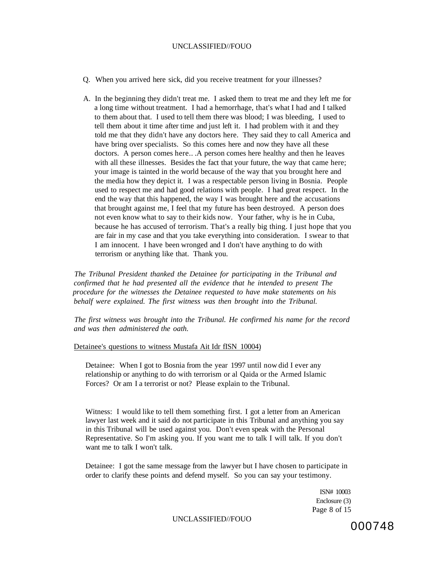- Q. When you arrived here sick, did you receive treatment for your illnesses?
- A. In the beginning they didn't treat me. I asked them to treat me and they left me for a long time without treatment. I had a hemorrhage, that's what I had and I talked to them about that. I used to tell them there was blood; I was bleeding, I used to tell them about it time after time and just left it. I had problem with it and they told me that they didn't have any doctors here. They said they to call America and have bring over specialists. So this comes here and now they have all these doctors. A person comes here.. .A person comes here healthy and then he leaves with all these illnesses. Besides the fact that your future, the way that came here; your image is tainted in the world because of the way that you brought here and the media how they depict it. I was a respectable person living in Bosnia. People used to respect me and had good relations with people. I had great respect. In the end the way that this happened, the way I was brought here and the accusations that brought against me, I feel that my future has been destroyed. A person does not even know what to say to their kids now. Your father, why is he in Cuba, because he has accused of terrorism. That's a really big thing. I just hope that you are fair in my case and that you take everything into consideration. I swear to that I am innocent. I have been wronged and I don't have anything to do with terrorism or anything like that. Thank you.

*The Tribunal President thanked the Detainee for participating in the Tribunal and confirmed that he had presented all the evidence that he intended to present The procedure for the witnesses the Detainee requested to have make statements on his behalf were explained. The first witness was then brought into the Tribunal.* 

*The first witness was brought into the Tribunal. He confirmed his name for the record and was then administered the oath.* 

### Detainee's questions to witness Mustafa Ait Idr fISN 10004)

Detainee: When I got to Bosnia from the year 1997 until now did I ever any relationship or anything to do with terrorism or al Qaida or the Armed Islamic Forces? Or am I a terrorist or not? Please explain to the Tribunal.

Witness: I would like to tell them something first. I got a letter from an American lawyer last week and it said do not participate in this Tribunal and anything you say in this Tribunal will be used against you. Don't even speak with the Personal Representative. So I'm asking you. If you want me to talk I will talk. If you don't want me to talk I won't talk.

Detainee: I got the same message from the lawyer but I have chosen to participate in order to clarify these points and defend myself. So you can say your testimony.

> ISN# 10003 Enclosure (3) Page 8 of 15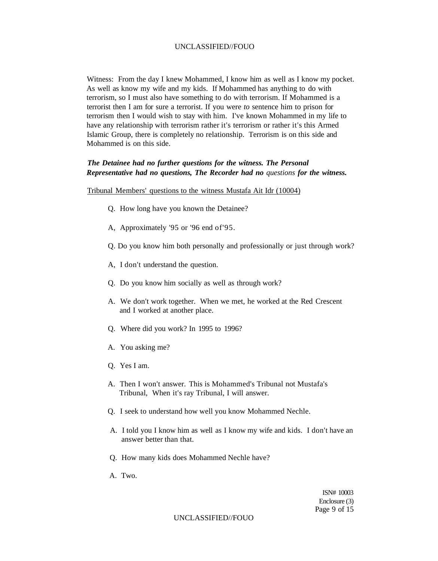Witness: From the day I knew Mohammed, I know him as well as I know my pocket. As well as know my wife and my kids. If Mohammed has anything to do with terrorism, so I must also have something to do with terrorism. If Mohammed is a terrorist then I am for sure a terrorist. If you were *to* sentence him to prison for terrorism then I would wish to stay with him. I've known Mohammed in my life to have any relationship with terrorism rather it's terrorism or rather it's this Armed Islamic Group, there is completely no relationship. Terrorism is on this side and Mohammed is on this side.

# *The Detainee had no further questions for the witness. The Personal Representative had no questions, The Recorder had no questions for the witness.*

#### Tribunal Members' questions to the witness Mustafa Ait Idr (10004)

- Q. How long have you known the Detainee?
- A, Approximately '95 or '96 end of'95.
- Q. Do you know him both personally and professionally or just through work?
- A, I don't understand the question.
- Q. Do you know him socially as well as through work?
- A. We don't work together. When we met, he worked at the Red Crescent and I worked at another place.
- Q. Where did you work? In 1995 to 1996?
- A. You asking me?
- Q. Yes I am.
- A. Then I won't answer. This is Mohammed's Tribunal not Mustafa's Tribunal, When it's ray Tribunal, I will answer.
- Q. I seek to understand how well you know Mohammed Nechle.
- A. I told you I know him as well as I know my wife and kids. I don't have an answer better than that.
- Q. How many kids does Mohammed Nechle have?
- A. Two.

ISN# 10003 Enclosure (3) Page 9 of 15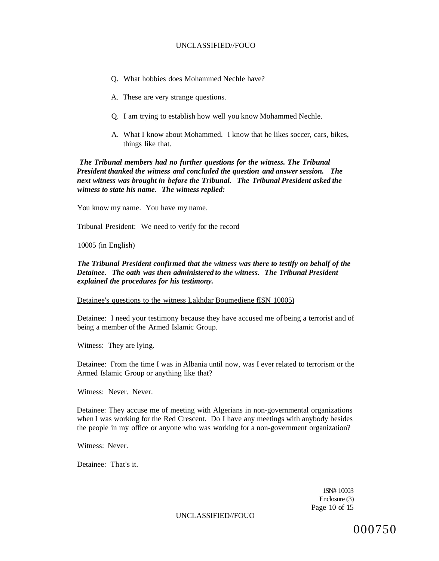- Q. What hobbies does Mohammed Nechle have?
- A. These are very strange questions.
- Q. I am trying to establish how well you know Mohammed Nechle.
- A. What I know about Mohammed. I know that he likes soccer, cars, bikes, things like that.

*The Tribunal members had no further questions for the witness. The Tribunal President thanked the witness and concluded the question and answer session. The next witness was brought in before the Tribunal. The Tribunal President asked the witness to state his name. The witness replied:* 

You know my name. You have my name.

Tribunal President: We need to verify for the record

10005 (in English)

# *The Tribunal President confirmed that the witness was there to testify on behalf of the Detainee. The oath was then administered to the witness. The Tribunal President explained the procedures for his testimony.*

Detainee's questions to the witness Lakhdar Boumediene fISN 10005)

Detainee: I need your testimony because they have accused me of being a terrorist and of being a member of the Armed Islamic Group.

Witness: They are lying.

Detainee: From the time I was in Albania until now, was I ever related to terrorism or the Armed Islamic Group or anything like that?

Witness: Never. Never.

Detainee: They accuse me of meeting with Algerians in non-governmental organizations when I was working for the Red Crescent. Do I have any meetings with anybody besides the people in my office or anyone who was working for a non-government organization?

Witness: Never.

Detainee: That's it.

1SN# 10003 Enclosure (3) Page 10 of 15

UNCLASSIFIED//FOUO

000750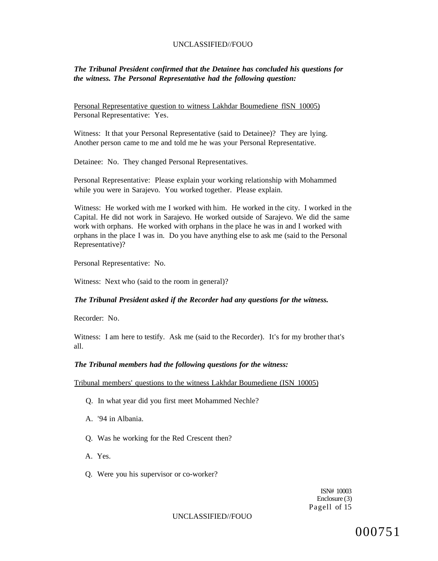# *The Tribunal President confirmed that the Detainee has concluded his questions for the witness. The Personal Representative had the following question:*

Personal Representative question to witness Lakhdar Boumediene flSN 10005) Personal Representative: Yes.

Witness: It that your Personal Representative (said to Detainee)? They are lying. Another person came to me and told me he was your Personal Representative.

Detainee: No. They changed Personal Representatives.

Personal Representative: Please explain your working relationship with Mohammed while you were in Sarajevo. You worked together. Please explain.

Witness: He worked with me I worked with him. He worked in the city. I worked in the Capital. He did not work in Sarajevo. He worked outside of Sarajevo. We did the same work with orphans. He worked with orphans in the place he was in and I worked with orphans in the place I was in. Do you have anything else to ask me (said to the Personal Representative)?

Personal Representative: No.

Witness: Next who (said to the room in general)?

### *The Tribunal President asked if the Recorder had any questions for the witness.*

Recorder: No.

Witness: I am here to testify. Ask me (said to the Recorder). It's for my brother that's all.

#### *The Tribunal members had the following questions for the witness:*

Tribunal members' questions to the witness Lakhdar Boumediene (ISN 10005)

- Q. In what year did you first meet Mohammed Nechle?
- A. '94 in Albania.
- Q. Was he working for the Red Crescent then?
- A. Yes.
- Q. Were you his supervisor or co-worker?

ISN# 10003 Enclosure (3) Pagell of 15

### UNCLASSIFIED//FOUO

000751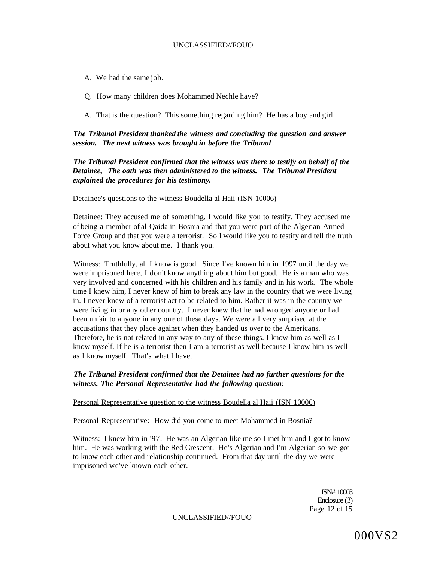- A. We had the same job.
- Q. How many children does Mohammed Nechle have?
- A. That is the question? This something regarding him? He has a boy and girl.

# *The Tribunal President thanked the witness and concluding the question and answer session. The next witness was brought in before the Tribunal*

*The Tribunal President confirmed that the witness was there to testify on behalf of the Detainee, The oath was then administered to the witness. The Tribunal President explained the procedures for his testimony.* 

### Detainee's questions to the witness Boudella al Haii (ISN 10006)

Detainee: They accused me of something. I would like you to testify. They accused me of being **a** member of al Qaida in Bosnia and that you were part of the Algerian Armed Force Group and that you were a terrorist. So I would like you to testify and tell the truth about what you know about me. I thank you.

Witness: Truthfully, all I know is good. Since I've known him in 1997 until the day we were imprisoned here, I don't know anything about him but good. He is a man who was very involved and concerned with his children and his family and in his work. The whole time I knew him, I never knew of him to break any law in the country that we were living in. I never knew of a terrorist act to be related to him. Rather it was in the country we were living in or any other country. I never knew that he had wronged anyone or had been unfair to anyone in any one of these days. We were all very surprised at the accusations that they place against when they handed us over to the Americans. Therefore, he is not related in any way to any of these things. I know him as well as I know myself. If he is a terrorist then I am a terrorist as well because I know him as well as I know myself. That's what I have.

# *The Tribunal President confirmed that the Detainee had no further questions for the witness. The Personal Representative had the following question:*

#### Personal Representative question to the witness Boudella al Haii (ISN 10006)

Personal Representative: How did you come to meet Mohammed in Bosnia?

Witness: I knew him in '97. He was an Algerian like me so I met him and I got to know him. He was working with the Red Crescent. He's Algerian and I'm Algerian so we got to know each other and relationship continued. From that day until the day we were imprisoned we've known each other.

> ISN# 10003 Enclosure (3) Page 12 of 15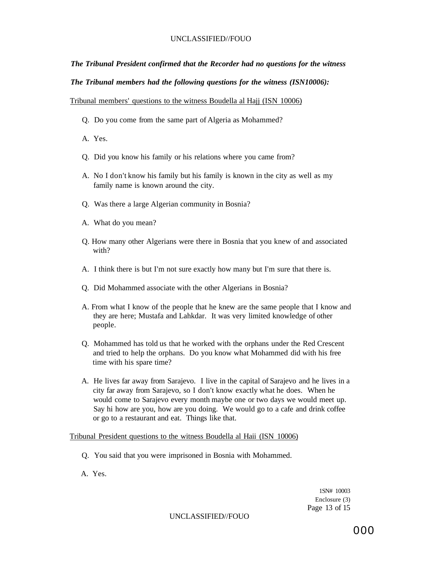# *The Tribunal President confirmed that the Recorder had no questions for the witness*

*The Tribunal members had the following questions for the witness (ISN10006):* 

Tribunal members' questions to the witness Boudella al Hajj (ISN 10006)

- Q. Do you come from the same part of Algeria as Mohammed?
- A. Yes.
- Q. Did you know his family or his relations where you came from?
- A. No I don't know his family but his family is known in the city as well as my family name is known around the city.
- Q. Was there a large Algerian community in Bosnia?
- A. What do you mean?
- Q. How many other Algerians were there in Bosnia that you knew of and associated with?
- A. I think there is but I'm not sure exactly how many but I'm sure that there is.
- Q. Did Mohammed associate with the other Algerians in Bosnia?
- A. From what I know of the people that he knew are the same people that I know and they are here; Mustafa and Lahkdar. It was very limited knowledge of other people.
- Q. Mohammed has told us that he worked with the orphans under the Red Crescent and tried to help the orphans. Do you know what Mohammed did with his free time with his spare time?
- A. He lives far away from Sarajevo. I live in the capital of Sarajevo and he lives in a city far away from Sarajevo, so I don't know exactly what he does. When he would come to Sarajevo every month maybe one or two days we would meet up. Say hi how are you, how are you doing. We would go to a cafe and drink coffee or go to a restaurant and eat. Things like that.

Tribunal President questions to the witness Boudella al Haii (ISN 10006)

- Q. You said that you were imprisoned in Bosnia with Mohammed.
- A. Yes.

1SN# 10003 Enclosure (3) Page 13 of 15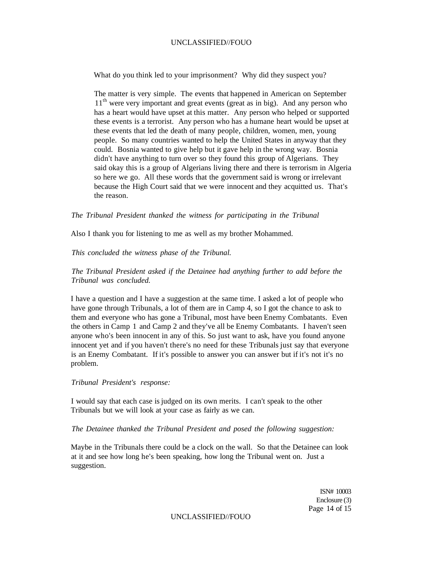What do you think led to your imprisonment? Why did they suspect you?

The matter is very simple. The events that happened in American on September 11<sup>th</sup> were very important and great events (great as in big). And any person who has a heart would have upset at this matter. Any person who helped or supported these events is a terrorist. Any person who has a humane heart would be upset at these events that led the death of many people, children, women, men, young people. So many countries wanted to help the United States in anyway that they could. Bosnia wanted to give help but it gave help in the wrong way. Bosnia didn't have anything to turn over so they found this group of Algerians. They said okay this is a group of Algerians living there and there is terrorism in Algeria so here we go. All these words that the government said is wrong or irrelevant because the High Court said that we were innocent and they acquitted us. That's the reason.

### *The Tribunal President thanked the witness for participating in the Tribunal*

Also I thank you for listening to me as well as my brother Mohammed.

*This concluded the witness phase of the Tribunal.* 

*The Tribunal President asked if the Detainee had anything further to add before the Tribunal was concluded.* 

I have a question and I have a suggestion at the same time. I asked a lot of people who have gone through Tribunals, a lot of them are in Camp 4, so I got the chance to ask to them and everyone who has gone a Tribunal, most have been Enemy Combatants. Even the others in Camp 1 and Camp 2 and they've all be Enemy Combatants. I haven't seen anyone who's been innocent in any of this. So just want to ask, have you found anyone innocent yet and if you haven't there's no need for these Tribunals just say that everyone is an Enemy Combatant. If it's possible to answer you can answer but if it's not it's no problem.

### *Tribunal President's response:*

I would say that each case is judged on its own merits. I can't speak to the other Tribunals but we will look at your case as fairly as we can.

### *The Detainee thanked the Tribunal President and posed the following suggestion:*

Maybe in the Tribunals there could be a clock on the wall. So that the Detainee can look at it and see how long he's been speaking, how long the Tribunal went on. Just a suggestion.

> ISN# 10003 Enclosure (3) Page 14 of 15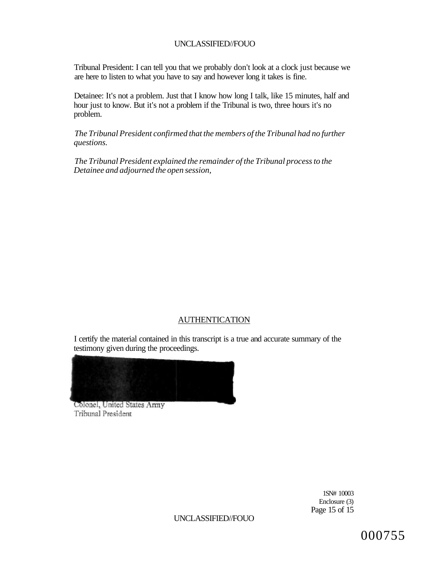Tribunal President: I can tell you that we probably don't look at a clock just because we are here to listen to what you have to say and however long it takes is fine.

Detainee: It's not a problem. Just that I know how long I talk, like 15 minutes, half and hour just to know. But it's not a problem if the Tribunal is two, three hours it's no problem.

*The Tribunal President confirmed that the members of the Tribunal had no further questions.* 

*The Tribunal President explained the remainder of the Tribunal process to the Detainee and adjourned the open session,* 

# AUTHENTICATION

I certify the material contained in this transcript is a true and accurate summary of the testimony given during the proceedings.



Colonel, United States Army Tribunal President

> 1SN# 10003 Enclosure (3) Page 15 of 15

UNCLASSIFIED//FOUO

000755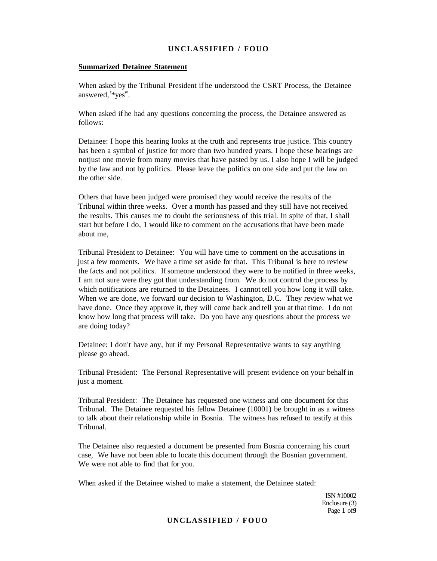### **Summarized Detainee Statement**

When asked by the Tribunal President if he understood the CSRT Process, the Detainee answered, <sup>t\*</sup>yes<sup>w</sup>.

When asked if he had any questions concerning the process, the Detainee answered as follows:

Detainee: I hope this hearing looks at the truth and represents true justice. This country has been a symbol of justice for more than two hundred years. I hope these hearings are notjust one movie from many movies that have pasted by us. I also hope I will be judged by the law and not by politics. Please leave the politics on one side and put the law on the other side.

Others that have been judged were promised they would receive the results of the Tribunal within three weeks. Over a month has passed and they still have not received the results. This causes me to doubt the seriousness of this trial. In spite of that, I shall start but before I do, 1 would like to comment on the accusations that have been made about me,

Tribunal President to Detainee: You will have time to comment on the accusations in just a few moments. We have a time set aside for that. This Tribunal is here to review the facts and not politics. If someone understood they were to be notified in three weeks, I am not sure were they got that understanding from. We do not control the process by which notifications are returned to the Detainees. I cannot tell you how long it will take. When we are done, we forward our decision to Washington, D.C. They review what we have done. Once they approve it, they will come back and tell you at that time. I do not know how long that process will take. Do you have any questions about the process we are doing today?

Detainee: I don't have any, but if my Personal Representative wants to say anything please go ahead.

Tribunal President: The Personal Representative will present evidence on your behalf in just a moment.

Tribunal President: The Detainee has requested one witness and one document for this Tribunal. The Detainee requested his fellow Detainee (10001) be brought in as a witness to talk about their relationship while in Bosnia. The witness has refused to testify at this Tribunal.

The Detainee also requested a document be presented from Bosnia concerning his court case, We have not been able to locate this document through the Bosnian government. We were not able to find that for you.

When asked if the Detainee wished to make a statement, the Detainee stated:

ISN #10002 Enclosure (3) Page **1** of**9**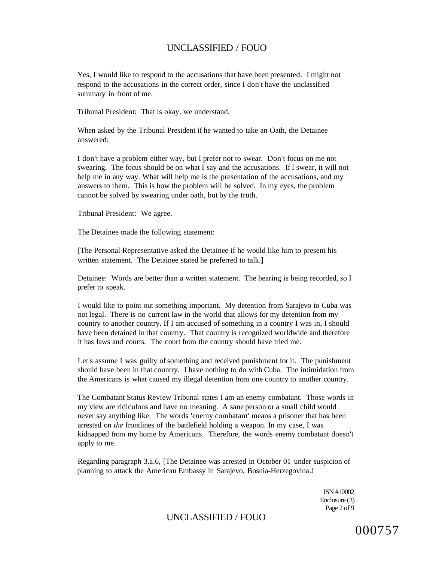Yes, I would like to respond to the accusations that have been presented. I might not respond to the accusations in the correct order, since I don't have the unclassified summary in front of me.

Tribunal President: That is okay, we understand.

When asked by the Tribunal President if he wanted to take an Oath, the Detainee answered:

I don't have a problem either way, but I prefer not to swear. Don't focus on me not swearing. The focus should be on what I say and the accusations. If I swear, it will not help me in any way. What will help me is the presentation of the accusations, and my answers to them. This is how the problem will be solved. In my eyes, the problem cannot be solved by swearing under oath, but by the truth.

Tribunal President: We agree.

The Detainee made the following statement:

[The Personal Representative asked the Detainee if he would like him to present his written statement. The Detainee stated he preferred to talk.

Detainee: Words are better than a written statement. The hearing is being recorded, so I prefer to speak.

I would like to point out something important. My detention from Sarajevo to Cuba was not legal. There is no current law in the world that allows for my detention from my country to another country. If I am accused of something in a country I was in, I should have been detained in that country. That country is recognized worldwide and therefore it has laws and courts. The court from the country should have tried me.

Let's assume I was guilty of something and received punishment for it. The punishment should have been in that country. I have nothing to do with Cuba. The intimidation from the Americans is what caused my illegal detention from one country to another country.

The Combatant Status Review Tribunal states I am an enemy combatant. Those words in my view are ridiculous and have no meaning. A sane person or a small child would never say anything like. The words 'enemy combatant' means a prisoner that has been arrested on *the* frontlines of the battlefield holding a weapon. In my case, I was kidnapped from my home by Americans. Therefore, the words enemy combatant doesn't apply to me.

Regarding paragraph 3.a.6, [The Detainee was arrested in October 01 under suspicion of planning to attack the American Embassy in Sarajevo, Bosnia-Herzegovina.J

> ISN #10002 Enclosure (3) Page 2 of 9

UNCLASSIFIED / FOUO

000757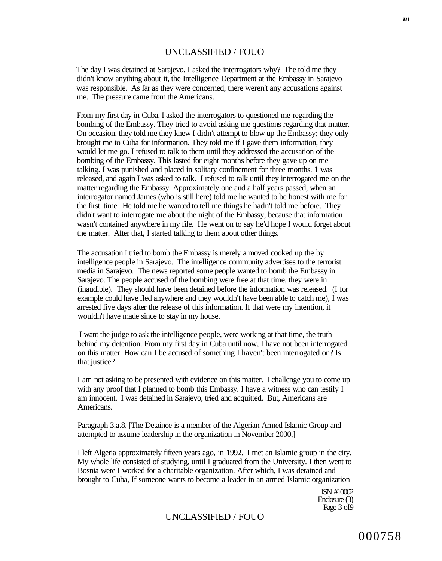The day I was detained at Sarajevo, I asked the interrogators why? The told me they didn't know anything about it, the Intelligence Department at the Embassy in Sarajevo was responsible. As far as they were concerned, there weren't any accusations against me. The pressure came from the Americans.

From my first day in Cuba, I asked the interrogators to questioned me regarding the bombing of the Embassy. They tried to avoid asking me questions regarding that matter. On occasion, they told me they knew I didn't attempt to blow up the Embassy; they only brought me to Cuba for information. They told me if I gave them information, they would let me go. I refused to talk to them until they addressed the accusation of the bombing of the Embassy. This lasted for eight months before they gave up on me talking. I was punished and placed in solitary confinement for three months. 1 was released, and again I was asked to talk. I refused to talk until they interrogated me on the matter regarding the Embassy. Approximately one and a half years passed, when an interrogator named James (who is still here) told me he wanted to be honest with me for the first time. He told me he wanted to tell me things he hadn't told me before. They didn't want to interrogate me about the night of the Embassy, because that information wasn't contained anywhere in my file. He went on to say he'd hope I would forget about the matter. After that, I started talking to them about other things.

The accusation I tried to bomb the Embassy is merely a moved cooked up the by intelligence people in Sarajevo. The intelligence community advertises to the terrorist media in Sarajevo. The news reported some people wanted to bomb the Embassy in Sarajevo. The people accused of the bombing were free at that time, they were in (inaudible). They should have been detained before the information was released. (I for example could have fled anywhere and they wouldn't have been able to catch me), I was arrested five days after the release of this information. If that were my intention, it wouldn't have made since to stay in my house.

I want the judge to ask the intelligence people, were working at that time, the truth behind my detention. From my first day in Cuba until now, I have not been interrogated on this matter. How can I be accused of something I haven't been interrogated on? Is that justice?

I am not asking to be presented with evidence on this matter. I challenge you to come up with any proof that I planned to bomb this Embassy. I have a witness who can testify I am innocent. I was detained in Sarajevo, tried and acquitted. But, Americans are Americans.

Paragraph 3.a.8, [The Detainee is a member of the Algerian Armed Islamic Group and attempted to assume leadership in the organization in November 2000,]

I left Algeria approximately fifteen years ago, in 1992. I met an Islamic group in the city. My whole life consisted of studying, until I graduated from the University. I then went to Bosnia were I worked for a charitable organization. After which, I was detained and brought to Cuba, If someone wants to become a leader in an armed Islamic organization

> ISN #10002 Enclosure (3) Page 3 of 9

# UNCLASSIFIED / FOUO

000758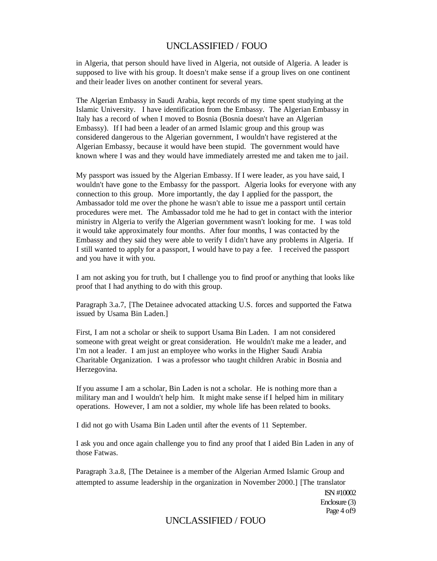in Algeria, that person should have lived in Algeria, not outside of Algeria. A leader is supposed to live with his group. It doesn't make sense if a group lives on one continent and their leader lives on another continent for several years.

The Algerian Embassy in Saudi Arabia, kept records of my time spent studying at the Islamic University. I have identification from the Embassy. The Algerian Embassy in Italy has a record of when I moved to Bosnia (Bosnia doesn't have an Algerian Embassy). If I had been a leader of an armed Islamic group and this group was considered dangerous to the Algerian government, I wouldn't have registered at the Algerian Embassy, because it would have been stupid. The government would have known where I was and they would have immediately arrested me and taken me to jail.

My passport was issued by the Algerian Embassy. If I were leader, as you have said, I wouldn't have gone to the Embassy for the passport. Algeria looks for everyone with any connection to this group. More importantly, the day I applied for the passport, the Ambassador told me over the phone he wasn't able to issue me a passport until certain procedures were met. The Ambassador told me he had to get in contact with the interior ministry in Algeria to verify the Algerian government wasn't looking for me. I was told it would take approximately four months. After four months, I was contacted by the Embassy and they said they were able to verify I didn't have any problems in Algeria. If I still wanted to apply for a passport, I would have to pay a fee. I received the passport and you have it with you.

I am not asking you for truth, but I challenge you to find proof or anything that looks like proof that I had anything to do with this group.

Paragraph 3.a.7, [The Detainee advocated attacking U.S. forces and supported the Fatwa issued by Usama Bin Laden.]

First, I am not a scholar or sheik to support Usama Bin Laden. I am not considered someone with great weight or great consideration. He wouldn't make me a leader, and I'm not a leader. I am just an employee who works in the Higher Saudi Arabia Charitable Organization. I was a professor who taught children Arabic in Bosnia and Herzegovina.

If you assume I am a scholar, Bin Laden is not a scholar. He is nothing more than a military man and I wouldn't help him. It might make sense if I helped him in military operations. However, I am not a soldier, my whole life has been related to books.

I did not go with Usama Bin Laden until after the events of 11 September.

I ask you and once again challenge you to find any proof that I aided Bin Laden in any of those Fatwas.

Paragraph 3.a.8, [The Detainee is a member of the Algerian Armed Islamic Group and attempted to assume leadership in the organization in November 2000.] [The translator

> ISN #10002 Enclosure (3) Page 4 of9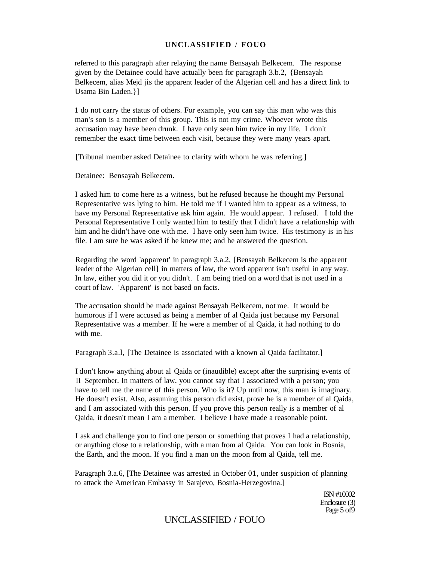referred to this paragraph after relaying the name Bensayah Belkecem. The response given by the Detainee could have actually been for paragraph 3.b.2, {Bensayah Belkecem, alias Mejd jis the apparent leader of the Algerian cell and has a direct link to Usama Bin Laden.}]

1 do not carry the status of others. For example, you can say this man who was this man's son is a member of this group. This is not my crime. Whoever wrote this accusation may have been drunk. I have only seen him twice in my life. I don't remember the exact time between each visit, because they were many years apart.

[Tribunal member asked Detainee to clarity with whom he was referring.]

Detainee: Bensayah Belkecem.

I asked him to come here as a witness, but he refused because he thought my Personal Representative was lying to him. He told me if I wanted him to appear as a witness, to have my Personal Representative ask him again. He would appear. I refused. I told the Personal Representative I only wanted him to testify that I didn't have a relationship with him and he didn't have one with me. I have only seen him twice. His testimony is in his file. I am sure he was asked if he knew me; and he answered the question.

Regarding the word 'apparent' in paragraph 3.a.2, [Bensayah Belkecem is the apparent leader of the Algerian cell] in matters of law, the word apparent isn't useful in any way. In law, either you did it or you didn't. I am being tried on a word that is not used in a court of law. 'Apparent' is not based on facts.

The accusation should be made against Bensayah Belkecem, not me. It would be humorous if I were accused as being a member of al Qaida just because my Personal Representative was a member. If he were a member of al Qaida, it had nothing to do with me.

Paragraph 3.a.l, [The Detainee is associated with a known al Qaida facilitator.]

I don't know anything about al Qaida or (inaudible) except after the surprising events of II September. In matters of law, you cannot say that I associated with a person; you have to tell me the name of this person. Who is it? Up until now, this man is imaginary. He doesn't exist. Also, assuming this person did exist, prove he is a member of al Qaida, and I am associated with this person. If you prove this person really is a member of al Qaida, it doesn't mean I am a member. I believe I have made a reasonable point.

I ask and challenge you to find one person or something that proves I had a relationship, or anything close to a relationship, with a man from al Qaida. You can look in Bosnia, the Earth, and the moon. If you find a man on the moon from al Qaida, tell me.

Paragraph 3.a.6, [The Detainee was arrested in October 01, under suspicion of planning to attack the American Embassy in Sarajevo, Bosnia-Herzegovina.]

> ISN #10002 Enclosure (3) Page 5 of 9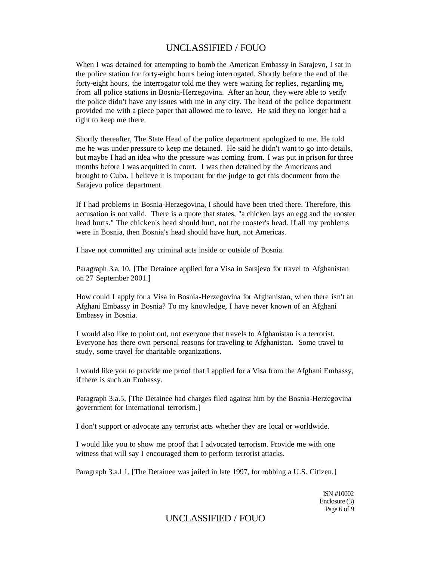When I was detained for attempting to bomb the American Embassy in Sarajevo, I sat in the police station for forty-eight hours being interrogated. Shortly before the end of the forty-eight hours, the interrogator told me they were waiting for replies, regarding me, from all police stations in Bosnia-Herzegovina. After an hour, they were able to verify the police didn't have any issues with me in any city. The head of the police department provided me with a piece paper that allowed me to leave. He said they no longer had a right to keep me there.

Shortly thereafter, The State Head of the police department apologized to me. He told me he was under pressure to keep me detained. He said he didn't want to go into details, but maybe I had an idea who the pressure was coming from. I was put in prison for three months before I was acquitted in court. I was then detained by the Americans and brought to Cuba. I believe it is important for the judge to get this document from the Sarajevo police department.

If I had problems in Bosnia-Herzegovina, I should have been tried there. Therefore, this accusation is not valid. There is a quote that states, "a chicken lays an egg and the rooster head hurts." The chicken's head should hurt, not the rooster's head. If all my problems were in Bosnia, then Bosnia's head should have hurt, not Americas.

I have not committed any criminal acts inside or outside of Bosnia.

Paragraph 3.a. 10, [The Detainee applied for a Visa in Sarajevo for travel to Afghanistan on 27 September 2001.]

How could I apply for a Visa in Bosnia-Herzegovina for Afghanistan, when there isn't an Afghani Embassy in Bosnia? To my knowledge, I have never known of an Afghani Embassy in Bosnia.

I would also like to point out, not everyone that travels to Afghanistan is a terrorist. Everyone has there own personal reasons for traveling to Afghanistan. Some travel to study, some travel for charitable organizations.

I would like you to provide me proof that I applied for a Visa from the Afghani Embassy, if there is such an Embassy.

Paragraph 3.a.5, [The Detainee had charges filed against him by the Bosnia-Herzegovina government for International terrorism.]

I don't support or advocate any terrorist acts whether they are local or worldwide.

I would like you to show me proof that I advocated terrorism. Provide me with one witness that will say I encouraged them to perform terrorist attacks.

Paragraph 3.a.l 1, [The Detainee was jailed in late 1997, for robbing a U.S. Citizen.]

ISN #10002 Enclosure (3) Page 6 of 9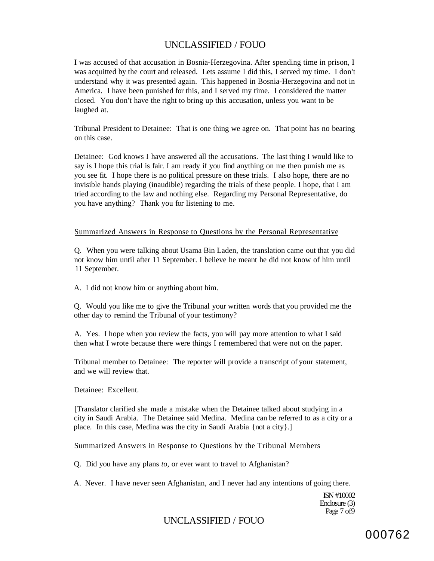I was accused of that accusation in Bosnia-Herzegovina. After spending time in prison, I was acquitted by the court and released. Lets assume I did this, I served my time. I don't understand why it was presented again. This happened in Bosnia-Herzegovina and not in America. I have been punished for this, and I served my time. I considered the matter closed. You don't have the right to bring up this accusation, unless you want to be laughed at.

Tribunal President to Detainee: That is one thing we agree on. That point has no bearing on this case.

Detainee: God knows I have answered all the accusations. The last thing I would like to say is I hope this trial is fair. I am ready if you find anything on me then punish me as you see fit. I hope there is no political pressure on these trials. I also hope, there are no invisible hands playing (inaudible) regarding the trials of these people. I hope, that I am tried according to the law and nothing else. Regarding my Personal Representative, do you have anything? Thank you for listening to me.

### Summarized Answers in Response to Questions by the Personal Representative

Q. When you were talking about Usama Bin Laden, the translation came out that you did not know him until after 11 September. I believe he meant he did not know of him until 11 September.

A. I did not know him or anything about him.

Q. Would you like me to give the Tribunal your written words that you provided me the other day to remind the Tribunal of your testimony?

A. Yes. I hope when you review the facts, you will pay more attention to what I said then what I wrote because there were things I remembered that were not on the paper.

Tribunal member to Detainee: The reporter will provide a transcript of your statement, and we will review that.

Detainee: Excellent.

[Translator clarified she made a mistake when the Detainee talked about studying in a city in Saudi Arabia. The Detainee said Medina. Medina can be referred to as a city or a place. In this case, Medina was the city in Saudi Arabia {not a city}.]

### Summarized Answers in Response to Questions bv the Tribunal Members

Q. Did you have any plans *to,* or ever want to travel to Afghanistan?

A. Never. I have never seen Afghanistan, and I never had any intentions of going there.

ISN #10002 Enclosure (3) Page 7 of9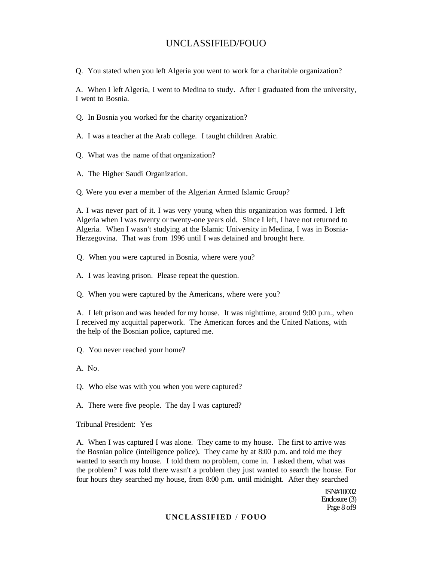Q. You stated when you left Algeria you went to work for a charitable organization?

A. When I left Algeria, I went to Medina to study. After I graduated from the university, I went to Bosnia.

Q. In Bosnia you worked for the charity organization?

A. I was a teacher at the Arab college. I taught children Arabic.

Q. What was the name of that organization?

A. The Higher Saudi Organization.

Q. Were you ever a member of the Algerian Armed Islamic Group?

A. I was never part of it. I was very young when this organization was formed. I left Algeria when I was twenty or twenty-one years old. Since I left, I have not returned to Algeria. When I wasn't studying at the Islamic University in Medina, I was in Bosnia-Herzegovina. That was from 1996 until I was detained and brought here.

Q. When you were captured in Bosnia, where were you?

A. I was leaving prison. Please repeat the question.

Q. When you were captured by the Americans, where were you?

A. I left prison and was headed for my house. It was nighttime, around 9:00 p.m., when I received my acquittal paperwork. The American forces and the United Nations, with the help of the Bosnian police, captured me.

Q. You never reached your home?

A. No.

Q. Who else was with you when you were captured?

A. There were five people. The day I was captured?

Tribunal President: Yes

A. When I was captured I was alone. They came to my house. The first to arrive was the Bosnian police (intelligence police). They came by at 8:00 p.m. and told me they wanted to search my house. I told them no problem, come in. I asked them, what was the problem? I was told there wasn't a problem they just wanted to search the house. For four hours they searched my house, from 8:00 p.m. until midnight. After they searched

> ISN#10002 Enclosure (3) Page 8 of9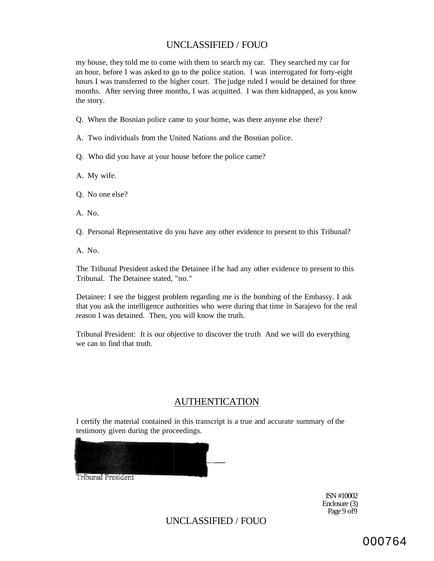my house, they told me to come with them to search my car. They searched my car for an hour, before I was asked to go to the police station. I was interrogated for forty-eight hours I was transferred to the higher court. The judge ruled I would be detained for three months. After serving three months, I was acquitted. I was then kidnapped, as you know the story.

- Q. When the Bosnian police came to your home, was there anyone else there?
- A. Two individuals from the United Nations and the Bosnian police.
- Q. Who did you have at your house before the police came?
- A. My wife.
- Q. No one else?
- A. No.
- Q. Personal Representative do you have any other evidence to present to this Tribunal?
- A. No.

The Tribunal President asked the Detainee if he had any other evidence to present to this Tribunal. The Detainee stated, "no."

Detainee: I see the biggest problem regarding me is the bombing of the Embassy. I ask that you ask the intelligence authorities who were during that time in Sarajevo for the real reason I was detained. Then, you will know the truth.

Tribunal President: It is our objective to discover the truth And we will do everything we can to find that truth.

# AUTHENTICATION

I certify the material contained in this transcript is a true and accurate summary of the testimony given during the proceedings.



**Tribunal President** 

ISN #10002 Enclosure (3) Page 9 of9

UNCLASSIFIED / FOUO

000764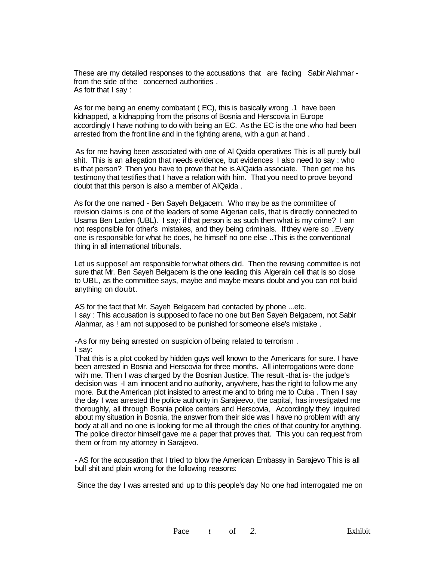These are my detailed responses to the accusations that are facing Sabir Alahmar from the side of the concerned authorities . As fotr that I say :

As for me being an enemy combatant ( EC), this is basically wrong .1 have been kidnapped, a kidnapping from the prisons of Bosnia and Herscovia in Europe accordingly I have nothing to do with being an EC. As the EC is the one who had been arrested from the front line and in the fighting arena, with a gun at hand .

As for me having been associated with one of Al Qaida operatives This is all purely bull shit. This is an allegation that needs evidence, but evidences I also need to say : who is that person? Then you have to prove that he is AIQaida associate. Then get me his testimony that testifies that I have a relation with him. That you need to prove beyond doubt that this person is also a member of AIQaida .

As for the one named - Ben Sayeh Belgacem. Who may be as the committee of revision claims is one of the leaders of some Algerian cells, that is directly connected to Usama Ben Laden (UBL). I say: if that person is as such then what is my crime? I am not responsible for other's mistakes, and they being criminals. If they were so ..Every one is responsible for what he does, he himself no one else ..This is the conventional thing in all international tribunals.

Let us suppose! am responsible for what others did. Then the revising committee is not sure that Mr. Ben Sayeh Belgacem is the one leading this Algerain cell that is so close to UBL, as the committee says, maybe and maybe means doubt and you can not build anything on doubt.

AS for the fact that Mr. Sayeh Belgacem had contacted by phone ...etc. I say : This accusation is supposed to face no one but Ben Sayeh Belgacem, not Sabir Alahmar, as ! am not supposed to be punished for someone else's mistake .

-As for my being arrested on suspicion of being related to terrorism . I say:

That this is a plot cooked by hidden guys well known to the Americans for sure. I have been arrested in Bosnia and Herscovia for three months. All interrogations were done with me. Then I was charged by the Bosnian Justice. The result -that is- the judge's decision was -I am innocent and no authority, anywhere, has the right to follow me any more. But the American plot insisted to arrest me and to bring me to Cuba . Then I say the day I was arrested the police authority in Sarajeevo, the capital, has investigated me thoroughly, all through Bosnia police centers and Herscovia, Accordingly they inquired about my situation in Bosnia, the answer from their side was I have no problem with any body at all and no one is looking for me all through the cities of that country for anything. The police director himself gave me a paper that proves that. This you can request from them or from my attorney in Sarajevo.

- AS for the accusation that I tried to blow the American Embassy in Sarajevo This is all bull shit and plain wrong for the following reasons:

Since the day I was arrested and up to this people's day No one had interrogated me on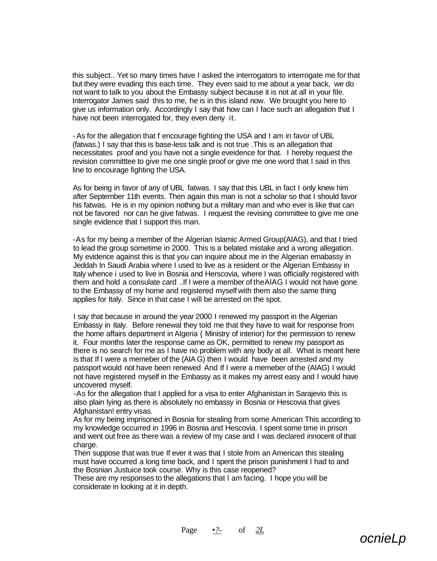this subject.. Yet so many times have I asked the interrogators to interrogate me for that but they were evading this each time. They even said to me about a year back, we do not want to talk to you about the Embassy subject because it is not at all in your file. Interrogator James said this to me, he is in this island now. We brought you here to give us information only. Accordingly I say that how can I face such an allegation that I have not been interrogated for, they even deny it.

- As for the allegation that f encourage fighting the USA and I am in favor of UBL (fatwas.) I say that this is base-less talk and is not true .This is an allegation that necessitates proof and you have not a single eveidence for that. I hereby request the revision committtee to give me one single proof or give me one word that I said in this line to encourage fighting the USA.

As for being in favor of any of UBL fatwas. I say that this UBL in fact I only knew him after September 11th events. Then again this man is not a scholar so that I should favor his fatwas. He is in my opinion nothing but a military man and who ever is like that can not be favored nor can he give fatwas. I request the revising committee to give me one single evidence that I support this man.

-As for my being a member of the Algerian Islamic Armed Group(AIAG), and that I tried to lead the group sometime in 2000. This is a belated mistake and a wrong allegation. My evidence against this is that you can inquire about me in the Algerian emabassy in Jeddah In Saudi Arabia where I used to live as a resident or the Algerian Embassy in Italy whence i used to live in Bosnia and Herscovia, where I was officially registered with them and hold a consulate card ..If I were a member of theAlAG I would not have gone to the Embassy of my home and registered myself with them also the same thing applies for Italy. Since in that case I will be arrested on the spot.

I say that because in around the year 2000 I renewed my passport in the Algerian Embassy in Italy. Before renewal they told me that they have to wait for response from the home affairs department in Algeria { Ministry of interior) for the permission to renew it. Four months later the response came as OK, permitted to renew my passport as there is no search for me as I have no problem with any body at all. What is meant here is that If I were a memeber of the (AIA G) then I would have been arrested and my passport would not have been renewed And If I were a memeber of the (AIAG) I would not have registered myself in the Embassy as it makes my arrest easy and I would have uncovered myself.

-As for the allegation that I applied for a visa to enter Afghanistan in Sarajevio this is also plain lying as there is absolutely no embassy in Bosnia or Hescovia that gives Afghanistan! entry visas.

As for my being imprisoned in Bosnia for stealing from some American This according to my knowledge occurred in 1996 in Bosnia and Hescovia. I spent some time in prison and went out free as there was a review of my case and I was declared innocent of that charge.

Then suppose that was true If ever it was that I stole from an American this stealing must have occurred a long time back, and I spent the prison punishment I had to and the Bosnian Justuice took course. Why is this case reopened?

These are my responses to the allegations that I am facing. I hope you will be considerate in looking at it in depth.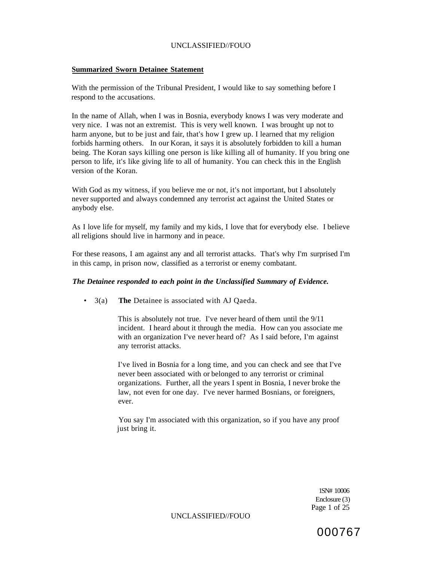# **Summarized Sworn Detainee Statement**

With the permission of the Tribunal President, I would like to say something before I respond to the accusations.

In the name of Allah, when I was in Bosnia, everybody knows I was very moderate and very nice. I was not an extremist. This is very well known. I was brought up not to harm anyone, but to be just and fair, that's how I grew up. I learned that my religion forbids harming others. In our Koran, it says it is absolutely forbidden to kill a human being. The Koran says killing one person is like killing all of humanity. If you bring one person to life, it's like giving life to all of humanity. You can check this in the English version of the Koran.

With God as my witness, if you believe me or not, it's not important, but I absolutely never supported and always condemned any terrorist act against the United States or anybody else.

As I love life for myself, my family and my kids, I love that for everybody else. I believe all religions should live in harmony and in peace.

For these reasons, I am against any and all terrorist attacks. That's why I'm surprised I'm in this camp, in prison now, classified as a terrorist or enemy combatant.

## *The Detainee responded to each point in the Unclassified Summary of Evidence.*

• 3(a) **The** Detainee is associated with AJ Qaeda.

This is absolutely not true. I've never heard of them until the 9/11 incident. I heard about it through the media. How can you associate me with an organization I've never heard of? As I said before, I'm against any terrorist attacks.

I've lived in Bosnia for a long time, and you can check and see that I've never been associated with or belonged to any terrorist or criminal organizations. Further, all the years I spent in Bosnia, I never broke the law, not even for one day. I've never harmed Bosnians, or foreigners, ever.

You say I'm associated with this organization, so if you have any proof just bring it.

> 1SN# 10006 Enclosure (3) Page 1 of 25

000767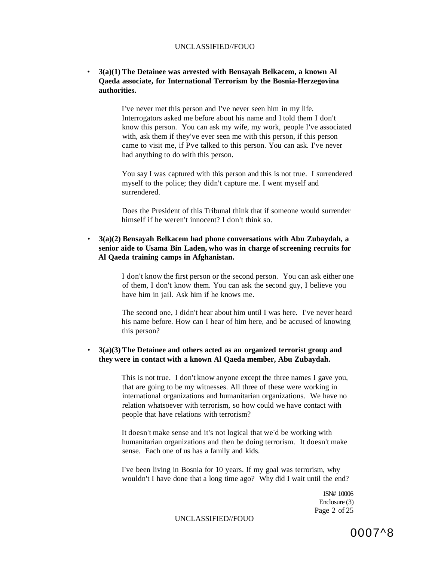# • **3(a)(1) The Detainee was arrested with Bensayah Belkacem, a known Al Qaeda associate, for International Terrorism by the Bosnia-Herzegovina authorities.**

I've never met this person and I've never seen him in my life. Interrogators asked me before about his name and I told them I don't know this person. You can ask my wife, my work, people I've associated with, ask them if they've ever seen me with this person, if this person came to visit me, if Pve talked to this person. You can ask. I've never had anything to do with this person.

You say I was captured with this person and this is not true. I surrendered myself to the police; they didn't capture me. I went myself and surrendered.

Does the President of this Tribunal think that if someone would surrender himself if he weren't innocent? I don't think so.

# • **3(a)(2) Bensayah Belkacem had phone conversations with Abu Zubaydah, a senior aide to Usama Bin Laden, who was in charge of screening recruits for Al Qaeda training camps in Afghanistan.**

I don't know the first person or the second person. You can ask either one of them, I don't know them. You can ask the second guy, I believe you have him in jail. Ask him if he knows me.

The second one, I didn't hear about him until I was here. I've never heard his name before. How can I hear of him here, and be accused of knowing this person?

## • **3(a)(3) The Detainee and others acted as an organized terrorist group and they were in contact with a known Al Qaeda member, Abu Zubaydah.**

This is not true. I don't know anyone except the three names I gave you, that are going to be my witnesses. All three of these were working in international organizations and humanitarian organizations. We have no relation whatsoever with terrorism, so how could we have contact with people that have relations with terrorism?

It doesn't make sense and it's not logical that we'd be working with humanitarian organizations and then be doing terrorism. It doesn't make sense. Each one of us has a family and kids.

I've been living in Bosnia for 10 years. If my goal was terrorism, why wouldn't I have done that a long time ago? Why did I wait until the end?

> 1SN# 10006 Enclosure (3) Page 2 of 25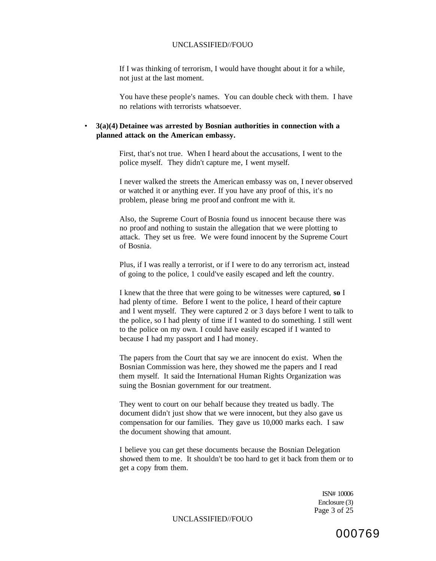If I was thinking of terrorism, I would have thought about it for a while, not just at the last moment.

You have these people's names. You can double check with them. I have no relations with terrorists whatsoever.

## • **3(a)(4) Detainee was arrested by Bosnian authorities in connection with a planned attack on the American embassy.**

First, that's not true. When I heard about the accusations, I went to the police myself. They didn't capture me, I went myself.

I never walked the streets the American embassy was on, I never observed or watched it or anything ever. If you have any proof of this, it's no problem, please bring me proof and confront me with it.

Also, the Supreme Court of Bosnia found us innocent because there was no proof and nothing to sustain the allegation that we were plotting to attack. They set us free. We were found innocent by the Supreme Court of Bosnia.

Plus, if I was really a terrorist, or if I were to do any terrorism act, instead of going to the police, 1 could've easily escaped and left the country.

I knew that the three that were going to be witnesses were captured, **so** I had plenty of time. Before I went to the police, I heard of their capture and I went myself. They were captured 2 or 3 days before I went to talk to the police, so I had plenty of time if I wanted to do something. I still went to the police on my own. I could have easily escaped if I wanted to because I had my passport and I had money.

The papers from the Court that say we are innocent do exist. When the Bosnian Commission was here, they showed me the papers and I read them myself. It said the International Human Rights Organization was suing the Bosnian government for our treatment.

They went to court on our behalf because they treated us badly. The document didn't just show that we were innocent, but they also gave us compensation for our families. They gave us 10,000 marks each. I saw the document showing that amount.

I believe you can get these documents because the Bosnian Delegation showed them to me. It shouldn't be too hard to get it back from them or to get a copy from them.

> ISN# 10006 Enclosure (3) Page 3 of 25

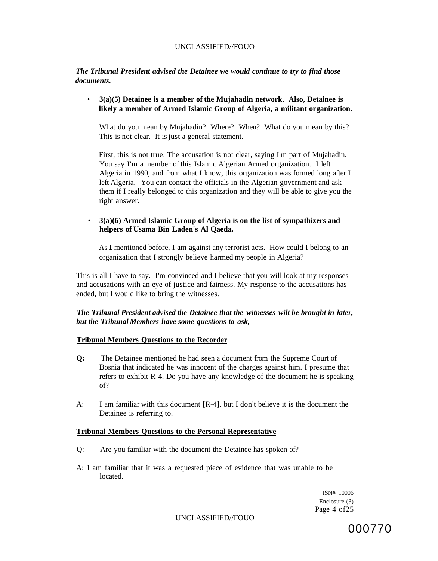*The Tribunal President advised the Detainee we would continue to try to find those documents.* 

• **3(a)(5) Detainee is a member of the Mujahadin network. Also, Detainee is likely a member of Armed Islamic Group of Algeria, a militant organization.** 

What do you mean by Mujahadin? Where? When? What do you mean by this? This is not clear. It is just a general statement.

First, this is not true. The accusation is not clear, saying I'm part of Mujahadin. You say I'm a member of this Islamic Algerian Armed organization. I left Algeria in 1990, and from what I know, this organization was formed long after I left Algeria. You can contact the officials in the Algerian government and ask them if I really belonged to this organization and they will be able to give you the right answer.

• **3(a)(6) Armed Islamic Group of Algeria is on the list of sympathizers and helpers of Usama Bin Laden's Al Qaeda.** 

As **I** mentioned before, I am against any terrorist acts. How could I belong to an organization that I strongly believe harmed my people in Algeria?

This is all I have to say. I'm convinced and I believe that you will look at my responses and accusations with an eye of justice and fairness. My response to the accusations has ended, but I would like to bring the witnesses.

# *The Tribunal President advised the Detainee that the witnesses wilt be brought in later, but the Tribunal Members have some questions to ask,*

## **Tribunal Members Questions to the Recorder**

- **Q:** The Detainee mentioned he had seen a document from the Supreme Court of Bosnia that indicated he was innocent of the charges against him. I presume that refers to exhibit R-4. Do you have any knowledge of the document he is speaking of?
- A: I am familiar with this document [R-4], but I don't believe it is the document the Detainee is referring to.

## **Tribunal Members Questions to the Personal Representative**

- Q: Are you familiar with the document the Detainee has spoken of?
- A: I am familiar that it was a requested piece of evidence that was unable to be located.

ISN# 10006 Enclosure (3) Page 4 of 25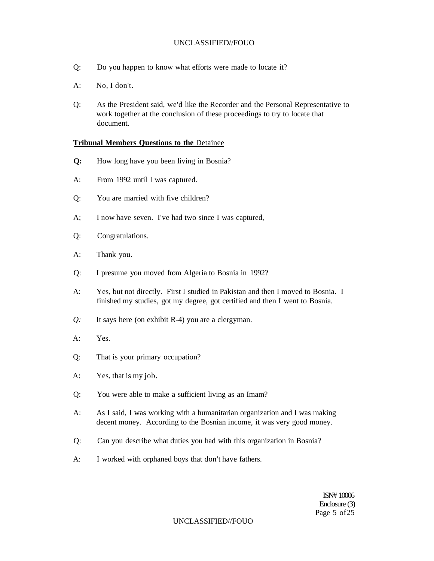- Q: Do you happen to know what efforts were made to locate it?
- A: No, I don't.
- Q: As the President said, we'd like the Recorder and the Personal Representative to work together at the conclusion of these proceedings to try to locate that document.

### **Tribunal Members Questions to the** Detainee

- **Q:** How long have you been living in Bosnia?
- A: From 1992 until I was captured.
- Q: You are married with five children?
- A; I now have seven. I've had two since I was captured,
- Q: Congratulations.
- A: Thank you.
- Q: I presume you moved from Algeria to Bosnia in 1992?
- A: Yes, but not directly. First I studied in Pakistan and then I moved to Bosnia. I finished my studies, got my degree, got certified and then I went to Bosnia.
- *Q:* It says here (on exhibit R-4) you are a clergyman.
- A: Yes.
- Q: That is your primary occupation?
- A: Yes, that is my job.
- Q: You were able to make a sufficient living as an Imam?
- A: As I said, I was working with a humanitarian organization and I was making decent money. According to the Bosnian income, it was very good money.
- Q: Can you describe what duties you had with this organization in Bosnia?
- A: I worked with orphaned boys that don't have fathers.

ISN# 10006 Enclosure (3) Page 5 of 25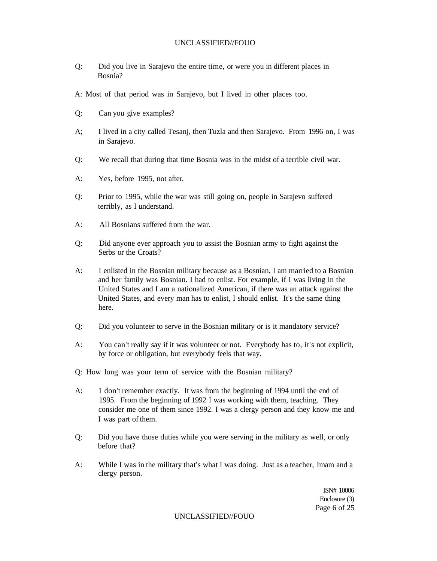- Q: Did you live in Sarajevo the entire time, or were you in different places in Bosnia?
- A: Most of that period was in Sarajevo, but I lived in other places too.
- Q: Can you give examples?
- A; I lived in a city called Tesanj, then Tuzla and then Sarajevo. From 1996 on, I was in Sarajevo.
- Q: We recall that during that time Bosnia was in the midst of a terrible civil war.
- A: Yes, before 1995, not after.
- Q: Prior to 1995, while the war was still going on, people in Sarajevo suffered terribly, as I understand.
- A: All Bosnians suffered from the war.
- Q: Did anyone ever approach you to assist the Bosnian army to fight against the Serbs or the Croats?
- A: I enlisted in the Bosnian military because as a Bosnian, I am married to a Bosnian and her family was Bosnian. I had to enlist. For example, if I was living in the United States and I am a nationalized American, if there was an attack against the United States, and every man has to enlist, I should enlist. It's the same thing here.
- Q: Did you volunteer to serve in the Bosnian military or is it mandatory service?
- A: You can't really say if it was volunteer or not. Everybody has to, it's not explicit, by force or obligation, but everybody feels that way.
- Q: How long was your term of service with the Bosnian military?
- A: 1 don't remember exactly. It was from the beginning of 1994 until the end of 1995. From the beginning of 1992 I was working with them, teaching. They consider me one of them since 1992. I was a clergy person and they know me and I was part of them.
- Q: Did you have those duties while you were serving in the military as well, or only before that?
- A: While I was in the military that's what I was doing. Just as a teacher, Imam and a clergy person.

ISN# 10006 Enclosure (3) Page 6 of 25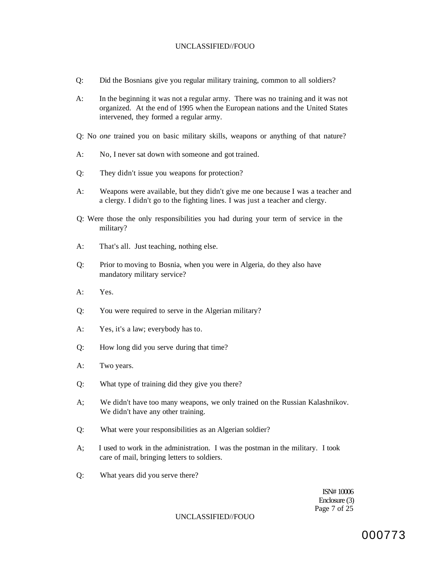- Q: Did the Bosnians give you regular military training, common to all soldiers?
- A: In the beginning it was not a regular army. There was no training and it was not organized. At the end of 1995 when the European nations and the United States intervened, they formed a regular army.
- Q: No *one* trained you on basic military skills, weapons or anything of that nature?
- A: No, I never sat down with someone and got trained.
- Q: They didn't issue you weapons for protection?
- A: Weapons were available, but they didn't give me one because I was a teacher and a clergy. I didn't go to the fighting lines. I was just a teacher and clergy.
- Q: Were those the only responsibilities you had during your term of service in the military?
- A: That's all. Just teaching, nothing else.
- Q: Prior to moving to Bosnia, when you were in Algeria, do they also have mandatory military service?
- A: Yes.
- Q: You were required to serve in the Algerian military?
- A: Yes, it's a law; everybody has to.
- Q: How long did you serve during that time?
- A: Two years.
- Q: What type of training did they give you there?
- A; We didn't have too many weapons, we only trained on the Russian Kalashnikov. We didn't have any other training.
- Q: What were your responsibilities as an Algerian soldier?
- A; I used to work in the administration. I was the postman in the military. I took care of mail, bringing letters to soldiers.
- Q: What years did you serve there?

ISN# 10006 Enclosure (3) Page 7 of 25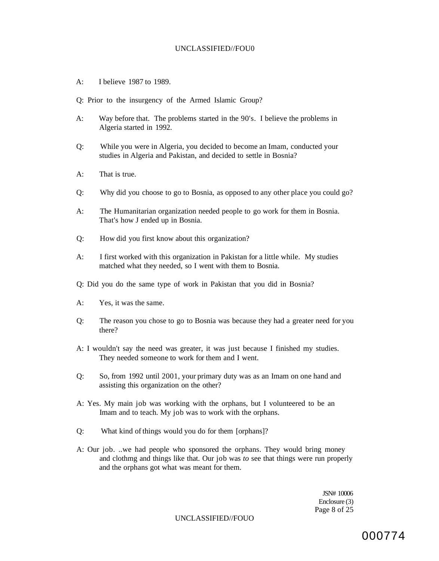- A: I believe 1987 to 1989.
- Q: Prior to the insurgency of the Armed Islamic Group?
- A: Way before that. The problems started in the 90's. I believe the problems in Algeria started in 1992.
- Q: While you were in Algeria, you decided to become an Imam, conducted your studies in Algeria and Pakistan, and decided to settle in Bosnia?
- A: That is true.
- Q: Why did you choose to go to Bosnia, as opposed to any other place you could go?
- A: The Humanitarian organization needed people to go work for them in Bosnia. That's how J ended up in Bosnia.
- Q: How did you first know about this organization?
- A: I first worked with this organization in Pakistan for a little while. My studies matched what they needed, so I went with them to Bosnia.
- Q: Did you do the same type of work in Pakistan that you did in Bosnia?
- A: Yes, it was the same.
- Q: The reason you chose to go to Bosnia was because they had a greater need for you there?
- A: I wouldn't say the need was greater, it was just because I finished my studies. They needed someone to work for them and I went.
- Q: So, from 1992 until 2001, your primary duty was as an Imam on one hand and assisting this organization on the other?
- A: Yes. My main job was working with the orphans, but I volunteered to be an Imam and to teach. My job was to work with the orphans.
- Q: What kind of things would you do for them [orphans]?
- A: Our job. ..we had people who sponsored the orphans. They would bring money and clothmg and things like that. Our job was *to* see that things were run properly and the orphans got what was meant for them.

JSN# 10006 Enclosure (3) Page 8 of 25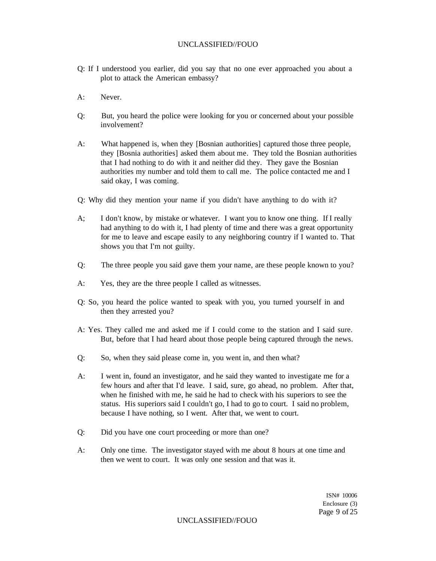- Q: If I understood you earlier, did you say that no one ever approached you about a plot to attack the American embassy?
- A: Never.
- Q: But, you heard the police were looking for you or concerned about your possible involvement?
- A: What happened is, when they [Bosnian authorities] captured those three people, they [Bosnia authorities] asked them about me. They told the Bosnian authorities that I had nothing to do with it and neither did they. They gave the Bosnian authorities my number and told them to call me. The police contacted me and I said okay, I was coming.
- Q: Why did they mention your name if you didn't have anything to do with it?
- A; I don't know, by mistake or whatever. I want you to know one thing. If I really had anything to do with it, I had plenty of time and there was a great opportunity for me to leave and escape easily to any neighboring country if I wanted to. That shows you that I'm not guilty.
- Q: The three people you said gave them your name, are these people known to you?
- A: Yes, they are the three people I called as witnesses.
- Q: So, you heard the police wanted to speak with you, you turned yourself in and then they arrested you?
- A: Yes. They called me and asked me if I could come to the station and I said sure. But, before that I had heard about those people being captured through the news.
- Q: So, when they said please come in, you went in, and then what?
- A: I went in, found an investigator, and he said they wanted to investigate me for a few hours and after that I'd leave. I said, sure, go ahead, no problem. After that, when he finished with me, he said he had to check with his superiors to see the status. His superiors said I couldn't go, I had to go to court. I said no problem, because I have nothing, so I went. After that, we went to court.
- Q: Did you have one court proceeding or more than one?
- A: Only one time. The investigator stayed with me about 8 hours at one time and then we went to court. It was only one session and that was it.

ISN# 10006 Enclosure (3) Page 9 of 25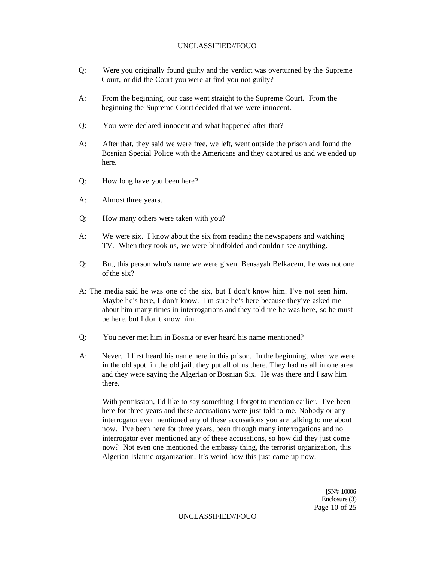- Q: Were you originally found guilty and the verdict was overturned by the Supreme Court, or did the Court you were at find you not guilty?
- A: From the beginning, our case went straight to the Supreme Court. From the beginning the Supreme Court decided that we were innocent.
- Q: You were declared innocent and what happened after that?
- A: After that, they said we were free, we left, went outside the prison and found the Bosnian Special Police with the Americans and they captured us and we ended up here.
- Q: How long have you been here?
- A: Almost three years.
- Q: How many others were taken with you?
- A: We were six. I know about the six from reading the newspapers and watching TV. When they took us, we were blindfolded and couldn't see anything.
- Q: But, this person who's name we were given, Bensayah Belkacem, he was not one of the six?
- A: The media said he was one of the six, but I don't know him. I've not seen him. Maybe he's here, I don't know. I'm sure he's here because they've asked me about him many times in interrogations and they told me he was here, so he must be here, but I don't know him.
- Q: You never met him in Bosnia or ever heard his name mentioned?
- A: Never. I first heard his name here in this prison. In the beginning, when we were in the old spot, in the old jail, they put all of us there. They had us all in one area and they were saying the Algerian or Bosnian Six. He was there and I saw him there.

With permission, I'd like to say something I forgot to mention earlier. I've been here for three years and these accusations were just told to me. Nobody or any interrogator ever mentioned any of these accusations you are talking to me about now. I've been here for three years, been through many interrogations and no interrogator ever mentioned any of these accusations, so how did they just come now? Not even one mentioned the embassy thing, the terrorist organization, this Algerian Islamic organization. It's weird how this just came up now.

> [SN# 10006 Enclosure (3) Page 10 of 25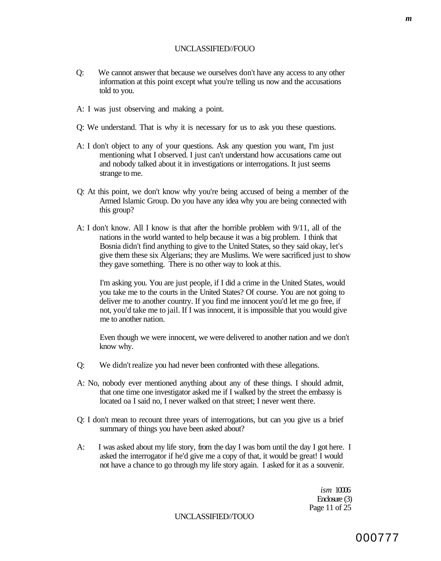- Q: We cannot answer that because we ourselves don't have any access to any other information at this point except what you're telling us now and the accusations told to you.
- A: I was just observing and making a point.
- Q: We understand. That is why it is necessary for us to ask you these questions.
- A: I don't object to any of your questions. Ask any question you want, I'm just mentioning what I observed. I just can't understand how accusations came out and nobody talked about it in investigations or interrogations. It just seems strange to me.
- Q: At this point, we don't know why you're being accused of being a member of the Armed Islamic Group. Do you have any idea why you are being connected with this group?
- A: I don't know. All I know is that after the horrible problem with 9/11, all of the nations in the world wanted to help because it was a big problem. I think that Bosnia didn't find anything to give to the United States, so they said okay, let's give them these six Algerians; they are Muslims. We were sacrificed just to show they gave something. There is no other way to look at this.

I'm asking you. You are just people, if I did a crime in the United States, would you take me to the courts in the United States? Of course. You are not going to deliver me to another country. If you find me innocent you'd let me go free, if not, you'd take me to jail. If I was innocent, it is impossible that you would give me to another nation.

Even though we were innocent, we were delivered to another nation and we don't know why.

- Q: We didn't realize you had never been confronted with these allegations.
- A: No, nobody ever mentioned anything about any of these things. I should admit, that one time one investigator asked me if I walked by the street the embassy is located oa I said no, I never walked on that street; I never went there.
- Q: I don't mean to recount three years of interrogations, but can you give us a brief summary of things you have been asked about?
- A: I was asked about my life story, from the day I was born until the day I got here. I asked the interrogator if he'd give me a copy of that, it would be great! I would not have a chance to go through my life story again. I asked for it as a souvenir.

*ism* 10006 Enclosure (3) Page 11 of 25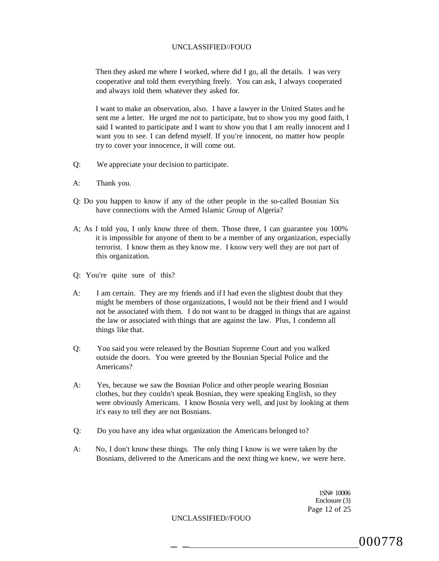Then they asked me where I worked, where did I go, all the details. I was very cooperative and told them everything freely. You can ask, I always cooperated and always told them whatever they asked for.

I want to make an observation, also. I have a lawyer in the United States and he sent me a letter. He urged me not to participate, but to show you my good faith, I said I wanted to participate and I want to show you that I am really innocent and I want you to see. I can defend myself. If you're innocent, no matter how people try to cover your innocence, it will come out.

- Q: We appreciate your decision to participate.
- A: Thank you.
- Q: Do you happen to know if any of the other people in the so-called Bosnian Six have connections with the Armed Islamic Group of Algeria?
- A; As I told you, I only know three of them. Those three, I can guarantee you 100% it is impossible for anyone of them to be a member of any organization, especially terrorist. I know them as they know me. I know very well they are not part of this organization.
- Q: You're quite sure of this?
- A: I am certain. They are my friends and if I had even the slightest doubt that they might be members of those organizations, I would not be their friend and I would not be associated with them. I do not want to be dragged in things that are against the law or associated with things that are against the law. Plus, I condemn all things like that.
- Q: You said you were released by the Bosnian Supreme Court and you walked outside the doors. You were greeted by the Bosnian Special Police and the Americans?
- A: Yes, because we saw the Bosnian Police and other people wearing Bosnian clothes, but they couldn't speak Bosnian, they were speaking English, so they were obviously Americans. I know Bosnia very well, and just by looking at them it's easy to tell they are not Bosnians.
- Q: Do you have any idea what organization the Americans belonged to?
- A: No, I don't know these things. The only thing I know is we were taken by the Bosnians, delivered to the Americans and the next thing we knew, we were here.

1SN# 10006 Enclosure (3) Page 12 of 25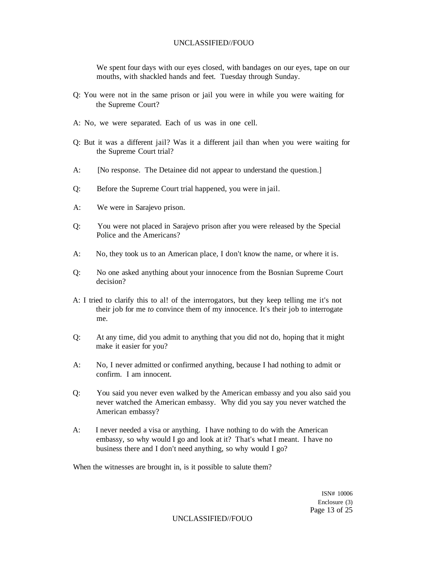We spent four days with our eyes closed, with bandages on our eyes, tape on our mouths, with shackled hands and feet. Tuesday through Sunday.

- Q: You were not in the same prison or jail you were in while you were waiting for the Supreme Court?
- A: No, we were separated. Each of us was in one cell.
- Q: But it was a different jail? Was it a different jail than when you were waiting for the Supreme Court trial?
- A: [No response. The Detainee did not appear to understand the question.]
- Q: Before the Supreme Court trial happened, you were in jail.
- A: We were in Sarajevo prison.
- Q: You were not placed in Sarajevo prison after you were released by the Special Police and the Americans?
- A: No, they took us to an American place, I don't know the name, or where it is.
- Q: No one asked anything about your innocence from the Bosnian Supreme Court decision?
- A: I tried to clarify this to al! of the interrogators, but they keep telling me it's not their job for me *to* convince them of my innocence. It's their job to interrogate me.
- Q: At any time, did you admit to anything that you did not do, hoping that it might make it easier for you?
- A: No, I never admitted or confirmed anything, because I had nothing to admit or confirm. I am innocent.
- Q: You said you never even walked by the American embassy and you also said you never watched the American embassy. Why did you say you never watched the American embassy?
- A: I never needed a visa or anything. I have nothing to do with the American embassy, so why would I go and look at it? That's what I meant. I have no business there and I don't need anything, so why would I go?

When the witnesses are brought in, is it possible to salute them?

ISN# 10006 Enclosure (3) Page 13 of 25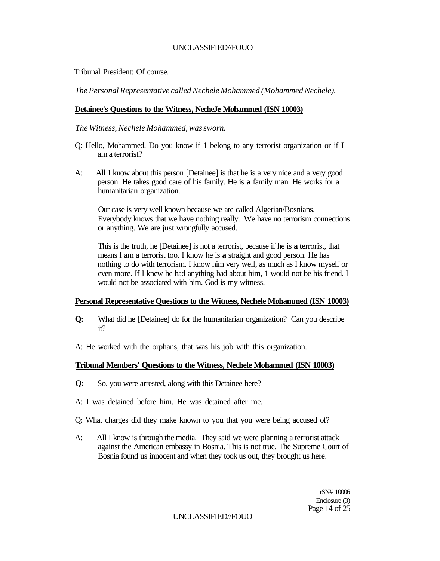Tribunal President: Of course.

*The Personal Representative called Nechele Mohammed (Mohammed Nechele).* 

# **Detainee's Questions to the Witness, NecheJe Mohammed (ISN 10003)**

*The Witness, Nechele Mohammed, was sworn.* 

- Q: Hello, Mohammed. Do you know if 1 belong to any terrorist organization or if I am a terrorist?
- A: All I know about this person [Detainee] is that he is a very nice and a very good person. He takes good care of his family. He is **a** family man. He works for a humanitarian organization.

Our case is very well known because we are called Algerian/Bosnians. Everybody knows that we have nothing really. We have no terrorism connections or anything. We are just wrongfully accused.

This is the truth, he [Detainee] is not a terrorist, because if he is **a** terrorist, that means I am a terrorist too. I know he is **a** straight and good person. He has nothing to do with terrorism. I know him very well, as much as I know myself or even more. If I knew he had anything bad about him, 1 would not be his friend. I would not be associated with him. God is my witness.

### **Personal Representative Questions to the Witness, Nechele Mohammed (ISN 10003)**

- **Q:** What did he [Detainee] do for the humanitarian organization? Can you describe it?
- A: He worked with the orphans, that was his job with this organization.

# **Tribunal Members' Questions to the Witness, Nechele Mohammed (ISN 10003)**

- **Q:** So, you were arrested, along with this Detainee here?
- A: I was detained before him. He was detained after me.
- Q: What charges did they make known to you that you were being accused of?
- A: All I know is through the media. They said we were planning a terrorist attack against the American embassy in Bosnia. This is not true. The Supreme Court of Bosnia found us innocent and when they took us out, they brought us here.

rSN# 10006 Enclosure (3) Page 14 of 25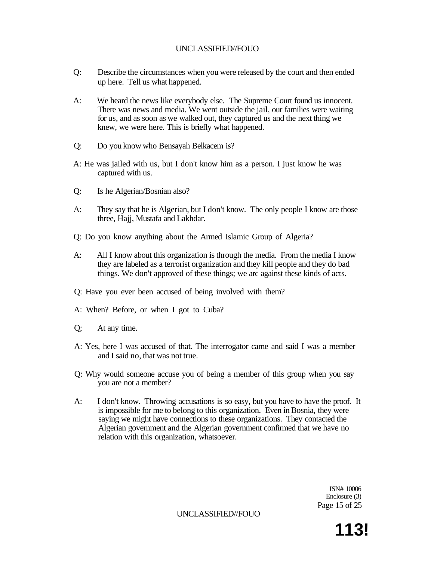- Q: Describe the circumstances when you were released by the court and then ended up here. Tell us what happened.
- A: We heard the news like everybody else. The Supreme Court found us innocent. There was news and media. We went outside the jail, our families were waiting for us, and as soon as we walked out, they captured us and the next thing we knew, we were here. This is briefly what happened.
- Q: Do you know who Bensayah Belkacem is?
- A: He was jailed with us, but I don't know him as a person. I just know he was captured with us.
- Q: Is he Algerian/Bosnian also?
- A: They say that he is Algerian, but I don't know. The only people I know are those three, Hajj, Mustafa and Lakhdar.
- Q: Do you know anything about the Armed Islamic Group of Algeria?
- A: All I know about this organization is through the media. From the media I know they are labeled as a terrorist organization and they kill people and they do bad things. We don't approved of these things; we arc against these kinds of acts.
- Q: Have you ever been accused of being involved with them?
- A: When? Before, or when I got to Cuba?
- Q; At any time.
- A: Yes, here I was accused of that. The interrogator came and said I was a member and I said no, that was not true.
- Q: Why would someone accuse you of being a member of this group when you say you are not a member?
- A: I don't know. Throwing accusations is so easy, but you have to have the proof. It is impossible for me to belong to this organization. Even in Bosnia, they were saying we might have connections to these organizations. They contacted the Algerian government and the Algerian government confirmed that we have no relation with this organization, whatsoever.

ISN# 10006 Enclosure (3) Page 15 of 25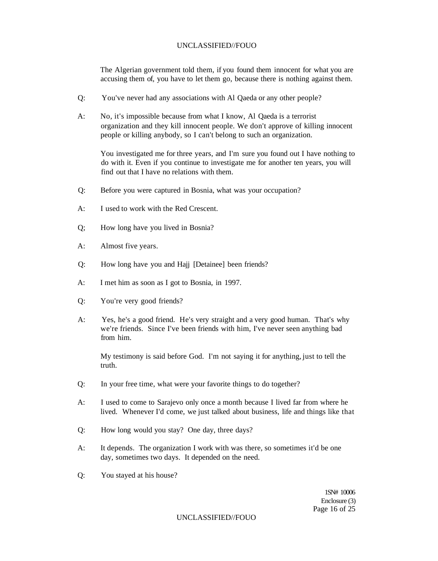The Algerian government told them, if you found them innocent for what you are accusing them of, you have to let them go, because there is nothing against them.

- Q: You've never had any associations with Al Qaeda or any other people?
- A: No, it's impossible because from what I know, Al Qaeda is a terrorist organization and they kill innocent people. We don't approve of killing innocent people or killing anybody, so I can't belong to such an organization.

You investigated me for three years, and I'm sure you found out I have nothing to do with it. Even if you continue to investigate me for another ten years, you will find out that I have no relations with them.

- Q: Before you were captured in Bosnia, what was your occupation?
- A: I used to work with the Red Crescent.
- Q; How long have you lived in Bosnia?
- A: Almost five years.
- Q: How long have you and Hajj [Detainee] been friends?
- A: I met him as soon as I got to Bosnia, in 1997.
- Q: You're very good friends?
- A: Yes, he's a good friend. He's very straight and a very good human. That's why we're friends. Since I've been friends with him, I've never seen anything bad from him.

My testimony is said before God. I'm not saying it for anything, just to tell the truth.

- Q: In your free time, what were your favorite things to do together?
- A: I used to come to Sarajevo only once a month because I lived far from where he lived. Whenever I'd come, we just talked about business, life and things like that
- Q: How long would you stay? One day, three days?
- A: It depends. The organization I work with was there, so sometimes it'd be one day, sometimes two days. It depended on the need.
- Q: You stayed at his house?

1SN# 10006 Enclosure (3) Page 16 of 25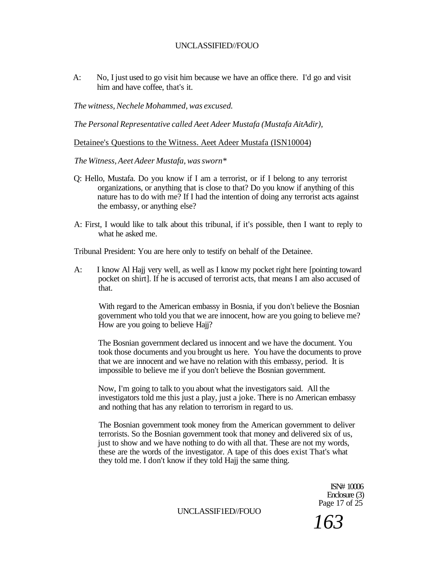A: No, I just used to go visit him because we have an office there. I'd go and visit him and have coffee, that's it.

*The witness, Nechele Mohammed, was excused.* 

*The Personal Representative called Aeet Adeer Mustafa (Mustafa AitAdir),* 

Detainee's Questions to the Witness. Aeet Adeer Mustafa (ISN10004)

*The Witness, Aeet Adeer Mustafa, was sworn\** 

- Q: Hello, Mustafa. Do you know if I am a terrorist, or if I belong to any terrorist organizations, or anything that is close to that? Do you know if anything of this nature has to do with me? If I had the intention of doing any terrorist acts against the embassy, or anything else?
- A: First, I would like to talk about this tribunal, if it's possible, then I want to reply to what he asked me.

Tribunal President: You are here only to testify on behalf of the Detainee.

A: I know Al Hajj very well, as well as I know my pocket right here [pointing toward pocket on shirt]. If he is accused of terrorist acts, that means I am also accused of that.

With regard to the American embassy in Bosnia, if you don't believe the Bosnian government who told you that we are innocent, how are you going to believe me? How are you going to believe Hajj?

The Bosnian government declared us innocent and we have the document. You took those documents and you brought us here. You have the documents to prove that we are innocent and we have no relation with this embassy, period. It is impossible to believe me if you don't believe the Bosnian government.

Now, I'm going to talk to you about what the investigators said. All the investigators told me this just a play, just a joke. There is no American embassy and nothing that has any relation to terrorism in regard to us.

The Bosnian government took money from the American government to deliver terrorists. So the Bosnian government took that money and delivered six of us, just to show and we have nothing to do with all that. These are not my words, these are the words of the investigator. A tape of this does exist That's what they told me. I don't know if they told Hajj the same thing.

> $ISN# 10006$ Enclosure (3) Page 17 of 25

UNCLASSIF1ED//FOUO

*163*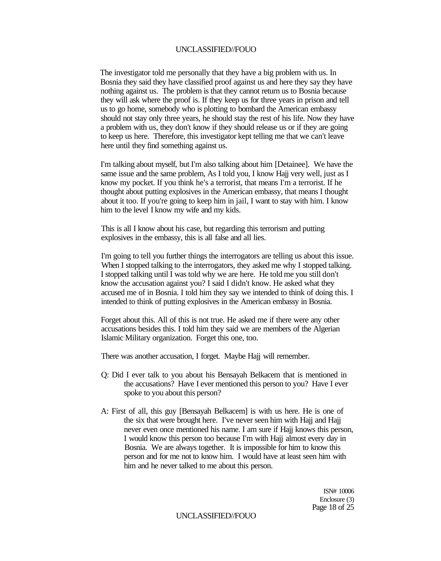The investigator told me personally that they have a big problem with us. In Bosnia they said they have classified proof against us and here they say they have nothing against us. The problem is that they cannot return us to Bosnia because they will ask where the proof is. If they keep us for three years in prison and tell us to go home, somebody who is plotting to bombard the American embassy should not stay only three years, he should stay the rest of his life. Now they have a problem with us, they don't know if they should release us or if they are going to keep us here. Therefore, this investigator kept telling me that we can't leave here until they find something against us.

I'm talking about myself, but I'm also talking about him [Detainee]. We have the same issue and the same problem, As I told you, I know Hajj very well, just as I know my pocket. If you think he's a terrorist, that means I'm a terrorist. If he thought about putting explosives in the American embassy, that means I thought about it too. If you're going to keep him in jail, I want to stay with him. I know him to the level I know my wife and my kids.

This is all I know about his case, but regarding this terrorism and putting explosives in the embassy, this is all false and all lies.

I'm going to tell you further things the interrogators are telling us about this issue. When I stopped talking to the interrogators, they asked me why I stopped talking. I stopped talking until I was told why we are here. He told me you still don't know the accusation against you? I said I didn't know. He asked what they accused me of in Bosnia. I told him they say we intended to think of doing this. I intended to think of putting explosives in the American embassy in Bosnia.

Forget about this. All of this is not true. He asked me if there were any other accusations besides this. I told him they said we are members of the Algerian Islamic Military organization. Forget this one, too.

There was another accusation, I forget. Maybe Hajj will remember.

- Q: Did I ever talk to you about his Bensayah Belkacem that is mentioned in the accusations? Have I ever mentioned this person to you? Have I ever spoke to you about this person?
- A: First of all, this guy [Bensayah Belkacem] is with us here. He is one of the six that were brought here. I've never seen him with Hajj and Hajj never even once mentioned his name. I am sure if Hajj knows this person, I would know this person too because I'm with Hajj almost every day in Bosnia. We are always together. It is impossible for him to know this person and for me not to know him. I would have at least seen him with him and he never talked to me about this person.

ISN# 10006 Enclosure (3) Page 18 of 25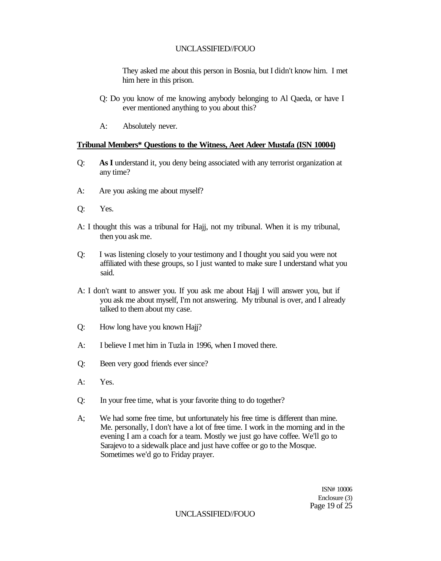They asked me about this person in Bosnia, but I didn't know hirn. I met him here in this prison.

- Q: Do you know of me knowing anybody belonging to Al Qaeda, or have I ever mentioned anything to you about this?
- A: Absolutely never.

### **Tribunal Members\* Questions to the Witness, Aeet Adeer Mustafa (ISN 10004)**

- Q: **As I** understand it, you deny being associated with any terrorist organization at any time?
- A: Are you asking me about myself?
- Q: Yes.
- A: I thought this was a tribunal for Hajj, not my tribunal. When it is my tribunal, then you ask me.
- Q: I was listening closely to your testimony and I thought you said you were not affiliated with these groups, so I just wanted to make sure I understand what you said.
- A: I don't want to answer you. If you ask me about Hajj I will answer you, but if you ask me about myself, I'm not answering. My tribunal is over, and I already talked to them about my case.
- Q: How long have you known Hajj?
- A: I believe I met him in Tuzla in 1996, when I moved there.
- Q: Been very good friends ever since?
- A: Yes.
- Q: In your free time, what is your favorite thing to do together?
- A; We had some free time, but unfortunately his free time is different than mine. Me. personally, I don't have a lot of free time. I work in the morning and in the evening I am a coach for a team. Mostly we just go have coffee. We'll go to Sarajevo to a sidewalk place and just have coffee or go to the Mosque. Sometimes we'd go to Friday prayer.

ISN# 10006 Enclosure (3) Page 19 of 25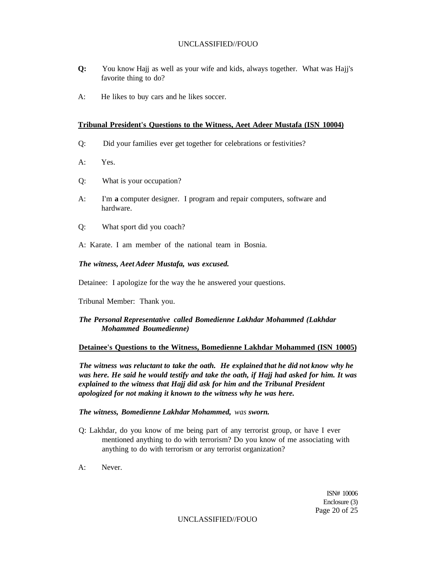- **Q:** You know Hajj as well as your wife and kids, always together. What was Hajj's favorite thing to do?
- A: He likes to buy cars and he likes soccer.

#### **Tribunal President's Questions to the Witness, Aeet Adeer Mustafa (ISN 10004)**

- Q: Did your families ever get together for celebrations or festivities?
- A: Yes.
- Q: What is your occupation?
- A: I'm **a** computer designer. I program and repair computers, software and hardware.
- Q: What sport did you coach?
- A: Karate. I am member of the national team in Bosnia.

#### *The witness, Aeet Adeer Mustafa, was excused.*

Detainee: I apologize for the way the he answered your questions.

Tribunal Member: Thank you.

#### *The Personal Representative called Bomedienne Lakhdar Mohammed (Lakhdar Mohammed Boumedienne)*

#### **Detainee's Questions to the Witness, Bomedienne Lakhdar Mohammed (ISN 10005)**

*The witness was reluctant to take the oath. He explained that he did not know why he was here. He said he would testify and take the oath, if Hajj had asked for him. It was*  explained to the witness that Hajj did ask for him and the Tribunal President *apologized for not making it known to the witness why he was here.* 

*The witness, Bomedienne Lakhdar Mohammed, was sworn.* 

- Q: Lakhdar, do you know of me being part of any terrorist group, or have I ever mentioned anything to do with terrorism? Do you know of me associating with anything to do with terrorism or any terrorist organization?
- A: Never.

ISN# 10006 Enclosure (3) Page 20 of 25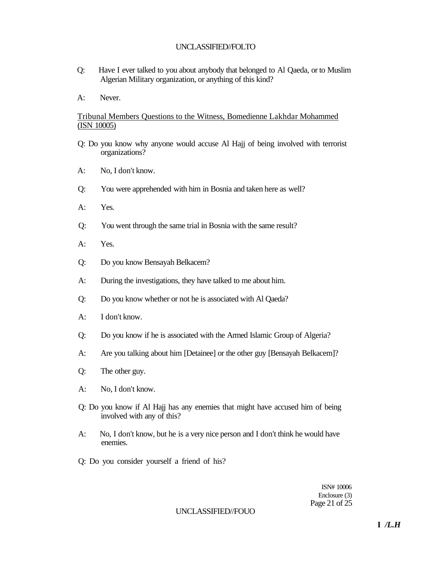- Q: Have I ever talked to you about anybody that belonged to Al Qaeda, or to Muslim Algerian Military organization, or anything of this kind?
- A: Never.

# Tribunal Members Questions to the Witness, Bomedienne Lakhdar Mohammed (ISN 10005)

- Q: Do you know why anyone would accuse Al Hajj of being involved with terrorist organizations?
- A: No, I don't know.
- Q: You were apprehended with him in Bosnia and taken here as well?
- A: Yes.
- Q: You went through the same trial in Bosnia with the same result?
- A: Yes.
- Q: Do you know Bensayah Belkacem?
- A: During the investigations, they have talked to me about him.
- Q: Do you know whether or not he is associated with Al Qaeda?
- A: I don't know.
- Q: Do you know if he is associated with the Armed Islamic Group of Algeria?
- A: Are you talking about him [Detainee] or the other guy [Bensayah Belkacem]?
- Q: The other guy.
- A: No, I don't know.
- Q: Do you know if Al Hajj has any enemies that might have accused him of being involved with any of this?
- A: No, I don't know, but he is a very nice person and I don't think he would have enemies.
- Q: Do you consider yourself a friend of his?

ISN# 10006 Enclosure (3) Page 21 of 25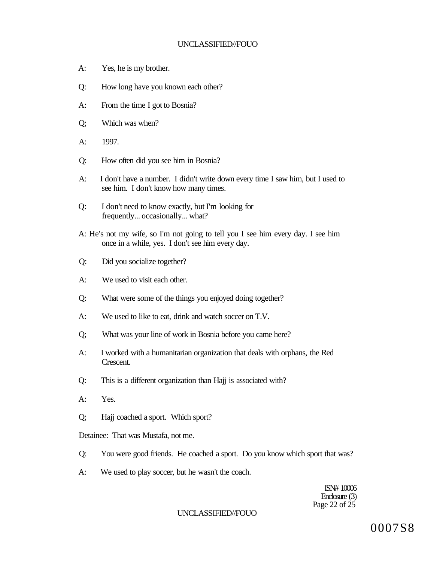- A: Yes, he is my brother.
- Q: How long have you known each other?
- A: From the time I got to Bosnia?
- Q; Which was when?
- A: 1997.
- Q: How often did you see him in Bosnia?
- A: I don't have a number. I didn't write down every time I saw him, but I used to see him. I don't know how many times.
- Q: I don't need to know exactly, but I'm looking for frequently... occasionally... what?
- A: He's not my wife, so I'm not going to tell you I see him every day. I see him once in a while, yes. I don't see him every day.
- Q: Did you socialize together?
- A: We used to visit each other.
- Q: What were some of the things you enjoyed doing together?
- A: We used to like to eat, drink and watch soccer on T.V.
- Q; What was your line of work in Bosnia before you came here?
- A: I worked with a humanitarian organization that deals with orphans, the Red Crescent.
- Q: This is a different organization than Hajj is associated with?
- A: Yes.
- Q; Hajj coached a sport. Which sport?

Detainee: That was Mustafa, not me.

- Q: You were good friends. He coached a sport. Do you know which sport that was?
- A: We used to play soccer, but he wasn't the coach.

ISN# 10006 Enclosure (3) Page 22 of 25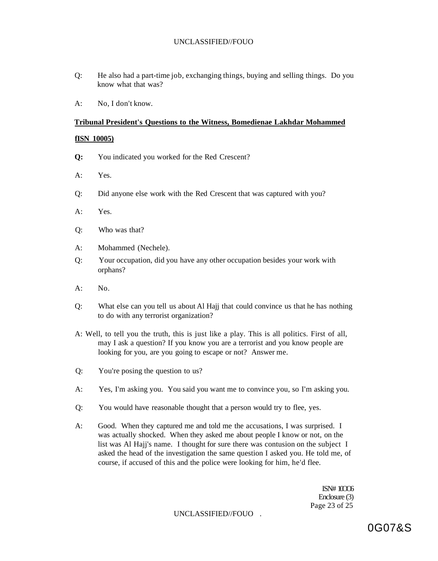- Q: He also had a part-time job, exchanging things, buying and selling things. Do you know what that was?
- A: No, I don't know.

#### **Tribunal President's Questions to the Witness, Bomedienae Lakhdar Mohammed**

#### **fISN 10005)**

- **Q:** You indicated you worked for the Red Crescent?
- A: Yes.
- Q: Did anyone else work with the Red Crescent that was captured with you?
- A: Yes.
- Q: Who was that?
- A: Mohammed (Nechele).
- Q: Your occupation, did you have any other occupation besides your work with orphans?
- A: No.
- Q: What else can you tell us about Al Hajj that could convince us that he has nothing to do with any terrorist organization?
- A: Well, to tell you the truth, this is just like a play. This is all politics. First of all, may I ask a question? If you know you are a terrorist and you know people are looking for you, are you going to escape or not? Answer me.
- Q: You're posing the question to us?
- A: Yes, I'm asking you. You said you want me to convince you, so I'm asking you.
- Q: You would have reasonable thought that a person would try to flee, yes.
- A: Good. When they captured me and told me the accusations, I was surprised. I was actually shocked. When they asked me about people I know or not, on the list was Al Hajj's name. I thought for sure there was contusion on the subject I asked the head of the investigation the same question I asked you. He told me, of course, if accused of this and the police were looking for him, he'd flee.

 $ISN#10006$ Enclosure (3) Page 23 of 25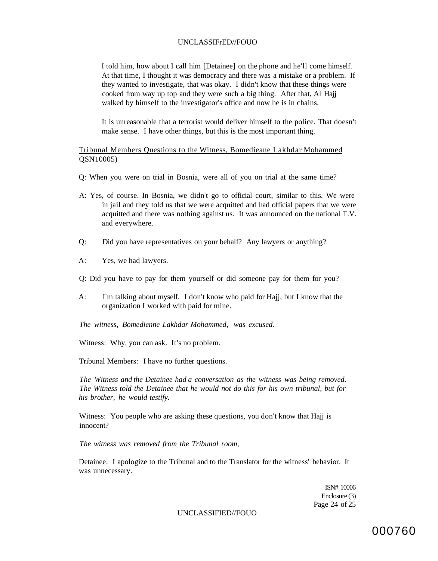I told him, how about I call him [Detainee] on the phone and he'll come himself. At that time, I thought it was democracy and there was a mistake or a problem. If they wanted to investigate, that was okay. I didn't know that these things were cooked from way up top and they were such a big thing. After that, Al Hajj walked by himself to the investigator's office and now he is in chains.

It is unreasonable that a terrorist would deliver himself to the police. That doesn't make sense. I have other things, but this is the most important thing.

## Tribunal Members Questions to the Witness, Bomedieane Lakhdar Mohammed QSN10005)

- Q: When you were on trial in Bosnia, were all of you on trial at the same time?
- A: Yes, of course. In Bosnia, we didn't go to official court, similar to this. We were in jail and they told us that we were acquitted and had official papers that we were acquitted and there was nothing against us. It was announced on the national T.V. and everywhere.
- Q: Did you have representatives on your behalf? Any lawyers or anything?
- A: Yes, we had lawyers.
- Q: Did you have to pay for them yourself or did someone pay for them for you?
- A: I'm talking about myself. I don't know who paid for Hajj, but I know that the organization I worked with paid for mine.

*The witness, Bomedienne Lakhdar Mohammed, was excused.* 

Witness: Why, you can ask. It's no problem.

Tribunal Members: I have no further questions.

*The Witness and the Detainee had a conversation as the witness was being removed. The Witness told the Detainee that he would not do this for his own tribunal, but for his brother, he would testify.* 

Witness: You people who are asking these questions, you don't know that Hajj is innocent?

*The witness was removed from the Tribunal room,* 

Detainee: I apologize to the Tribunal and to the Translator for the witness' behavior. It was unnecessary.

> ISN# 10006 Enclosure (3) Page 24 of 25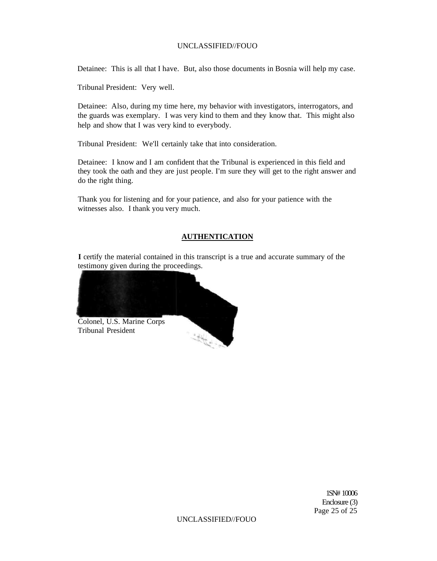Detainee: This is all that I have. But, also those documents in Bosnia will help my case.

Tribunal President: Very well.

Detainee: Also, during my time here, my behavior with investigators, interrogators, and the guards was exemplary. I was very kind to them and they know that. This might also help and show that I was very kind to everybody.

Tribunal President: We'll certainly take that into consideration.

Detainee: I know and I am confident that the Tribunal is experienced in this field and they took the oath and they are just people. I'm sure they will get to the right answer and do the right thing.

Thank you for listening and for your patience, and also for your patience with the witnesses also. I thank you very much.

# **AUTHENTICATION**

**I** certify the material contained in this transcript is a true and accurate summary of the testimony given during the proceedings.



1SN# 10006 Enclosure (3) Page 25 of 25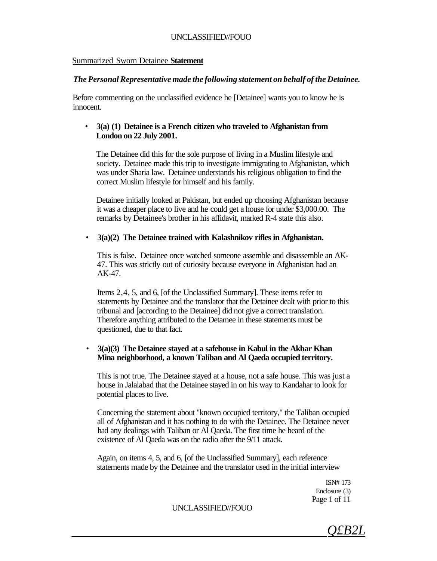#### Summarized Sworn Detainee **Statement**

### *The Personal Representative made the following statement on behalf of the Detainee.*

Before commenting on the unclassified evidence he [Detainee] wants you to know he is innocent.

# • **3(a) (1) Detainee is a French citizen who traveled to Afghanistan from London on 22 July 2001.**

The Detainee did this for the sole purpose of living in a Muslim lifestyle and society. Detainee made this trip to investigate immigrating to Afghanistan, which was under Sharia law. Detainee understands his religious obligation to find the correct Muslim lifestyle for himself and his family.

Detainee initially looked at Pakistan, but ended up choosing Afghanistan because it was a cheaper place to live and he could get a house for under \$3,000.00. The remarks by Detainee's brother in his affidavit, marked R-4 state this also.

### • **3(a)(2) The Detainee trained with Kalashnikov rifles in Afghanistan.**

This is false. Detainee once watched someone assemble and disassemble an AK-47. This was strictly out of curiosity because everyone in Afghanistan had an AK-47.

Items 2,4, 5, and 6, [of the Unclassified Summary]. These items refer to statements by Detainee and the translator that the Detainee dealt with prior to this tribunal and [according to the Detainee] did not give a correct translation. Therefore anything attributed to the Detamee in these statements must be questioned, due to that fact.

# • **3(a)(3) The Detainee stayed at a safehouse in Kabul in the Akbar Khan Mina neighborhood, a known Taliban and Al Qaeda occupied territory.**

This is not true. The Detainee stayed at a house, not a safe house. This was just a house in Jalalabad that the Detainee stayed in on his way to Kandahar to look for potential places to live.

Concerning the statement about "known occupied territory," the Taliban occupied all of Afghanistan and it has nothing to do with the Detainee. The Detainee never had any dealings with Taliban or Al Qaeda. The first time he heard of the existence of Al Qaeda was on the radio after the 9/11 attack.

Again, on items 4, 5, and 6, [of the Unclassified Summary], each reference statements made by the Detainee and the translator used in the initial interview

> ISN# 173 Enclosure (3) Page 1 of 11

*Q£B2L*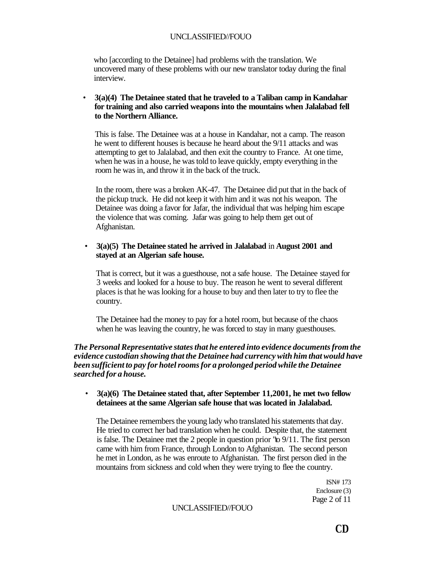who [according to the Detainee] had problems with the translation. We uncovered many of these problems with our new translator today during the final interview.

• **3(a)(4) The Detainee stated that he traveled to a Taliban camp in Kandahar for training and also carried weapons into the mountains when Jalalabad fell to the Northern Alliance.** 

This is false. The Detainee was at a house in Kandahar, not a camp. The reason he went to different houses is because he heard about the 9/11 attacks and was attempting to get to Jalalabad, and then exit the country to France. At one time, when he was in a house, he was told to leave quickly, empty everything in the room he was in, and throw it in the back of the truck.

In the room, there was a broken AK-47. The Detainee did put that in the back of the pickup truck. He did not keep it with him and it was not his weapon. The Detainee was doing a favor for Jafar, the individual that was helping him escape the violence that was coming. Jafar was going to help them get out of Afghanistan.

#### • **3(a)(5) The Detainee stated he arrived in Jalalabad** in **August 2001 and stayed at an Algerian safe house.**

That is correct, but it was a guesthouse, not a safe house. The Detainee stayed for 3 weeks and looked for a house to buy. The reason he went to several different places is that he was looking for a house to buy and then later to try to flee the country.

The Detainee had the money to pay for a hotel room, but because of the chaos when he was leaving the country, he was forced to stay in many guesthouses.

# *The Personal Representative states that he entered into evidence documents from the evidence custodian showing that the Detainee had currency with him that would have been sufficient to pay for hotel rooms for a prolonged period while the Detainee searched for a house.*

# • **3(a)(6) The Detainee stated that, after September 11,2001, he met two fellow detainees at the same Algerian safe house that was located in Jalalabad.**

The Detainee remembers the young lady who translated his statements that day. He tried to correct her bad translation when he could. Despite that, the statement is false. The Detainee met the 2 people in question prior "to 9/11. The first person came with him from France, through London to Afghanistan. The second person he met in London, as he was enroute to Afghanistan. The first person died in the mountains from sickness and cold when they were trying to flee the country.

> ISN# 173 Enclosure (3) Page 2 of 11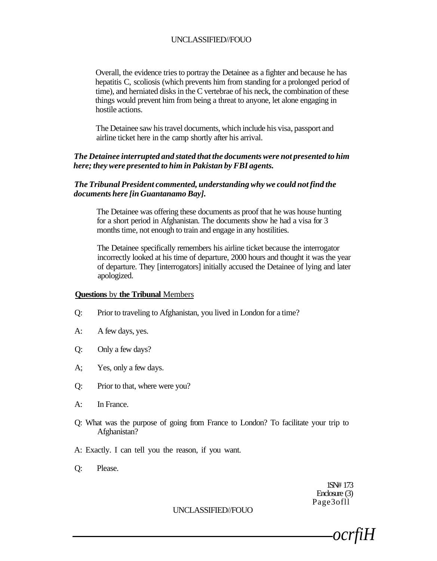Overall, the evidence tries to portray the Detainee as a fighter and because he has hepatitis C, scoliosis (which prevents him from standing for a prolonged period of time), and herniated disks in the C vertebrae of his neck, the combination of these things would prevent him from being a threat to anyone, let alone engaging in hostile actions.

The Detainee saw his travel documents, which include his visa, passport and airline ticket here in the camp shortly after his arrival.

# *The Detainee interrupted and stated that the documents were not presented to him here; they were presented to him in Pakistan by FBI agents.*

# *The Tribunal President commented, understanding why we could not find the documents here [in Guantanamo Bay].*

The Detainee was offering these documents as proof that he was house hunting for a short period in Afghanistan. The documents show he had a visa for 3 months time, not enough to train and engage in any hostilities.

The Detainee specifically remembers his airline ticket because the interrogator incorrectly looked at his time of departure, 2000 hours and thought it was the year of departure. They [interrogators] initially accused the Detainee of lying and later apologized.

#### **Questions** by **the Tribunal** Members

- Q: Prior to traveling to Afghanistan, you lived in London for a time?
- A: A few days, yes.
- Q: Only a few days?
- A; Yes, only a few days.
- Q: Prior to that, where were you?
- A: In France.
- Q: What was the purpose of going from France to London? To facilitate your trip to Afghanistan?
- A: Exactly. I can tell you the reason, if you want.
- Q: Please.

1SN# 173 Enclosure (3) Page3ofll

*ocrfiH*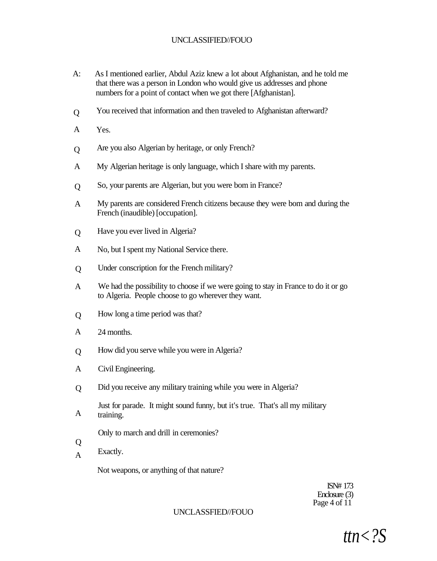- A: As I mentioned earlier, Abdul Aziz knew a lot about Afghanistan, and he told me that there was a person in London who would give us addresses and phone numbers for a point of contact when we got there [Afghanistan].
- Q You received that information and then traveled to Afghanistan afterward?
- A Yes.
- Q Are you also Algerian by heritage, or only French?
- A My Algerian heritage is only language, which I share with my parents.
- Q So, your parents are Algerian, but you were bom in France?
- A My parents are considered French citizens because they were bom and during the French (inaudible) [occupation].
- Q Have you ever lived in Algeria?
- A No, but I spent my National Service there.
- $\overline{O}$ Under conscription for the French military?
- A We had the possibility to choose if we were going to stay in France to do it or go to Algeria. People choose to go wherever they want.
- $\overline{O}$ How long a time period was that?
- A 24 months.
- Q How did you serve while you were in Algeria?
- A Civil Engineering.
- $\overline{O}$ Did you receive any military training while you were in Algeria?
- A Just for parade. It might sound funny, but it's true. That's all my military training.
	- Only to march and drill in ceremonies?
- Q
- A Exactly.

Not weapons, or anything of that nature?

ISN# 173 Enclosure (3) Page 4 of 11

#### UNCLASSFIED//FOUO

*ttn<?S*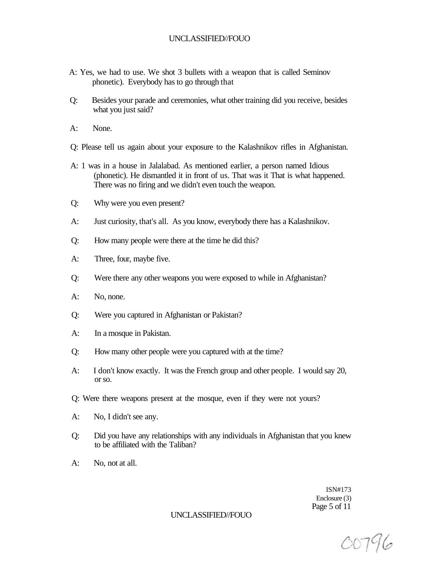- A: Yes, we had to use. We shot 3 bullets with a weapon that is called Seminov phonetic). Everybody has to go through that
- Q: Besides your parade and ceremonies, what other training did you receive, besides what you just said?
- A: None.
- Q: Please tell us again about your exposure to the Kalashnikov rifles in Afghanistan.
- A: 1 was in a house in Jalalabad. As mentioned earlier, a person named Idious (phonetic). He dismantled it in front of us. That was it That is what happened. There was no firing and we didn't even touch the weapon.
- Q: Why were you even present?
- A: Just curiosity, that's all. As you know, everybody there has a Kalashnikov.
- Q: How many people were there at the time he did this?
- A: Three, four, maybe five.
- Q: Were there any other weapons you were exposed to while in Afghanistan?
- A: No, none.
- Q: Were you captured in Afghanistan or Pakistan?
- A: In a mosque in Pakistan.
- Q: How many other people were you captured with at the time?
- A: I don't know exactly. It was the French group and other people. I would say 20, or so.
- Q: Were there weapons present at the mosque, even if they were not yours?
- A: No, I didn't see any.
- Q: Did you have any relationships with any individuals in Afghanistan that you knew to be affiliated with the Taliban?
- A: No, not at all.

ISN#173 Enclosure (3) Page 5 of 11

00796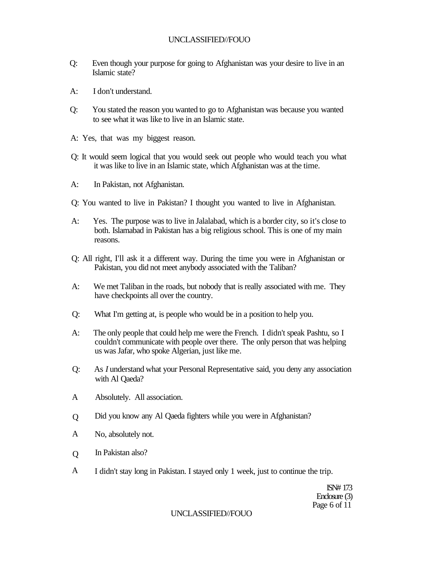- Q: Even though your purpose for going to Afghanistan was your desire to live in an Islamic state?
- A: I don't understand.
- Q: You stated the reason you wanted to go to Afghanistan was because you wanted to see what it was like to live in an Islamic state.
- A: Yes, that was my biggest reason.
- Q: It would seem logical that you would seek out people who would teach you what it was like to live in an Islamic state, which Afghanistan was at the time.
- A: In Pakistan, not Afghanistan.
- Q: You wanted to live in Pakistan? I thought you wanted to live in Afghanistan.
- A: Yes. The purpose was to live in Jalalabad, which is a border city, so it's close to both. Islamabad in Pakistan has a big religious school. This is one of my main reasons.
- Q: All right, I'll ask it a different way. During the time you were in Afghanistan or Pakistan, you did not meet anybody associated with the Taliban?
- A: We met Taliban in the roads, but nobody that is really associated with me. They have checkpoints all over the country.
- Q: What I'm getting at, is people who would be in a position to help you.
- A: The only people that could help me were the French. I didn't speak Pashtu, so I couldn't communicate with people over there. The only person that was helping us was Jafar, who spoke Algerian, just like me.
- Q: As *I* understand what your Personal Representative said, you deny any association with Al Qaeda?
- A Absolutely. All association.
- Q Did you know any Al Qaeda fighters while you were in Afghanistan?
- A No, absolutely not.
- Q In Pakistan also?
- A I didn't stay long in Pakistan. I stayed only 1 week, just to continue the trip.

ISN# 173 Enclosure (3) Page 6 of 11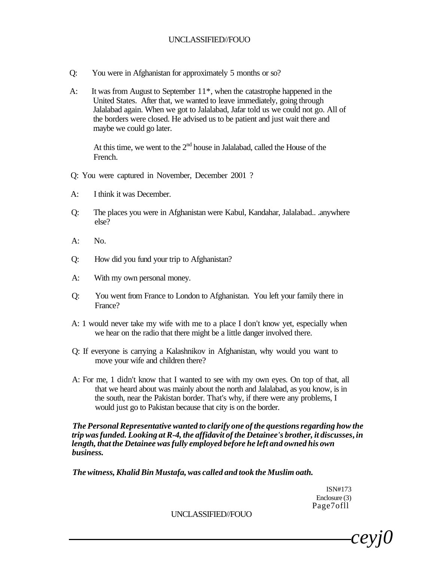- Q: You were in Afghanistan for approximately 5 months or so?
- A: It was from August to September 11\*, when the catastrophe happened in the United States. After that, we wanted to leave immediately, going through Jalalabad again. When we got to Jalalabad, Jafar told us we could not go. All of the borders were closed. He advised us to be patient and just wait there and maybe we could go later.

At this time, we went to the  $2<sup>nd</sup>$  house in Jalalabad, called the House of the French.

- Q: You were captured in November, December 2001 ?
- A: I think it was December.
- Q: The places you were in Afghanistan were Kabul, Kandahar, Jalalabad.. .anywhere else?
- A: No.
- Q: How did you fund your trip to Afghanistan?
- A: With my own personal money.
- Q: You went from France to London to Afghanistan. You left your family there in France?
- A: 1 would never take my wife with me to a place I don't know yet, especially when we hear on the radio that there might be a little danger involved there.
- Q: If everyone is carrying a Kalashnikov in Afghanistan, why would you want to move your wife and children there?
- A: For me, 1 didn't know that I wanted to see with my own eyes. On top of that, all that we heard about was mainly about the north and Jalalabad, as you know, is in the south, near the Pakistan border. That's why, if there were any problems, I would just go to Pakistan because that city is on the border.

*The Personal Representative wanted to clarify one of the questions regarding how the trip was funded. Looking at R-4, the affidavit of the Detainee's brother, it discusses***,** *in length, that the Detainee was fully employed before he left and owned his own business.* 

*The witness, Khalid Bin Mustafa, was called and took the Muslim oath.* 

ISN#173 Enclosure (3) Page7ofll

*ceyj0*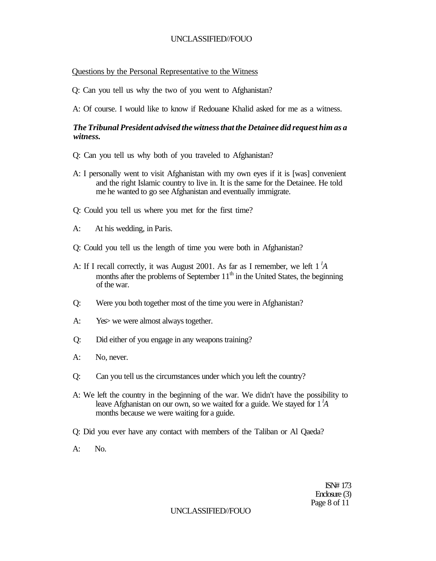#### Questions by the Personal Representative to the Witness

Q: Can you tell us why the two of you went to Afghanistan?

A: Of course. I would like to know if Redouane Khalid asked for me as a witness.

### *The Tribunal President advised the witness that the Detainee did request him as a witness.*

- Q: Can you tell us why both of you traveled to Afghanistan?
- A: I personally went to visit Afghanistan with my own eyes if it is [was] convenient and the right Islamic country to live in. It is the same for the Detainee. He told me he wanted to go see Afghanistan and eventually immigrate.
- Q: Could you tell us where you met for the first time?
- A: At his wedding, in Paris.
- Q: Could you tell us the length of time you were both in Afghanistan?
- A: If I recall correctly, it was August 2001. As far as I remember, we left 1 *<sup>l</sup>A*  months after the problems of September  $11<sup>th</sup>$  in the United States, the beginning of the war.
- Q: Were you both together most of the time you were in Afghanistan?
- A: Yes we were almost always together.
- Q: Did either of you engage in any weapons training?
- A: No, never.
- Q: Can you tell us the circumstances under which you left the country?
- A: We left the country in the beginning of the war. We didn't have the possibility to leave Afghanistan on our own, so we waited for a guide. We stayed for 1 *<sup>l</sup>A*  months because we were waiting for a guide.
- Q: Did you ever have any contact with members of the Taliban or Al Qaeda?
- A: No.

ISN# 173 Enclosure (3) Page 8 of 11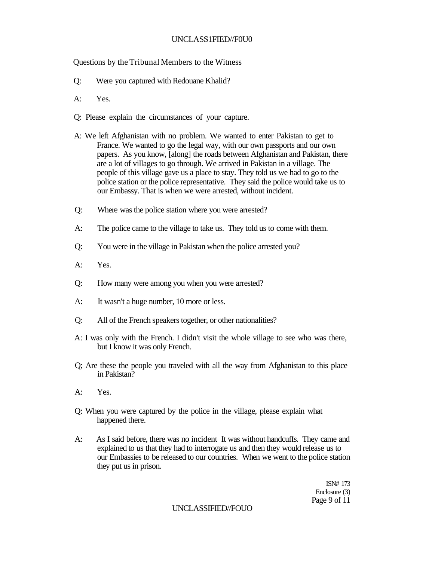# UNCLASS1FIED//F0U0

# Questions by the Tribunal Members to the Witness

- Q: Were you captured with Redouane Khalid?
- A: Yes.
- Q: Please explain the circumstances of your capture.
- A: We left Afghanistan with no problem. We wanted to enter Pakistan to get to France. We wanted to go the legal way, with our own passports and our own papers. As you know, [along] the roads between Afghanistan and Pakistan, there are a lot of villages to go through. We arrived in Pakistan in a village. The people of this village gave us a place to stay. They told us we had to go to the police station or the police representative. They said the police would take us to our Embassy. That is when we were arrested, without incident.
- Q: Where was the police station where you were arrested?
- A: The police came to the village to take us. They told us to come with them.
- Q: You were in the village in Pakistan when the police arrested you?
- A: Yes.
- Q: How many were among you when you were arrested?
- A: It wasn't a huge number, 10 more or less.
- Q: All of the French speakers together, or other nationalities?
- A: I was only with the French. I didn't visit the whole village to see who was there, but I know it was only French.
- Q; Are these the people you traveled with all the way from Afghanistan to this place in Pakistan?
- A: Yes.
- Q: When you were captured by the police in the village, please explain what happened there.
- A: As I said before, there was no incident It was without handcuffs. They came and explained to us that they had to interrogate us and then they would release us to our Embassies to be released to our countries. When we went to the police station they put us in prison.

ISN# 173 Enclosure (3) Page 9 of 11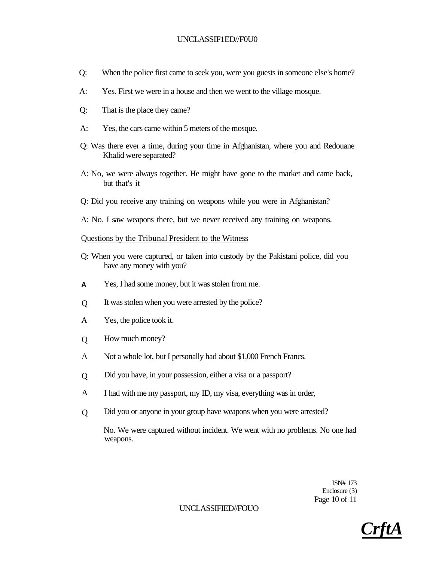# UNCLASSIF1ED//F0U0

- Q: When the police first came to seek you, were you guests in someone else's home?
- A: Yes. First we were in a house and then we went to the village mosque.
- Q: That is the place they came?
- A: Yes, the cars came within 5 meters of the mosque.
- Q: Was there ever a time, during your time in Afghanistan, where you and Redouane Khalid were separated?
- A: No, we were always together. He might have gone to the market and came back, but that's it
- Q: Did you receive any training on weapons while you were in Afghanistan?
- A: No. I saw weapons there, but we never received any training on weapons.

#### Questions by the Tribunal President to the Witness

- Q: When you were captured, or taken into custody by the Pakistani police, did you have any money with you?
- **A**  Yes, I had some money, but it was stolen from me.
- $\overline{O}$ It was stolen when you were arrested by the police?
- A Yes, the police took it.
- $\overline{O}$ How much money?
- A Not a whole lot, but I personally had about \$1,000 French Francs.
- $\overline{O}$ Did you have, in your possession, either a visa or a passport?
- A I had with me my passport, my ID, my visa, everything was in order,
- $\overline{O}$ Did you or anyone in your group have weapons when you were arrested?

No. We were captured without incident. We went with no problems. No one had weapons.

> ISN# 173 Enclosure (3) Page 10 of 11

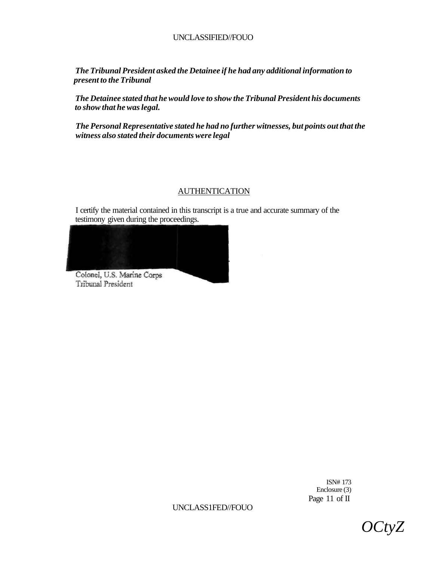*The Tribunal President asked the Detainee if he had any additional information to present to the Tribunal* 

*The Detainee stated that he would love to show the Tribunal President his documents to show that he was legal.* 

*The Personal Representative stated he had no further witnesses, but points out that the witness also stated their documents were legal* 

# AUTHENTICATION

I certify the material contained in this transcript is a true and accurate summary of the testimony given during the proceedings.



Tribunal President

ISN# 173 Enclosure (3) Page 11 of II

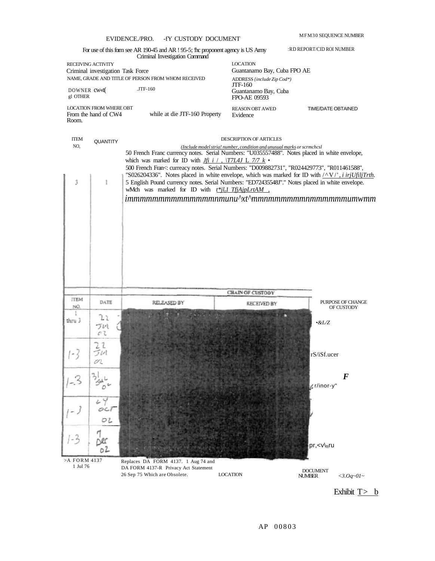|                          |                                                         | EVIDENCE./PRO.<br>-fy CUSTODY DOCUMENT                                                                                                                                                                           |                                                                        | MFM30 SEQUENCE NUMBER     |
|--------------------------|---------------------------------------------------------|------------------------------------------------------------------------------------------------------------------------------------------------------------------------------------------------------------------|------------------------------------------------------------------------|---------------------------|
|                          |                                                         | For use of this form see AR 190-45 and AR ! 95-5; the proponent agency is US Amy<br>Criminal Investigation Command                                                                                               |                                                                        | :RD REPORT/CID ROI NUMBER |
|                          | RECEIVING ACTIVITY<br>Criminal investigation Task Force |                                                                                                                                                                                                                  | <b>LOCATION</b><br>Guantanamo Bay, Cuba FPO AE                         |                           |
|                          |                                                         | NAME, GRADE AND TITLE OF PERSON FROM WHOM RECEIVED                                                                                                                                                               | ADDRESS {include Zip Cod*)<br><b>JTF-160</b>                           |                           |
| DOWNER CW<br>gl OTHER    |                                                         | $JTF-160$                                                                                                                                                                                                        | Guantanamo Bay, Cuba<br>FPO-AE 09593                                   |                           |
| Room.                    | <b>LOCATION FROM WHERE OBT</b><br>From the hand of CW4  | while at die JTF-160 Property                                                                                                                                                                                    | <b>REASON OBT AWED</b><br>Evidence                                     | <b>TIME/DATE OBTAINED</b> |
| <b>ITEM</b>              | <b>QUANTITY</b>                                         |                                                                                                                                                                                                                  | DESCRIPTION OF ARTICLES                                                |                           |
| NO.                      |                                                         | 50 French Franc currency notes. Serial Numbers: "U035557488". Notes placed in white envelope,                                                                                                                    | (Include model stria! number, condition and unusual marks or scrmchcsl |                           |
|                          |                                                         | which was marked for ID with <i>Jfi i / , <math>\sqrt{17L4J}</math> L 7/7 k</i> •                                                                                                                                |                                                                        |                           |
|                          |                                                         | 500 French Fran<: curreacy notes. Serial Numbers: "D009882731", "R024429773", "R011461588",<br>"S026204336". Notes placed in white envelope, which was marked for ID with $\sqrt{\frac{N}{n}}$ , i irjUfiljTrth. |                                                                        |                           |
| 3                        | Ł                                                       | 5 English Pound currency notes. Serial Numbers: "ED72435548J"." Notes placed in white envelope.                                                                                                                  |                                                                        |                           |
|                          |                                                         | wMch was marked for ID with t <sup>*</sup> il <sub>i</sub> l TfjAjpLrtAM,<br>$\limmmmmmmmmmmmmmmmmmmu'$                                                                                                          |                                                                        |                           |
|                          |                                                         |                                                                                                                                                                                                                  |                                                                        |                           |
|                          |                                                         |                                                                                                                                                                                                                  |                                                                        |                           |
|                          |                                                         |                                                                                                                                                                                                                  |                                                                        |                           |
|                          |                                                         |                                                                                                                                                                                                                  |                                                                        |                           |
|                          |                                                         |                                                                                                                                                                                                                  |                                                                        |                           |
|                          |                                                         |                                                                                                                                                                                                                  |                                                                        |                           |
|                          |                                                         |                                                                                                                                                                                                                  |                                                                        |                           |
|                          |                                                         |                                                                                                                                                                                                                  |                                                                        |                           |
|                          |                                                         |                                                                                                                                                                                                                  | <b>CHAIN OF CUSTODY</b>                                                |                           |
| <b>ITEM</b>              | DATE                                                    | RELEASED BY                                                                                                                                                                                                      | <b><i>RECEIVED BY</i></b>                                              | PURPOSE OF CHANGE         |
| NÖ.                      |                                                         |                                                                                                                                                                                                                  |                                                                        | <b>OF CUSTODY</b>         |
| thru 3                   | 21<br>ブいし                                               |                                                                                                                                                                                                                  |                                                                        | $\cdot$ &L/Z              |
|                          | oι                                                      |                                                                                                                                                                                                                  |                                                                        |                           |
|                          | $\mathcal{I}$                                           |                                                                                                                                                                                                                  |                                                                        |                           |
|                          | v.                                                      |                                                                                                                                                                                                                  |                                                                        | rS/iSf.ucer               |
|                          |                                                         |                                                                                                                                                                                                                  |                                                                        |                           |
|                          |                                                         |                                                                                                                                                                                                                  |                                                                        | $\bm{F}$                  |
|                          |                                                         |                                                                                                                                                                                                                  |                                                                        | r/inor-y"                 |
|                          | 24                                                      |                                                                                                                                                                                                                  |                                                                        |                           |
| لہ ۔ ا                   | $O$ Col                                                 |                                                                                                                                                                                                                  |                                                                        |                           |
|                          | O2                                                      |                                                                                                                                                                                                                  |                                                                        |                           |
| $1 - 3$                  | Dec                                                     |                                                                                                                                                                                                                  |                                                                        |                           |
|                          | 02                                                      |                                                                                                                                                                                                                  |                                                                        | pr, <v\<sub>ftru</v\<sub> |
| >A FORM 4137<br>1 Jul 76 |                                                         | Replaces DA FORM 4137. 1 Aug 74 and<br>DA FORM 4137-R Privacy Act Statement                                                                                                                                      |                                                                        |                           |

Exhibit  $\overline{I}$  b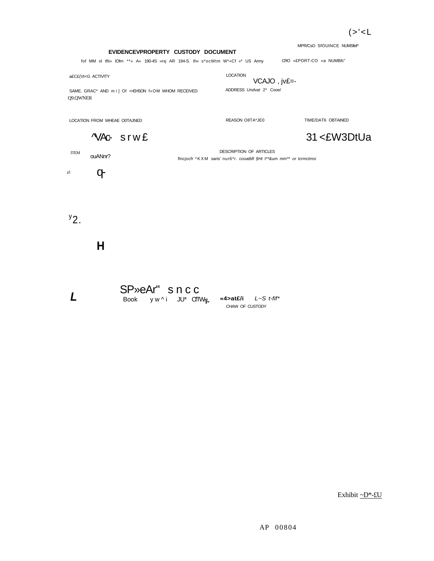MPR/CsO SfOUtNCE NUMSfeP

**EVIDENCEVPROPERTY CUSTODY DOCUMENT** 

fof MM ol tfti» lOfm \*\*« A» 190-4S »rxj AR 194-S. Ih« s\*ocWtm W\*«Cf «\* US Army CRO «£PORT-CO «a NUMBfc"

a£C£(Vt<G ACTIVITY

LOCATION

VCAJO , jv£=- ADDRESS Undvat 2\* Cooe/

SAME. GRAC<sup>\*</sup> AND mi] Of ⇒EHSON f«OM WHOM RECEIVED Q9.QWNER

LOCATION FROM WHEAE O0TAJNED

REASON O8TA\*JE0 TIME/DAT6 OBTAINED

31 <£W3DtUa



ITEM ouANnr?

DESCRIPTION OF ARTICLES flncjocfr \*KX M saris' nur6\*r. cooatbfl §Ht t\*\*&um mm\*\* or tcrmctmsi

 $i/\lambda$  $\sigma$ 

 $^{\prime}$ 2.

**L** 

**H** 

SP»eAr" snc c

Book yw^i JU\* CfTW**;***j***\_** 

**«4>at£/i** L~S t-fif\* CHAW OF CUSTODY

Exhibit ~D\*-£U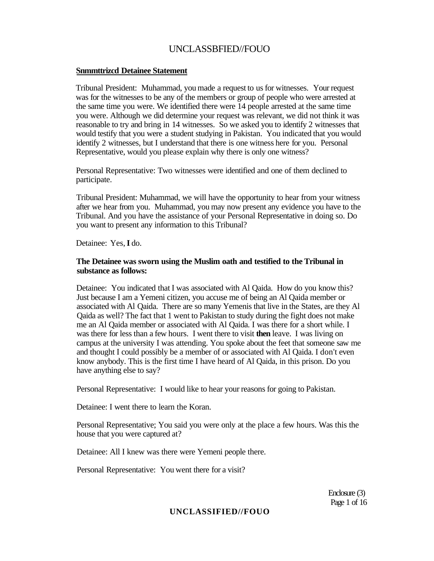#### **Snmmttrizcd Detainee Statement**

Tribunal President: Muhammad, you made a request to us for witnesses. Your request was for the witnesses to be any of the members or group of people who were arrested at the same time you were. We identified there were 14 people arrested at the same time you were. Although we did determine your request was relevant, we did not think it was reasonable to try and bring in 14 witnesses. So we asked you to identify 2 witnesses that would testify that you were a student studying in Pakistan. You indicated that you would identify 2 witnesses, but I understand that there is one witness here for you. Personal Representative, would you please explain why there is only one witness?

Personal Representative: Two witnesses were identified and one of them declined to participate.

Tribunal President: Muhammad, we will have the opportunity to hear from your witness after we hear from you. Muhammad, you may now present any evidence you have to the Tribunal. And you have the assistance of your Personal Representative in doing so. Do you want to present any information to this Tribunal?

Detainee: Yes, **I** do.

# **The Detainee was sworn using the Muslim oath and testified to the Tribunal in substance as follows:**

Detainee: You indicated that I was associated with Al Qaida. How do you know this? Just because I am a Yemeni citizen, you accuse me of being an Al Qaida member or associated with Al Qaida. There are so many Yemenis that live in the States, are they Al Qaida as well? The fact that 1 went to Pakistan to study during the fight does not make me an Al Qaida member or associated with Al Qaida. I was there for a short while. I was there for less than a few hours. I went there to visit **then** leave. I was living on campus at the university I was attending. You spoke about the feet that someone saw me and thought I could possibly be a member of or associated with Al Qaida. I don't even know anybody. This is the first time I have heard of Al Qaida, in this prison. Do you have anything else to say?

Personal Representative: I would like to hear your reasons for going to Pakistan.

Detainee: I went there to learn the Koran.

Personal Representative; You said you were only at the place a few hours. Was this the house that you were captured at?

Detainee: All I knew was there were Yemeni people there.

Personal Representative: You went there for a visit?

Enclosure (3) Page 1 of 16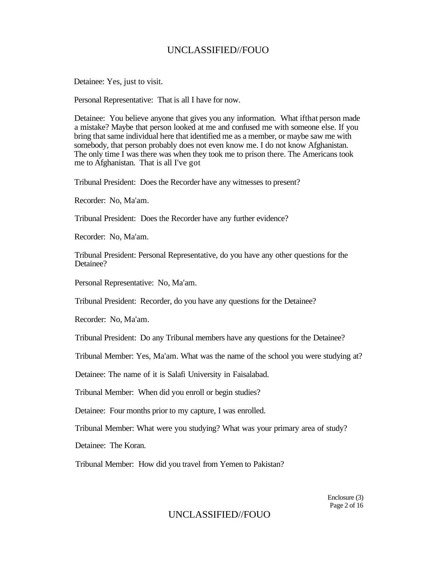Detainee: Yes, just to visit.

Personal Representative: That is all I have for now.

Detainee: You believe anyone that gives you any information. What ifthat person made a mistake? Maybe that person looked at me and confused me with someone else. If you bring that same individual here that identified me as a member, or maybe saw me with somebody, that person probably does not even know me. I do not know Afghanistan. The only time I was there was when they took me to prison there. The Americans took me to Afghanistan. That is all I've got

Tribunal President: Does the Recorder have any witnesses to present?

Recorder: No, Ma'am.

Tribunal President: Does the Recorder have any further evidence?

Recorder: No, Ma'am.

Tribunal President: Personal Representative, do you have any other questions for the Detainee?

Personal Representative: No, Ma'am.

Tribunal President: Recorder, do you have any questions for the Detainee?

Recorder: No, Ma'am.

Tribunal President: Do any Tribunal members have any questions for the Detainee?

Tribunal Member: Yes, Ma'am. What was the name of the school you were studying at?

Detainee: The name of it is Salafi University in Faisalabad.

Tribunal Member: When did you enroll or begin studies?

Detainee: Four months prior to my capture, I was enrolled.

Tribunal Member: What were you studying? What was your primary area of study?

Detainee: The Koran.

Tribunal Member: How did you travel from Yemen to Pakistan?

Enclosure (3) Page 2 of 16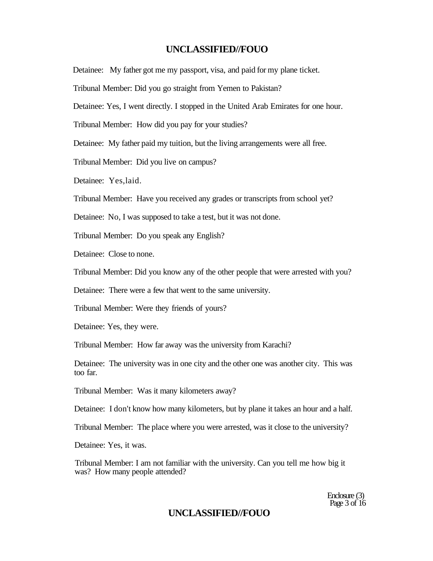Detainee: My father got me my passport, visa, and paid for my plane ticket.

Tribunal Member: Did you go straight from Yemen to Pakistan?

Detainee: Yes, I went directly. I stopped in the United Arab Emirates for one hour.

Tribunal Member: How did you pay for your studies?

Detainee: My father paid my tuition, but the living arrangements were all free.

Tribunal Member: Did you live on campus?

Detainee: Yes,laid.

Tribunal Member: Have you received any grades or transcripts from school yet?

Detainee: No, I was supposed to take a test, but it was not done.

Tribunal Member: Do you speak any English?

Detainee: Close to none.

Tribunal Member: Did you know any of the other people that were arrested with you?

Detainee: There were a few that went to the same university.

Tribunal Member: Were they friends of yours?

Detainee: Yes, they were.

Tribunal Member: How far away was the university from Karachi?

Detainee: The university was in one city and the other one was another city. This was too far.

Tribunal Member: Was it many kilometers away?

Detainee: I don't know how many kilometers, but by plane it takes an hour and a half.

Tribunal Member: The place where you were arrested, was it close to the university?

Detainee: Yes, it was.

Tribunal Member: I am not familiar with the university. Can you tell me how big it was? How many people attended?

> Enclosure (3) Page 3 of 16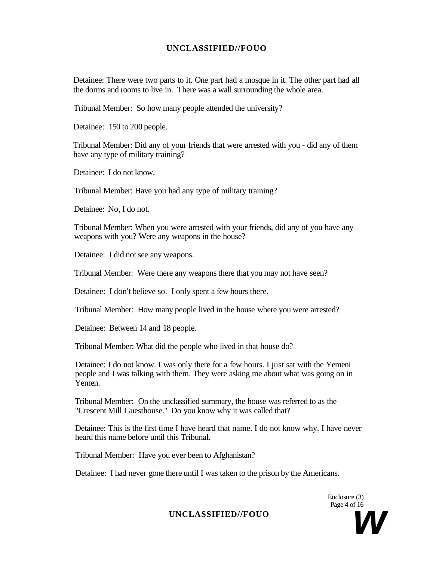Detainee: There were two parts to it. One part had a mosque in it. The other part had all the dorms and rooms to live in. There was a wall surrounding the whole area.

Tribunal Member: So how many people attended the university?

Detainee: 150 to 200 people.

Tribunal Member: Did any of your friends that were arrested with you - did any of them have any type of military training?

Detainee: I do not know.

Tribunal Member: Have you had any type of military training?

Detainee: No, I do not.

Tribunal Member: When you were arrested with your friends, did any of you have any weapons with you? Were any weapons in the house?

Detainee: I did not see any weapons.

Tribunal Member: Were there any weapons there that you may not have seen?

Detainee: I don't believe so. I only spent a few hours there.

Tribunal Member: How many people lived in the house where you were arrested?

Detainee: Between 14 and 18 people.

Tribunal Member: What did the people who lived in that house do?

Detainee: I do not know. I was only there for a few hours. I just sat with the Yemeni people and I was talking with them. They were asking me about what was going on in Yemen.

Tribunal Member: On the unclassified summary, the house was referred to as the "Crescent Mill Guesthouse." Do you know why it was called that?

Detainee: This is the first time I have heard that name. I do not know why. I have never heard this name before until this Tribunal.

Tribunal Member: Have you ever been to Afghanistan?

Detainee: I had never gone there until I was taken to the prison by the Americans.

Enclosure (3) Page 4 of 16

UNCLASSIFIED//FOUO<br>
Page 4 of 16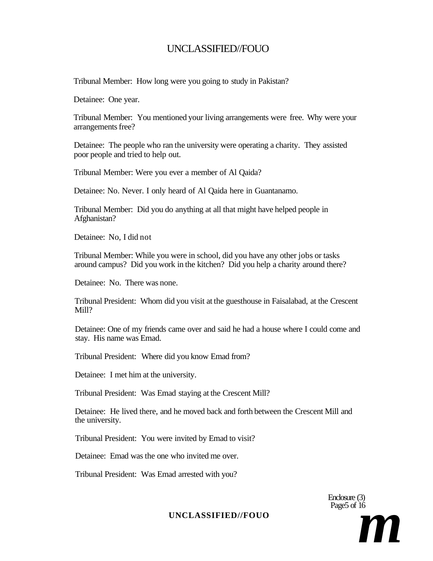Tribunal Member: How long were you going to study in Pakistan?

Detainee: One year.

Tribunal Member: You mentioned your living arrangements were free. Why were your arrangements free?

Detainee: The people who ran the university were operating a charity. They assisted poor people and tried to help out.

Tribunal Member: Were you ever a member of Al Qaida?

Detainee: No. Never. I only heard of Al Qaida here in Guantanamo.

Tribunal Member: Did you do anything at all that might have helped people in Afghanistan?

Detainee: No, I did not

Tribunal Member: While you were in school, did you have any other jobs or tasks around campus? Did you work in the kitchen? Did you help a charity around there?

Detainee: No. There was none.

Tribunal President: Whom did you visit at the guesthouse in Faisalabad, at the Crescent Mill?

Detainee: One of my friends came over and said he had a house where I could come and stay. His name was Emad.

Tribunal President: Where did you know Emad from?

Detainee: I met him at the university.

Tribunal President: Was Emad staying at the Crescent Mill?

Detainee: He lived there, and he moved back and forth between the Crescent Mill and the university.

Tribunal President: You were invited by Emad to visit?

Detainee: Emad was the one who invited me over.

Tribunal President: Was Emad arrested with you?

Enclosure (3) Page<sub>5</sub> of 16

UNCLASSIFIED//FOUO<br>
Page5 of 16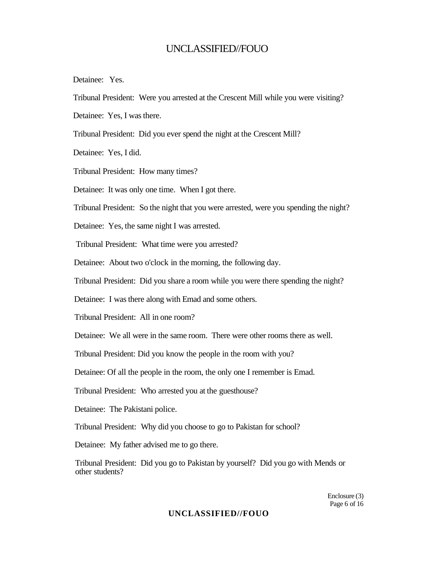Detainee: Yes.

Tribunal President: Were you arrested at the Crescent Mill while you were visiting?

Detainee: Yes, I was there.

Tribunal President: Did you ever spend the night at the Crescent Mill?

Detainee: Yes, I did.

Tribunal President: How many times?

Detainee: It was only one time. When I got there.

Tribunal President: So the night that you were arrested, were you spending the night?

Detainee: Yes, the same night I was arrested.

Tribunal President: What time were you arrested?

Detainee: About two o'clock in the morning, the following day.

Tribunal President: Did you share a room while you were there spending the night?

Detainee: I was there along with Emad and some others.

Tribunal President: All in one room?

Detainee: We all were in the same room. There were other rooms there as well.

Tribunal President: Did you know the people in the room with you?

Detainee: Of all the people in the room, the only one I remember is Emad.

Tribunal President: Who arrested you at the guesthouse?

Detainee: The Pakistani police.

Tribunal President: Why did you choose to go to Pakistan for school?

Detainee: My father advised me to go there.

Tribunal President: Did you go to Pakistan by yourself? Did you go with Mends or other students?

> Enclosure (3) Page 6 of 16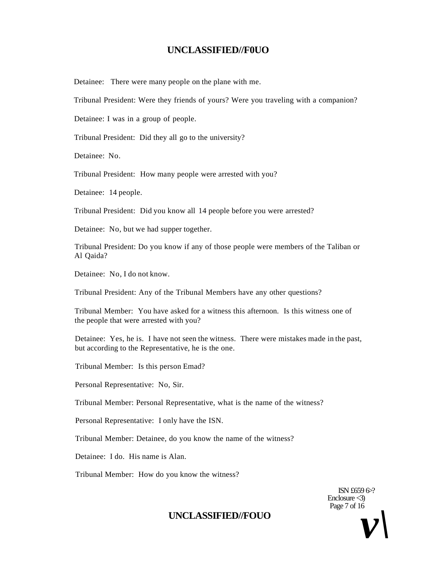Detainee: There were many people on the plane with me.

Tribunal President: Were they friends of yours? Were you traveling with a companion?

Detainee: I was in a group of people.

Tribunal President: Did they all go to the university?

Detainee: No.

Tribunal President: How many people were arrested with you?

Detainee: 14 people.

Tribunal President: Did you know all 14 people before you were arrested?

Detainee: No, but we had supper together.

Tribunal President: Do you know if any of those people were members of the Taliban or Al Qaida?

Detainee: No, I do not know.

Tribunal President: Any of the Tribunal Members have any other questions?

Tribunal Member: You have asked for a witness this afternoon. Is this witness one of the people that were arrested with you?

Detainee: Yes, he is. I have not seen the witness. There were mistakes made in the past, but according to the Representative, he is the one.

Tribunal Member: Is this person Emad?

Personal Representative: No, Sir.

Tribunal Member: Personal Representative, what is the name of the witness?

Personal Representative: I only have the ISN.

Tribunal Member: Detainee, do you know the name of the witness?

Detainee: I do. His name is Alan.

Tribunal Member: How do you know the witness?

ISN £659 6>? Enclosure  $\triangleleft$ ) Page 7 of 16

# $\text{UNCLASSIFIED/FOUO}$  *v*  $\text{V}$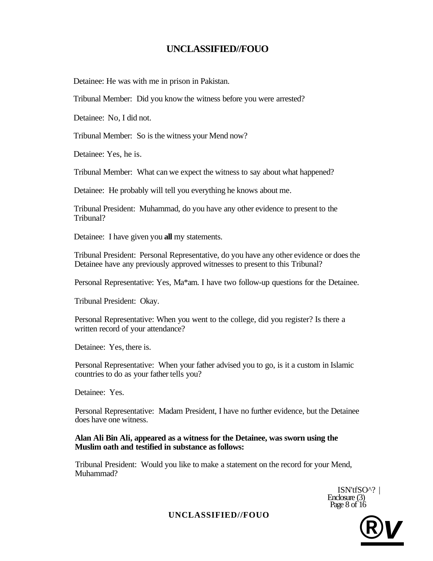Detainee: He was with me in prison in Pakistan.

Tribunal Member: Did you know the witness before you were arrested?

Detainee: No, I did not.

Tribunal Member: So is the witness your Mend now?

Detainee: Yes, he is.

Tribunal Member: What can we expect the witness to say about what happened?

Detainee: He probably will tell you everything he knows about me.

Tribunal President: Muhammad, do you have any other evidence to present to the Tribunal?

Detainee: I have given you **all** my statements.

Tribunal President: Personal Representative, do you have any other evidence or does the Detainee have any previously approved witnesses to present to this Tribunal?

Personal Representative: Yes, Ma\*am. I have two follow-up questions for the Detainee.

Tribunal President: Okay.

Personal Representative: When you went to the college, did you register? Is there a written record of your attendance?

Detainee: Yes, there is.

Personal Representative: When your father advised you to go, is it a custom in Islamic countries to do as your father tells you?

Detainee: Yes.

Personal Representative: Madam President, I have no further evidence, but the Detainee does have one witness.

# **Alan Ali Bin Ali, appeared as a witness for the Detainee, was sworn using the Muslim oath and testified in substance as follows:**

Tribunal President: Would you like to make a statement on the record for your Mend, Muhammad?

> ISN'tfSO^? | Enclosure (3) Page 8 of 16

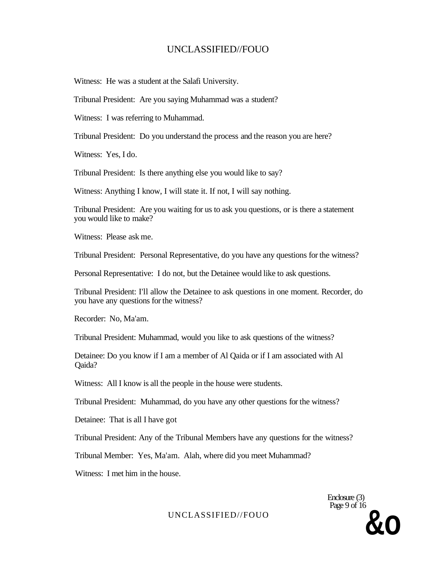Witness: He was a student at the Salafi University.

Tribunal President: Are you saying Muhammad was a student?

Witness: I was referring to Muhammad.

Tribunal President: Do you understand the process and the reason you are here?

Witness: Yes, I do.

Tribunal President: Is there anything else you would like to say?

Witness: Anything I know, I will state it. If not, I will say nothing.

Tribunal President: Are you waiting for us to ask you questions, or is there a statement you would like to make?

Witness: Please ask me.

Tribunal President: Personal Representative, do you have any questions for the witness?

Personal Representative: I do not, but the Detainee would like to ask questions.

Tribunal President: I'll allow the Detainee to ask questions in one moment. Recorder, do you have any questions for the witness?

Recorder: No, Ma'am.

Tribunal President: Muhammad, would you like to ask questions of the witness?

Detainee: Do you know if I am a member of Al Qaida or if I am associated with Al Qaida?

Witness: All I know is all the people in the house were students.

Tribunal President: Muhammad, do you have any other questions for the witness?

Detainee: That is all I have got

Tribunal President: Any of the Tribunal Members have any questions for the witness?

Tribunal Member: Yes, Ma'am. Alah, where did you meet Muhammad?

Witness: I met him in the house.

Enclosure (3) Page 9 of 16 UNCLASSIFIED//FOUO<br>**&O**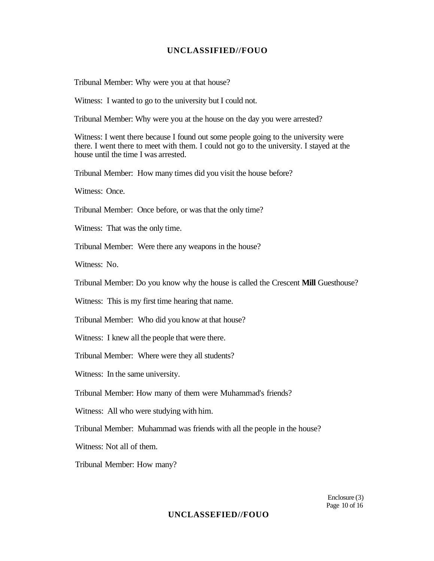Tribunal Member: Why were you at that house?

Witness: I wanted to go to the university but I could not.

Tribunal Member: Why were you at the house on the day you were arrested?

Witness: I went there because I found out some people going to the university were there. I went there to meet with them. I could not go to the university. I stayed at the house until the time I was arrested.

Tribunal Member: How many times did you visit the house before?

Witness: Once.

Tribunal Member: Once before, or was that the only time?

Witness: That was the only time.

Tribunal Member: Were there any weapons in the house?

Witness: No.

Tribunal Member: Do you know why the house is called the Crescent **Mill** Guesthouse?

Witness: This is my first time hearing that name.

Tribunal Member: Who did you know at that house?

Witness: I knew all the people that were there.

Tribunal Member: Where were they all students?

Witness: In the same university.

Tribunal Member: How many of them were Muhammad's friends?

Witness: All who were studying with him.

Tribunal Member: Muhammad was friends with all the people in the house?

Witness: Not all of them.

Tribunal Member: How many?

Enclosure (3) Page 10 of 16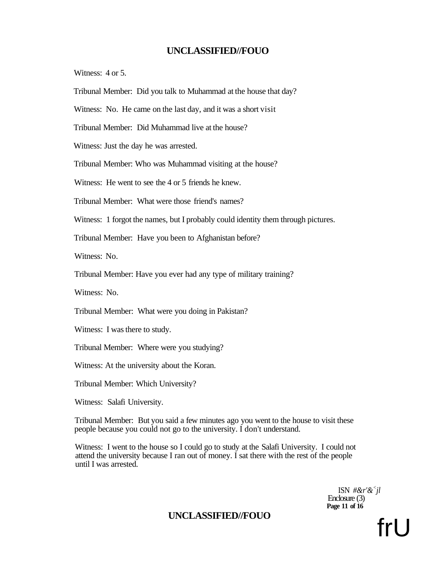Witness: 4 or 5.

Tribunal Member: Did you talk to Muhammad at the house that day?

Witness: No. He came on the last day, and it was a short visit

Tribunal Member: Did Muhammad live at the house?

Witness: Just the day he was arrested.

Tribunal Member: Who was Muhammad visiting at the house?

Witness: He went to see the 4 or 5 friends he knew.

Tribunal Member: What were those friend's names?

Witness: 1 forgot the names, but I probably could identity them through pictures.

Tribunal Member: Have you been to Afghanistan before?

Witness: No.

Tribunal Member: Have you ever had any type of military training?

Witness: No.

Tribunal Member: What were you doing in Pakistan?

Witness: I was there to study.

Tribunal Member: Where were you studying?

Witness: At the university about the Koran.

Tribunal Member: Which University?

Witness: Salafi University.

Tribunal Member: But you said a few minutes ago you went to the house to visit these people because you could not go to the university. I don't understand.

Witness: I went to the house so I could go to study at the Salafi University. I could not attend the university because I ran out of money. I sat there with the rest of the people until I was arrested.

> ISN *#&r'&<sup>&</sup>lt; jl*  Enclosure (3) **Page 11 of 16**

# UNCLASSIFIED//FOUO<br>
fr|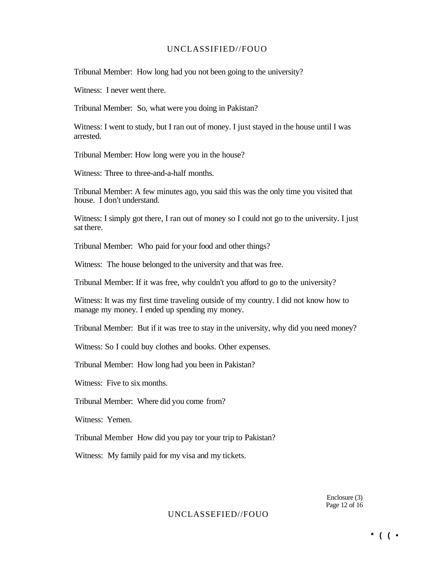Tribunal Member: How long had you not been going to the university?

Witness: I never went there.

Tribunal Member: So, what were you doing in Pakistan?

Witness: I went to study, but I ran out of money. I just stayed in the house until I was arrested.

Tribunal Member: How long were you in the house?

Witness: Three to three-and-a-half months.

Tribunal Member: A few minutes ago, you said this was the only time you visited that house. I don't understand.

Witness: I simply got there, I ran out of money so I could not go to the university. I just sat there.

Tribunal Member: Who paid for your food and other things?

Witness: The house belonged to the university and that was free.

Tribunal Member: If it was free, why couldn't you afford to go to the university?

Witness: It was my first time traveling outside of my country. I did not know how to manage my money. I ended up spending my money.

Tribunal Member: But if it was tree to stay in the university, why did you need money?

Witness: So I could buy clothes and books. Other expenses.

Tribunal Member: How long had you been in Pakistan?

Witness: Five to six months.

Tribunal Member: Where did you come from?

Witness: Yemen.

Tribunal Member How did you pay tor your trip to Pakistan?

Witness: My family paid for my visa and my tickets.

Enclosure (3) Page 12 of 16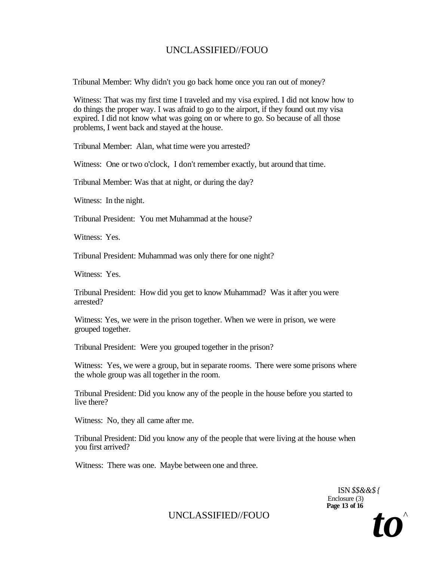Tribunal Member: Why didn't you go back home once you ran out of money?

Witness: That was my first time I traveled and my visa expired. I did not know how to do things the proper way. I was afraid to go to the airport, if they found out my visa expired. I did not know what was going on or where to go. So because of all those problems, I went back and stayed at the house.

Tribunal Member: Alan, what time were you arrested?

Witness: One or two o'clock, I don't remember exactly, but around that time.

Tribunal Member: Was that at night, or during the day?

Witness: In the night.

Tribunal President: You met Muhammad at the house?

Witness: Yes.

Tribunal President: Muhammad was only there for one night?

Witness: Yes.

Tribunal President: How did you get to know Muhammad? Was it after you were arrested?

Witness: Yes, we were in the prison together. When we were in prison, we were grouped together.

Tribunal President: Were you grouped together in the prison?

Witness: Yes, we were a group, but in separate rooms. There were some prisons where the whole group was all together in the room.

Tribunal President: Did you know any of the people in the house before you started to live there?

Witness: No, they all came after me.

Tribunal President: Did you know any of the people that were living at the house when you first arrived?

Witness: There was one. Maybe between one and three.

ISN *\$\$&&\$ {*  Enclosure (3) **Page 13 of 16** 

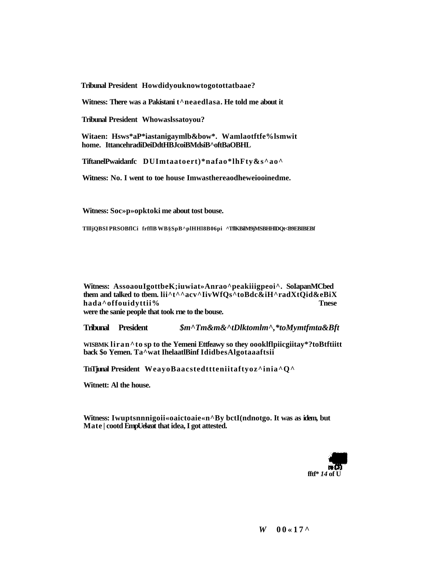**Tribunal President Howdidyouknowtogotottatbaae?** 

Witness: There was a Pakistani t<sup>^</sup>neaedlasa. He told me about it

**Tribunal President Whowaslssatoyou?** 

**Witaen: Hsws\*aP\*iastanigaymlb&bow\*. Wamlaotftfe%lsmwit home. IttancehradiDeiDdtHBJcoiBMdsiB^oftBaOBHL** 

**TiftanelPwaidanfc DUImtaatoert)\*nafao\*lhFty&s^ao^** 

**Witness: No. I went to toe house Imwasthereaodheweiooinedme.** 

**Witness: Soc»p»opktoki me about tost bouse.** 

**TllljQBSI PRSOBflCi frfflB WB§SpB^plHHl8B06pi ^TflKBilM9jMSBHHlDQt<B9EBIBEBf** 

**Witness: AssoaouIgottbeK;iuwiat»Anrao^peakiiigpeoi^. SoIapanMCbed them and talked to tbem. lii^t^^acv^IivWfQs^toBdc&iH^radXtQid&eBiX hada^offouidyttii% Tnese were the sanie people that took rne to the bouse.** 

**Tribunal President** *\$m^Tm&m&^tDlktomlm^,\*toMymtfmta&Bft* 

**WISBMK liran^to sp to the Yemeni Ettfeawy so they oooklflpiicgiitay\*?toBtftiitt back \$o Yemen. Ta^wat IhelaatlBinf IdidbesAlgotaaaftsii** 

**TnTjunal President WeayoBaacstedttteniitaftyoz^inia^Q^** 

**Witnett: Al the house.** 

**Witness: Iwuptsnnnigoii«oaictoaie«n^By bctI(ndnotgo. It was as idem, but Mate | cootd EmpUekeat that idea, I got attested.** 

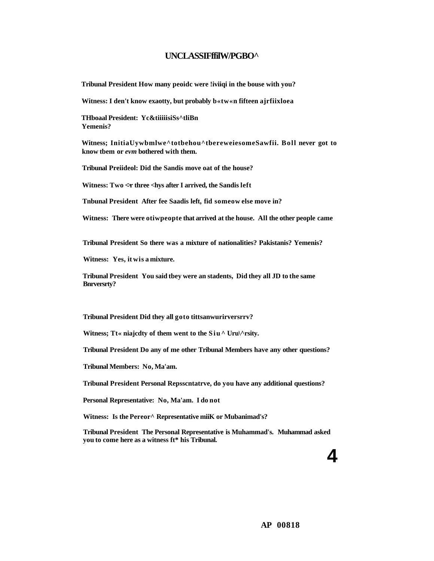#### **UNCLASSIFffilW/PGBO^**

**Tribunal President How many peoidc were !iviiqi in the bouse with you?** 

**Witness: I den't know exaotty, but probably b«tw«n fifteen ajrfiixloea** 

**THboaal President: Yc&tiiiiisiSs^tliBn Yemenis?** 

**Witness; InitiaUywbmlwe^totbehou^tbereweiesomeSawfii. Boll never got to know tbem or** *evm* **bothered with them.** 

**Tribunal Preiideol: Did the Sandis move oat of the house?** 

Witness: Two  $\leq r$  three  $\leq$  hys after I arrived, the Sandis left

**Tnbunal President After fee Saadis left, fid someow else move in?** 

**Witness: There were otiwpeopte that arrived at the house. All the other people came** 

**Tribunal President So there was a mixture of nationalities? Pakistanis? Yemenis?** 

**Witness: Yes, it wis a mixture.** 

**Tribunal President You said tbey were an stadents, Did they all JD to the same Bnrversrty?** 

**Tribunal President Did they all goto tittsanwurirversrrv?** 

Witness; Tt« niajcdty of them went to the Siu<sup>^</sup> Uru\^rsity.

**Tribunal President Do any of me other Tribunal Members have any other questions?** 

**Tribunal Members: No, Ma'am.** 

**Tribunal President Personal Repsscntatrve, do you have any additional questions?** 

**Personal Representative: No, Ma'am. I do not** 

**Witness: Is the Pereor^ Representative miiK or Mubanimad's?** 

**Tribunal President The Personal Representative is Muhammad's. Muhammad asked you to come here as a witness ft\* his Tribunal.** 

**4**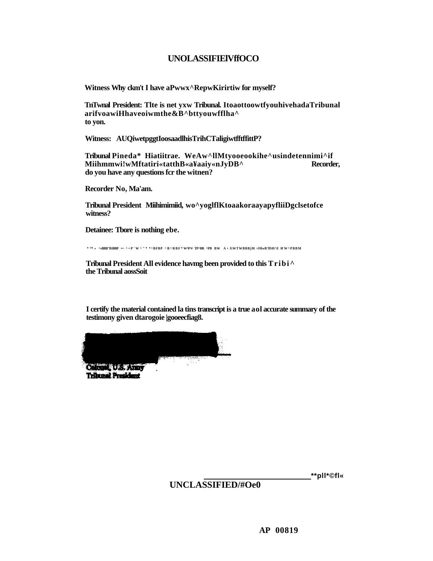## **UNOLASSIFIElVffOCO**

**Witness Why ckm't I have aPwwx^RepwKirirtiw for myself?** 

**TnTwnal President: Tlte is net yxw Tribunal. ItoaottoowtfyouhivehadaTribunal arifvoawiHhaveoiwmthe&B^bttyouwfflha^ to yon.** 

**Witness: AUQiwetpggtIoosaadlhisTrihCTaligiwtfftffittP?** 

**Tribunal Pineda\* Hiatiitrae. WeAw^llMtyooeookihe^usindetennimi^if**  Miihmmwi!wMftatiri«tatthB«a¥aaiy«nJyDB^ **do you have any questions fcr the witnen?** 

**Recorder No, Ma'am.** 

**Tribunal President Miihimimiid, wo^yoglflKtoaakoraayapyfliiDgclsetofce witness?** 

**Detainee: Tbore is nothing ebe.** 

**\* ™ » ^»BBB"B1BBP •• ^•P'W^" \* \*^BFBP ^B^BBF \* W^P^# TP^BB ^PB BW A • fiWTWBBBjM •JHwB'flSH^E** *M* **W^PBBM** 

**Tribunal President All evidence havmg been provided to this Tribi^ the Tribunal aossSoit** 

**I certify the material contained la tins transcript is a true aol accurate summary of the testimony given dtarogoie |gooeecfiag8.** 

**Tribunal Presid** 

**\*\*pll\*©fl«** 

**UNCLASSIFIED/#Oe0**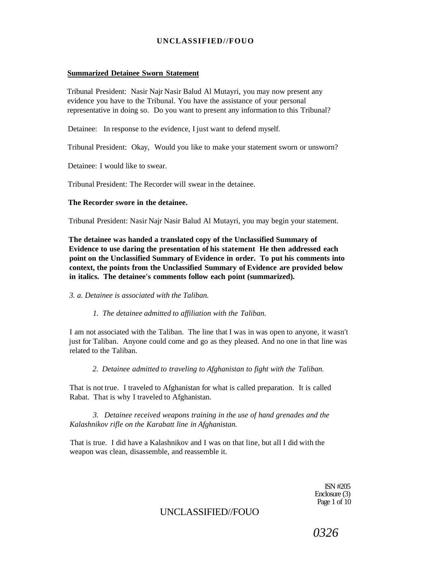#### **Summarized Detainee Sworn Statement**

Tribunal President: Nasir Najr Nasir Balud Al Mutayri, you may now present any evidence you have to the Tribunal. You have the assistance of your personal representative in doing so. Do you want to present any information to this Tribunal?

Detainee: In response to the evidence, I just want to defend myself.

Tribunal President: Okay, Would you like to make your statement sworn or unsworn?

Detainee: I would like to swear.

Tribunal President: The Recorder will swear in the detainee.

#### **The Recorder swore in the detainee.**

Tribunal President: Nasir Najr Nasir Balud Al Mutayri, you may begin your statement.

**The detainee was handed a translated copy of the Unclassified Summary of Evidence to use daring the presentation of his statement He then addressed each point on the Unclassified Summary of Evidence in order. To put his comments into context, the points from the Unclassified Summary of Evidence are provided below in italics. The detainee's comments follow each point (summarized).** 

*3. a. Detainee is associated with the Taliban.* 

*1. The detainee admitted to affiliation with the Taliban.* 

I am not associated with the Taliban. The line that I was in was open to anyone, it wasn't just for Taliban. Anyone could come and go as they pleased. And no one in that line was related to the Taliban.

*2. Detainee admitted to traveling to Afghanistan to fight with the Taliban.* 

That is not true. I traveled to Afghanistan for what is called preparation. It is called Rabat. That is why I traveled to Afghanistan.

*3. Detainee received weapons training in the use of hand grenades and the Kalashnikov rifle on the Karabatt line in Afghanistan.* 

That is true. I did have a Kalashnikov and I was on that line, but all I did with the weapon was clean, disassemble, and reassemble it.

> ISN #205 Enclosure (3) Page 1 of 10

## UNCLASSIFIED//FOUO

*0326*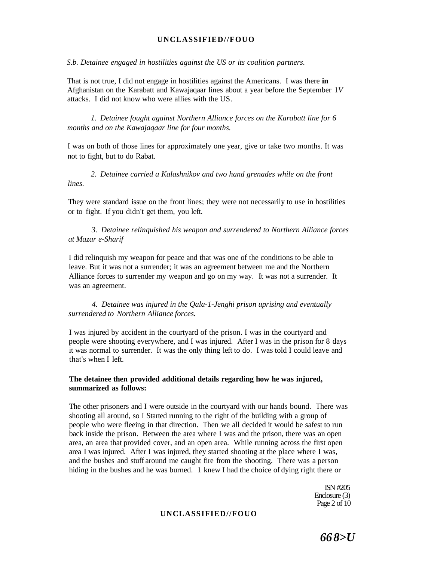*S.b. Detainee engaged in hostilities against the US or its coalition partners.* 

That is not true, I did not engage in hostilities against the Americans. I was there **in**  Afghanistan on the Karabatt and Kawajaqaar lines about a year before the September 1*V*  attacks. I did not know who were allies with the US.

*1. Detainee fought against Northern Alliance forces on the Karabatt line for 6 months and on the Kawajaqaar line for four months.* 

I was on both of those lines for approximately one year, give or take two months. It was not to fight, but to do Rabat.

*2. Detainee carried a Kalashnikov and two hand grenades while on the front lines.* 

They were standard issue on the front lines; they were not necessarily to use in hostilities or to fight. If you didn't get them, you left.

*3. Detainee relinquished his weapon and surrendered to Northern Alliance forces at Mazar e-Sharif* 

I did relinquish my weapon for peace and that was one of the conditions to be able to leave. But it was not a surrender; it was an agreement between me and the Northern Alliance forces to surrender my weapon and go on my way. It was not a surrender. It was an agreement.

*4. Detainee was injured in the Qala-1-Jenghi prison uprising and eventually surrendered to Northern Alliance forces.* 

I was injured by accident in the courtyard of the prison. I was in the courtyard and people were shooting everywhere, and I was injured. After I was in the prison for 8 days it was normal to surrender. It was the only thing left to do. I was told I could leave and that's when I left.

#### **The detainee then provided additional details regarding how he was injured, summarized as follows:**

The other prisoners and I were outside in the courtyard with our hands bound. There was shooting all around, so I Started running to the right of the building with a group of people who were fleeing in that direction. Then we all decided it would be safest to run back inside the prison. Between the area where I was and the prison, there was an open area, an area that provided cover, and an open area. While running across the first open area I was injured. After I was injured, they started shooting at the place where I was, and the bushes and stuff around me caught fire from the shooting. There was a person hiding in the bushes and he was burned. 1 knew I had the choice of dying right there or

> ISN #205 Enclosure (3) Page 2 of 10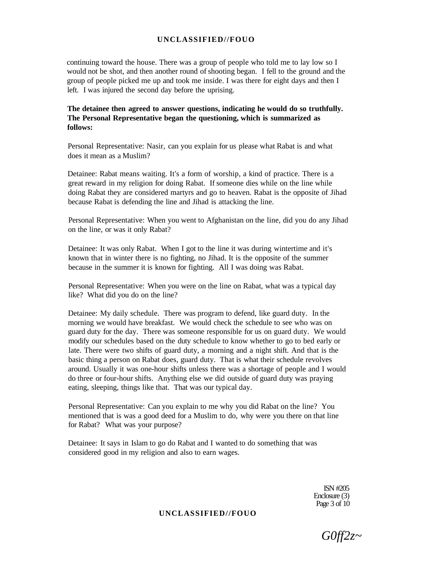continuing toward the house. There was a group of people who told me to lay low so I would not be shot, and then another round of shooting began. I fell to the ground and the group of people picked me up and took me inside. I was there for eight days and then I left. I was injured the second day before the uprising.

**The detainee then agreed to answer questions, indicating he would do so truthfully. The Personal Representative began the questioning, which is summarized as follows:** 

Personal Representative: Nasir, can you explain for us please what Rabat is and what does it mean as a Muslim?

Detainee: Rabat means waiting. It's a form of worship, a kind of practice. There is a great reward in my religion for doing Rabat. If someone dies while on the line while doing Rabat they are considered martyrs and go to heaven. Rabat is the opposite of Jihad because Rabat is defending the line and Jihad is attacking the line.

Personal Representative: When you went to Afghanistan on the line, did you do any Jihad on the line, or was it only Rabat?

Detainee: It was only Rabat. When I got to the line it was during wintertime and it's known that in winter there is no fighting, no Jihad. It is the opposite of the summer because in the summer it is known for fighting. All I was doing was Rabat.

Personal Representative: When you were on the line on Rabat, what was a typical day like? What did you do on the line?

Detainee: My daily schedule. There was program to defend, like guard duty. In the morning we would have breakfast. We would check the schedule to see who was on guard duty for the day. There was someone responsible for us on guard duty. We would modify our schedules based on the duty schedule to know whether to go to bed early or late. There were two shifts of guard duty, a morning and a night shift. And that is the basic thing a person on Rabat does, guard duty. That is what their schedule revolves around. Usually it was one-hour shifts unless there was a shortage of people and I would do three or four-hour shifts. Anything else we did outside of guard duty was praying eating, sleeping, things like that. That was our typical day.

Personal Representative: Can you explain to me why you did Rabat on the line? You mentioned that is was a good deed for a Muslim to do, why were you there on that line for Rabat? What was your purpose?

Detainee: It says in Islam to go do Rabat and I wanted to do something that was considered good in my religion and also to earn wages.

> ISN #205 Enclosure (3) Page 3 of 10

*G0ff2z~*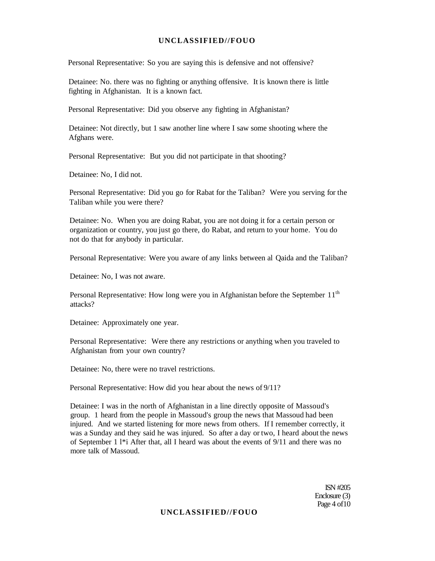Personal Representative: So you are saying this is defensive and not offensive?

Detainee: No. there was no fighting or anything offensive. It is known there is little fighting in Afghanistan. It is a known fact.

Personal Representative: Did you observe any fighting in Afghanistan?

Detainee: Not directly, but 1 saw another line where I saw some shooting where the Afghans were.

Personal Representative: But you did not participate in that shooting?

Detainee: No, I did not.

Personal Representative: Did you go for Rabat for the Taliban? Were you serving for the Taliban while you were there?

Detainee: No. When you are doing Rabat, you are not doing it for a certain person or organization or country, you just go there, do Rabat, and return to your home. You do not do that for anybody in particular.

Personal Representative: Were you aware of any links between al Qaida and the Taliban?

Detainee: No, I was not aware.

Personal Representative: How long were you in Afghanistan before the September 11<sup>th</sup> attacks?

Detainee: Approximately one year.

Personal Representative: Were there any restrictions or anything when you traveled to Afghanistan from your own country?

Detainee: No, there were no travel restrictions.

Personal Representative: How did you hear about the news of 9/11?

Detainee: I was in the north of Afghanistan in a line directly opposite of Massoud's group. 1 heard from the people in Massoud's group the news that Massoud had been injured. And we started listening for more news from others. If I remember correctly, it was a Sunday and they said he was injured. So after a day or two, I heard about the news of September 1 l\*i After that, all I heard was about the events of 9/11 and there was no more talk of Massoud.

> ISN #205 Enclosure (3) Page 4 of 10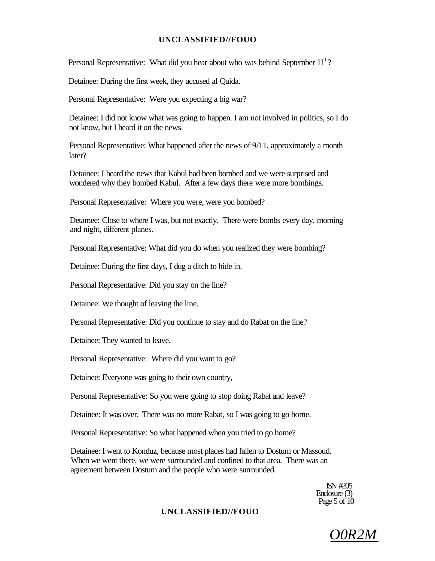Personal Representative: What did you hear about who was behind September  $11<sup>1</sup>$ ?

Detainee: During the first week, they accused al Qaida.

Personal Representative: Were you expecting a big war?

Detainee: I did not know what was going to happen. I am not involved in politics, so I do not know, but I heard it on the news.

Personal Representative: What happened after the news of 9/11, approximately a month later?

Detainee: I heard the news that Kabul had been bombed and we were surprised and wondered why they bombed Kabul. After a few days there were more bombings.

Personal Representative: Where you were, were you bombed?

Detamee: Close to where I was, but not exactly. There were bombs every day, morning and night, different planes.

Personal Representative: What did you do when you realized they were bombing?

Detainee: During the first days, I dug a ditch to hide in.

Personal Representative: Did you stay on the line?

Detainee: We thought of leaving the line.

Personal Representative: Did you continue to stay and do Rabat on the line?

Detainee: They wanted to leave.

Personal Representative: Where did you want to go?

Detainee: Everyone was going to their own country,

Personal Representative: So you were going to stop doing Rabat and leave?

Detainee: It was over. There was no more Rabat, so I was going to go home.

Personal Representative: So what happened when you tried to go home?

Detainee: I went to Konduz, because most places had fallen to Dostum or Massoud. When we went there, we were surrounded and confined to that area. There was an agreement between Dostum and the people who were surrounded.

> ISN #205 Enclosure (3) Page  $5$  of  $10$

*O0R2M*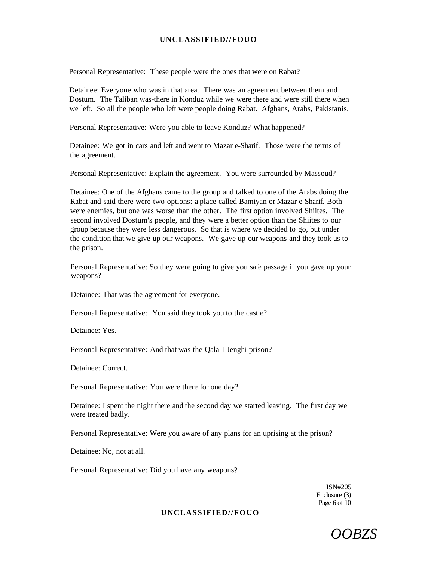Personal Representative: These people were the ones that were on Rabat?

Detainee: Everyone who was in that area. There was an agreement between them and Dostum. The Taliban was-there in Konduz while we were there and were still there when we left. So all the people who left were people doing Rabat. Afghans, Arabs, Pakistanis.

Personal Representative: Were you able to leave Konduz? What happened?

Detainee: We got in cars and left and went to Mazar e-Sharif. Those were the terms of the agreement.

Personal Representative: Explain the agreement. You were surrounded by Massoud?

Detainee: One of the Afghans came to the group and talked to one of the Arabs doing the Rabat and said there were two options: a place called Bamiyan or Mazar e-Sharif. Both were enemies, but one was worse than the other. The first option involved Shiites. The second involved Dostum's people, and they were a better option than the Shiites to our group because they were less dangerous. So that is where we decided to go, but under the condition that we give up our weapons. We gave up our weapons and they took us to the prison.

Personal Representative: So they were going to give you safe passage if you gave up your weapons?

Detainee: That was the agreement for everyone.

Personal Representative: You said they took you to the castle?

Detainee: Yes.

Personal Representative: And that was the Qala-I-Jenghi prison?

Detainee: Correct.

Personal Representative: You were there for one day?

Detainee: I spent the night there and the second day we started leaving. The first day we were treated badly.

Personal Representative: Were you aware of any plans for an uprising at the prison?

Detainee: No, not at all.

Personal Representative: Did you have any weapons?

ISN#205 Enclosure (3) Page 6 of 10

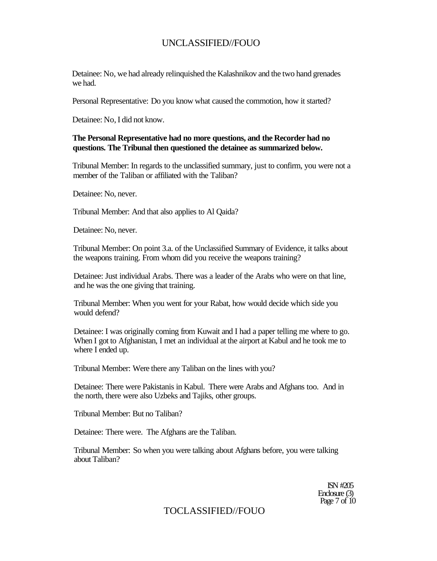Detainee: No, we had already relinquished the Kalashnikov and the two hand grenades we had.

Personal Representative: Do you know what caused the commotion, how it started?

Detainee: No, I did not know.

#### **The Personal Representative had no more questions, and the Recorder had no questions. The Tribunal then questioned the detainee as summarized below.**

Tribunal Member: In regards to the unclassified summary, just to confirm, you were not a member of the Taliban or affiliated with the Taliban?

Detainee: No, never.

Tribunal Member: And that also applies to Al Qaida?

Detainee: No, never.

Tribunal Member: On point 3.a. of the Unclassified Summary of Evidence, it talks about the weapons training. From whom did you receive the weapons training?

Detainee: Just individual Arabs. There was a leader of the Arabs who were on that line, and he was the one giving that training.

Tribunal Member: When you went for your Rabat, how would decide which side you would defend?

Detainee: I was originally coming from Kuwait and I had a paper telling me where to go. When I got to Afghanistan, I met an individual at the airport at Kabul and he took me to where I ended up.

Tribunal Member: Were there any Taliban on the lines with you?

Detainee: There were Pakistanis in Kabul. There were Arabs and Afghans too. And in the north, there were also Uzbeks and Tajiks, other groups.

Tribunal Member: But no Taliban?

Detainee: There were. The Afghans are the Taliban.

Tribunal Member: So when you were talking about Afghans before, you were talking about Taliban?

> ISN #205 Enclosure (3) Page 7 of 10

## TOCLASSIFIED//FOUO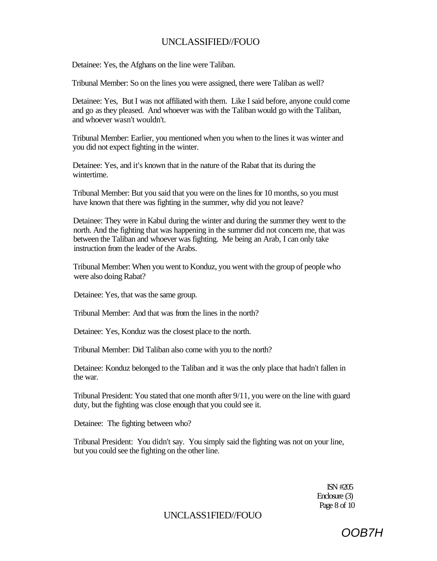Detainee: Yes, the Afghans on the line were Taliban.

Tribunal Member: So on the lines you were assigned, there were Taliban as well?

Detainee: Yes, But I was not affiliated with them. Like I said before, anyone could come and go as they pleased. And whoever was with the Taliban would go with the Taliban, and whoever wasn't wouldn't.

Tribunal Member: Earlier, you mentioned when you when to the lines it was winter and you did not expect fighting in the winter.

Detainee: Yes, and it's known that in the nature of the Rabat that its during the wintertime.

Tribunal Member: But you said that you were on the lines for 10 months, so you must have known that there was fighting in the summer, why did you not leave?

Detainee: They were in Kabul during the winter and during the summer they went to the north. And the fighting that was happening in the summer did not concern me, that was between the Taliban and whoever was fighting. Me being an Arab, I can only take instruction from the leader of the Arabs.

Tribunal Member: When you went to Konduz, you went with the group of people who were also doing Rabat?

Detainee: Yes, that was the same group.

Tribunal Member: And that was from the lines in the north?

Detainee: Yes, Konduz was the closest place to the north.

Tribunal Member: Did Taliban also come with you to the north?

Detainee: Konduz belonged to the Taliban and it was the only place that hadn't fallen in the war.

Tribunal President: You stated that one month after 9/11, you were on the line with guard duty, but the fighting was close enough that you could see it.

Detainee: The fighting between who?

Tribunal President: You didn't say. You simply said the fighting was not on your line, but you could see the fighting on the other line.

> ISN #205 Enclosure (3) Page 8 of 10

## UNCLASS1FIED//FOUO

OOB7H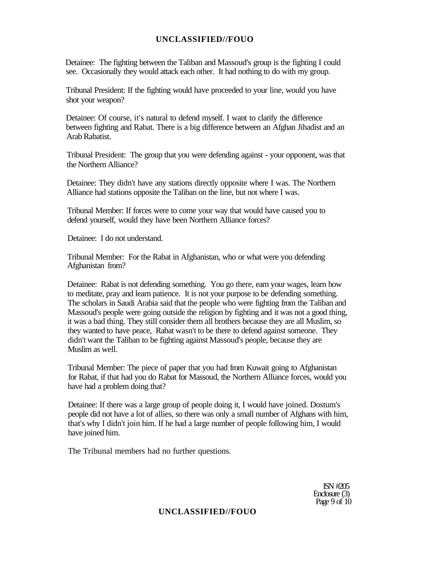Detainee: The fighting between the Taliban and Massoud's group is the fighting I could see. Occasionally they would attack each other. It had nothing to do with my group.

Tribunal President: If the fighting would have proceeded to your line, would you have shot your weapon?

Detainee: Of course, it's natural to defend myself. I want to clarify the difference between fighting and Rabat. There is a big difference between an Afghan Jihadist and an Arab Rabatist.

Tribunal President: The group that you were defending against - your opponent, was that the Northern Alliance?

Detainee: They didn't have any stations directly opposite where I was. The Northern Alliance had stations opposite the Taliban on the line, but not where I was.

Tribunal Member: If forces were to come your way that would have caused you to defend yourself, would they have been Northern Alliance forces?

Detainee: I do not understand.

Tribunal Member: For the Rabat in Afghanistan, who or what were you defending Afghanistan from?

Detainee: Rabat is not defending something. You go there, earn your wages, learn how to meditate, pray and learn patience. It is not your purpose to be defending something. The scholars in Saudi Arabia said that the people who were fighting from the Taliban and Massoud's people were going outside the religion by fighting and it was not a good thing, it was a bad thing. They still consider them all brothers because they are all Muslim, so they wanted to have peace, Rabat wasn't to be there to defend against someone. They didn't want the Taliban to be fighting against Massoud's people, because they are Muslim as well.

Tribunal Member: The piece of paper that you had from Kuwait going to Afghanistan for Rabat, if that had you do Rabat for Massoud, the Northern Alliance forces, would you have had a problem doing that?

Detainee: If there was a large group of people doing it, I would have joined. Dostum's people did not have a lot of allies, so there was only a small number of Afghans with him, that's why I didn't join him. If he had a large number of people following him, I would have joined him.

The Tribunal members had no further questions.

ISN #205 Enclosure (3) Page  $9$  of  $10$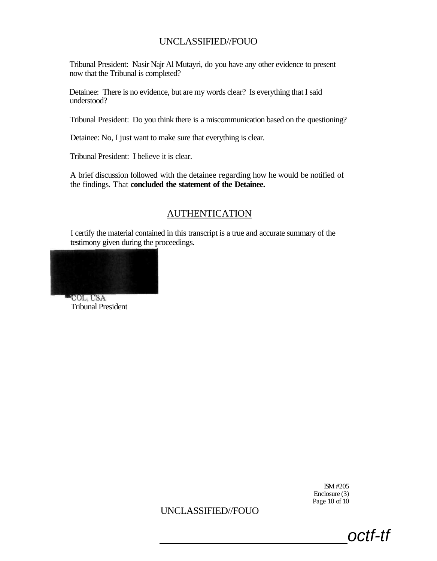Tribunal President: Nasir Najr Al Mutayri, do you have any other evidence to present now that the Tribunal is completed?

Detainee: There is no evidence, but are my words clear? Is everything that I said understood?

Tribunal President: Do you think there is a miscommunication based on the questioning?

Detainee: No, I just want to make sure that everything is clear.

Tribunal President: I believe it is clear.

A brief discussion followed with the detainee regarding how he would be notified of the findings. That **concluded the statement of the Detainee.** 

## AUTHENTICATION

I certify the material contained in this transcript is a true and accurate summary of the testimony given during the proceedings.



°COL, USA Tribunal President

> ISM #205 Enclosure (3) Page 10 of 10

> > octf-tf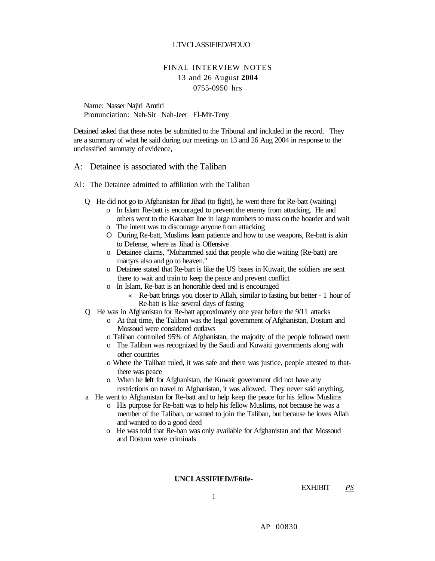#### LTVCLASSIFIED//FOUO

## FINAL INTERVIEW NOTES 13 and 26 August **2004**  0755-0950 hrs

Name: Nasser Najiri Amtiri Pronunciation: Nah-Sir Nah-Jeer El-Mit-Teny

Detained asked that these notes be submitted to the Tribunal and included in the record. They are a summary of what he said during our meetings on 13 and 26 Aug 2004 in response to the unclassified summary of evidence,

#### A: Detainee is associated with the Taliban

- Al: The Detainee admitted to affiliation with the Taliban
	- Q He did not go to Afghanistan for Jihad (to fight), he went there for Re-batt (waiting)
		- o In Islam Re-batt is encouraged to prevent the enemy from attacking. He and others went to the Karabatt line in large numbers to mass on the boarder and wait
		- o The intent was to discourage anyone from attacking
		- O During Re-batt, Muslims learn patience and how to use weapons, Re-batt is akin to Defense, where as Jihad is Offensive
		- o Detainee claims, "Mohammed said that people who die waiting (Re-batt) are martyrs also and go to heaven."
		- o Detainee stated that Re-bart is like the US bases in Kuwait, the soldiers are sent there to wait and train to keep the peace and prevent conflict
		- o In Islam, Re-batt is an honorable deed and is encouraged
			- « Re-batt brings you closer to Allah, similar to fasting but better 1 hour of Re-batt is like several days of fasting
	- Q He was in Afghanistan for Re-batt approximately one year before the 9/11 attacks
		- o At that time, the Taliban was the legal government *of* Afghanistan, Dostum and Mossoud were considered outlaws
		- o Taliban controlled 95% of Afghanistan, the majority of the people followed mem
		- o The Taliban was recognized by the Saudi and Kuwaiti governments along with other countries
		- o Where the Taliban ruled, it was safe and there was justice, people attested to thatthere was peace
		- o When he **left** for Afghanistan, the Kuwait government did not have any restrictions on travel to Afghanistan, it was allowed. They never said anything.
	- a He went to Afghanistan for Re-batt and to help keep the peace for his fellow Muslims
		- o His purpose for Re-batt was to help his fellow Muslims, not because he was a member of the Taliban, or wanted to join the Taliban, but because he loves Allah and wanted to do a good deed
		- o He was told that Re-ban was only available for Afghanistan and that Mossoud and Dostum were criminals

#### **UNCLASSIFIED//F6tfe-**

EXHJBIT *PS* 

1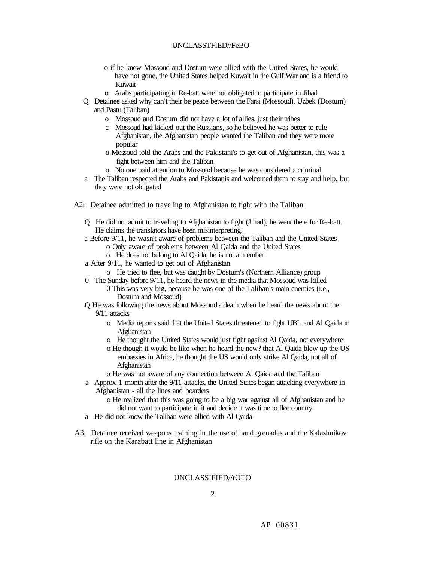#### UNCLASSTFlED//FeBO-

- o if he knew Mossoud and Dostum were allied with the United States, he would have not gone, the United States helped Kuwait in the Gulf War and is a friend to Kuwait
- o Arabs participating in Re-batt were not obligated to participate in Jihad
- Q Detainee asked why can't their be peace between the Farsi (Mossoud), Uzbek (Dostum) and Pastu (Taliban)
	- o Mossoud and Dostum did not have a lot of allies, just their tribes
	- c Mossoud had kicked out the Russians, so he believed he was better to rule Afghanistan, the Afghanistan people wanted the Taliban and they were more popular
	- o Mossoud told the Arabs and the Pakistani's to get out of Afghanistan, this was a fight between him and the Taliban
	- o No one paid attention to Mossoud because he was considered a criminal
- a The Taliban respected the Arabs and Pakistanis and welcomed them to stay and help, but they were not obligated
- A2: Detainee admitted to traveling to Afghanistan to fight with the Taliban
	- Q He did not admit to traveling to Afghanistan to fight (Jihad), he went there for Re-batt. He claims the translators have been misinterpreting.
	- a Before 9/11, he wasn't aware of problems between the Taliban and the United States o Oniy aware of problems between Al Qaida and the United States
		- o He does not belong to Al Qaida, he is not a member
	- a After 9/11, he wanted to get out of Afghanistan
		- o He tried to flee, but was caught by Dostum's (Northern Alliance) group
	- 0 The Sunday before 9/11, he heard the news in the media that Mossoud was killed 0 This was very big, because he was one of the Taliban's main enemies (i.e., Dostum and Mossoud)
	- Q He was following the news about Mossoud's death when he heard the news about the 9/11 attacks
		- o Media reports said that the United States threatened to fight UBL and Al Qaida in Afghanistan
		- o He thought the United States would just fight against Al Qaida, not everywhere
		- o He though it would be like when he heard the new? that Al Qaida blew up the US embassies in Africa, he thought the US would only strike Al Qaida, not all of Afghanistan
		- o He was not aware of any connection between Al Qaida and the Taliban
	- a Approx 1 month after the 9/11 attacks, the United States began attacking everywhere in Afghanistan - all the lines and boarders
		- o He realized that this was going to be a big war against all of Afghanistan and he did not want to participate in it and decide it was time to flee country
	- a He did not know the Taliban were allied with Al Qaida
- A3; Detainee received weapons training in the nse of hand grenades and the Kalashnikov rifle on the Karabatt line in Afghanistan

#### UNCLASSIFIED//rOTO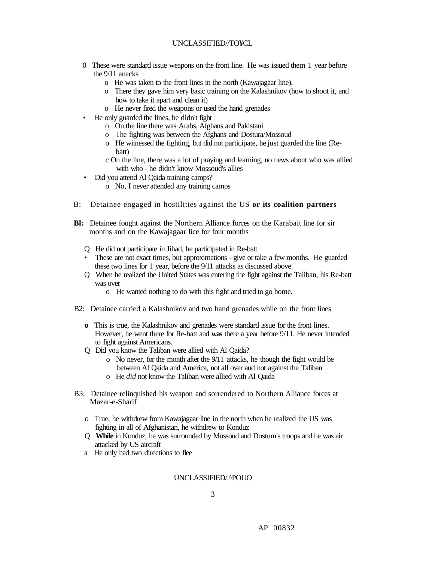#### UNCLASSIFIED//TO¥CL

- 0 These were standard issue weapons on the front line. He was issued them 1 year before the 9/11 anacks
	- o He was taken to the front lines in the north (Kawajagaar line),
	- o There they gave him very basic training on the Kalashnikov (how to shoot it, and how to take it apart and clean it)
	- o He never fired the weapons or used the hand grenades
- He only guarded the lines, he didn't fight
	- o On the line there was Arabs, Afghans and Pakistani
	- o The fighting was between the Afghans and Dostura/Mossoud
	- o He witnessed the fighting, but did not participate, he just guarded the line (Rebatt)
	- c On the line, there was a lot of praying and learning, no news about who was allied with who - he didn't know Mossoud's allies
- Did you attend Al Qaida training camps?
	- o No, I never attended any training camps
- B: Detainee engaged in hostilities against the US **or its coalition partners**
- **Bl:** Detainee fought against the Northern Alliance forces on the Karabait line for sir months and on the Kawajagaar lice for four months
	- Q He did not participate in Jihad, he participated in Re-batt
	- These are not exact times, but approximations give or take a few months. He guarded these two lines for 1 year, before the 9/11 attacks as discussed above.
	- Q When he realized the United States was entering the fight against the Taliban, his Re-batt was over
		- o He wanted nothing to do with this fight and tried to go home.
- B2: Detainee carried a Kalashnikov and two hand grenades while on the front lines
	- **o** This is true, the Kalashnikov and grenades were standard issue for the front lines. However, he went there for Re-batt and **was** there a year before 9/11. He never intended to fight against Americans.
	- Q Did you know the Taliban were allied with Al Qaida?
		- o No never, for the month after the 9/11 attacks, he though the fight would be between Al Qaida and America, not all over and not against the Taliban
		- o He *did* not know the Taliban were allied with Al Qaida
- B3: Detainee relinquished his weapon and sorrendered to Northern Alliance forces at Mazar-e-Sharif
	- o True, he withdrew from Kawajagaar line in the north when he realized the US was fighting in all of Afghanistan, he withdrew to Konduz
	- Q **While** in Konduz, he was surrounded by Mossoud and Dostum's troops and he was air attacked by US aircraft
	- a He only had two directions to flee

#### UNCLASSIFIED/.^POUO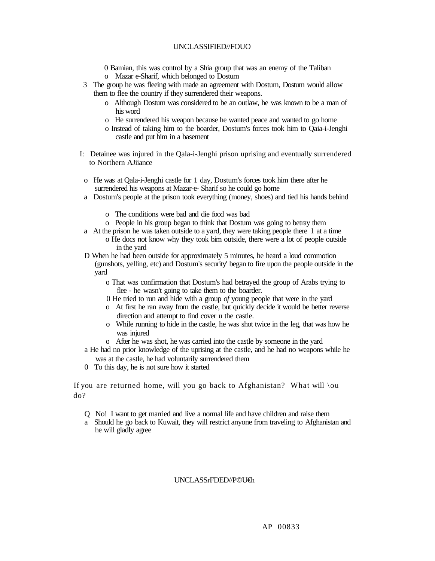- 0 Bamian, this was control by a Shia group that was an enemy of the Taliban o Mazar e-Sharif, which belonged to Dostum
- 3 The group he was fleeing with made an agreement with Dostum, Dostum would allow them to flee the country if they surrendered their weapons.
	- o Although Dostum was considered to be an outlaw, he was known to be a man of his word
	- o He surrendered his weapon because he wanted peace and wanted to go home
	- o Instead of taking him to the boarder, Dostum's forces took him to Qaia-i-Jenghi castle and put him in a basement
- I: Detainee was injured in the Qala-i-Jenghi prison uprising and eventually surrendered to Northern AJiiance
- o He was at Qala-i-Jenghi castle for 1 day, Dostum's forces took him there after he surrendered his weapons at Mazar-e- Sharif so he could go home
- a Dostum's people at the prison took everything (money, shoes) and tied his hands behind
	- o The conditions were bad and die food was bad
	- o People in his group began to think that Dostum was going to betray them
- a At the prison he was taken outside to a yard, they were taking people there 1 at a time o He docs not know why they took bim outside, there were a lot of people outside in the yard
- D When he had been outside for approximately 5 minutes, he heard a loud commotion (gunshots, yelling, etc) and Dostum's security' began to fire upon the people outside in the yard
	- o That was confirmation that Dostum's had betrayed the group of Arabs trying to flee - he wasn't going to take them to the boarder.
	- 0 He tried to run and hide with a group *of* young people that were in the yard
	- o At first he ran away from the castle, but quickly decide it would be better reverse direction and attempt to find cover u the castle.
	- o While running to hide in the castle, he was shot twice in the leg, that was how he was injured
	- o After he was shot, he was carried into the castle by someone in the yard
- a He had no prior knowledge of the uprising at the castle, and he had no weapons while he was at the castle, he had voluntarily surrendered them
- 0 To this day, he is not sure how it started

If you are returned home, will you go back to Afghanistan? What will  $\{ou$ do?

- Q No! I want to get married and live a normal life and have children and raise them
- a Should he go back to Kuwait, they will restrict anyone from traveling to Afghanistan and he will gladly agree

#### UNCLASSrFDED//P©U€h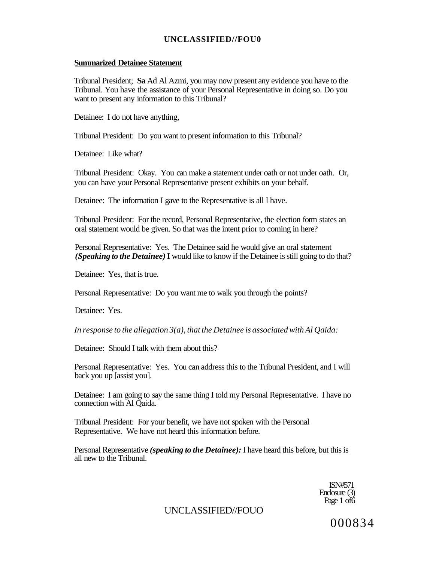#### **Summarized Detainee Statement**

Tribunal President; **Sa** Ad Al Azmi, you may now present any evidence you have to the Tribunal. You have the assistance of your Personal Representative in doing so. Do you want to present any information to this Tribunal?

Detainee: I do not have anything,

Tribunal President: Do you want to present information to this Tribunal?

Detainee: Like what?

Tribunal President: Okay. You can make a statement under oath or not under oath. Or, you can have your Personal Representative present exhibits on your behalf.

Detainee: The information I gave to the Representative is all I have.

Tribunal President: For the record, Personal Representative, the election form states an oral statement would be given. So that was the intent prior to coming in here?

Personal Representative: Yes. The Detainee said he would give an oral statement *(Speaking to the Detainee)* **I** would like to know if the Detainee is still going to do that?

Detainee: Yes, that is true.

Personal Representative: Do you want me to walk you through the points?

Detainee: Yes.

*In response to the allegation 3(a), that the Detainee is associated with Al Qaida:* 

Detainee: Should I talk with them about this?

Personal Representative: Yes. You can address this to the Tribunal President, and I will back you up [assist you].

Detainee: I am going to say the same thing I told my Personal Representative. I have no connection with Al Qaida.

Tribunal President: For your benefit, we have not spoken with the Personal Representative. We have not heard this information before.

Personal Representative *(speaking to the Detainee):* I have heard this before, but this is all new to the Tribunal.

> ISN#571 Enclosure (3) Page 1 of 6

## UNCLASSIFIED//FOUO

000834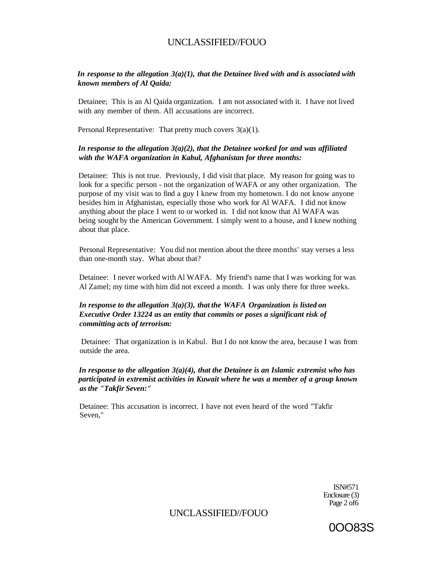#### *In response to the allegation 3(a)(1), that the Detainee lived with and is associated with known members of Al Qaida:*

Detainee; This is an Al Qaida organization. I am not associated with it. I have not lived with any member of them. All accusations are incorrect.

Personal Representative: That pretty much covers 3(a)(1).

#### *In response to the allegation 3(a)(2), that the Detainee worked for and was affiliated with the WAFA organization in Kabul, Afghanistan for three months:*

Detainee: This is not true. Previously, I did visit that place. My reason for going was to look for a specific person - not the organization of WAFA or any other organization. The purpose of my visit was to find a guy I knew from my hometown. I do not know anyone besides him in Afghanistan, especially those who work for Al WAFA. I did not know anything about the place I went to or worked in. I did not know that Al WAFA was being sought by the American Government. I simply went to a house, and I knew nothing about that place.

Personal Representative: You did not mention about the three months' stay verses a less than one-month stay. What about that?

Detainee: I never worked with Al WAFA. My friend's name that I was working for was Al Zamel; my time with him did not exceed a month. I was only there for three weeks.

#### *In response to the allegation 3(a)(3), that the WAFA Organization is listed on Executive Order 13224 as an entity that commits or poses a significant risk of committing acts of terrorism:*

Detainee: That organization is in Kabul. But I do not know the area, because I was from outside the area.

*In response to the allegation 3(a)(4), that the Detainee is an Islamic extremist who has participated in extremist activities in Kuwait where he was a member of a group known as the "Takfir Seven:"* 

Detainee: This accusation is incorrect. I have not even heard of the word "Takfir Seven,"

> ISN#571 Enclosure (3) Page 2 of6

UNCLASSIFIED//FOUO

0OO83S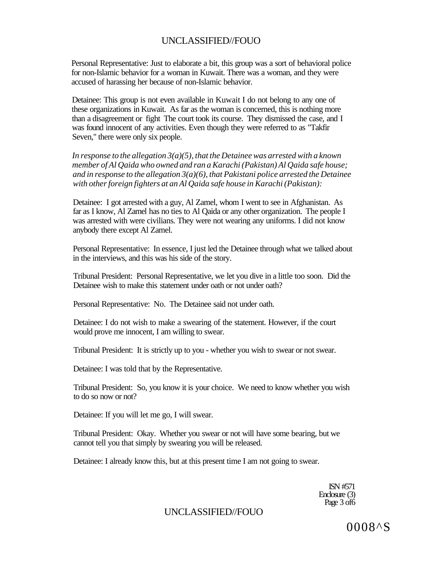Personal Representative: Just to elaborate a bit, this group was a sort of behavioral police for non-Islamic behavior for a woman in Kuwait. There was a woman, and they were accused of harassing her because of non-Islamic behavior.

Detainee: This group is not even available in Kuwait I do not belong to any one of these organizations in Kuwait. As far as the woman is concerned, this is nothing more than a disagreement or fight The court took its course. They dismissed the case, and I was found innocent of any activities. Even though they were referred to as "Takfir Seven," there were only six people.

*In response to the allegation 3(a)(5), that the Detainee was arrested with a known member of Al Qaida who owned and ran a Karachi (Pakistan) Al Qaida safe house; and in response to the allegation 3(a)(6), that Pakistani police arrested the Detainee with other foreign fighters at an Al Qaida safe house in Karachi (Pakistan):* 

Detainee: I got arrested with a guy, Al Zamel, whom I went to see in Afghanistan. As far as I know, Al Zamel has no ties to Al Qaida or any other organization. The people I was arrested with were civilians. They were not wearing any uniforms. I did not know anybody there except Al Zamel.

Personal Representative: In essence, I just led the Detainee through what we talked about in the interviews, and this was his side of the story.

Tribunal President: Personal Representative, we let you dive in a little too soon. Did the Detainee wish to make this statement under oath or not under oath?

Personal Representative: No. The Detainee said not under oath.

Detainee: I do not wish to make a swearing of the statement. However, if the court would prove me innocent, I am willing to swear.

Tribunal President: It is strictly up to you - whether you wish to swear or not swear.

Detainee: I was told that by the Representative.

Tribunal President: So, you know it is your choice. We need to know whether you wish to do so now or not?

Detainee: If you will let me go, I will swear.

Tribunal President: Okay. Whether you swear or not will have some bearing, but we cannot tell you that simply by swearing you will be released.

Detainee: I already know this, but at this present time I am not going to swear.

ISN #571 Enclosure (3) Page 3 of 6

## UNCLASSIFIED//FOUO

0008^S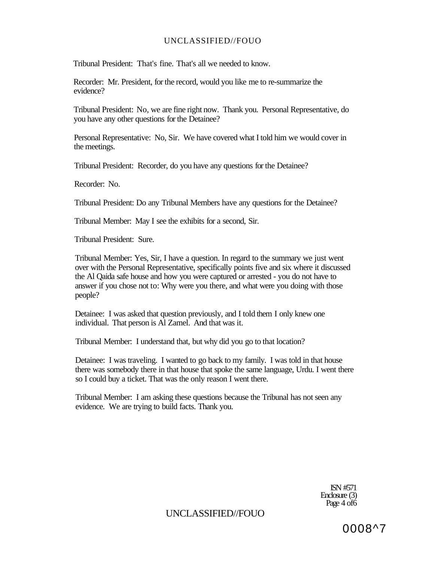Tribunal President: That's fine. That's all we needed to know.

Recorder: Mr. President, for the record, would you like me to re-summarize the evidence?

Tribunal President: No, we are fine right now. Thank you. Personal Representative, do you have any other questions for the Detainee?

Personal Representative: No, Sir. We have covered what I told him we would cover in the meetings.

Tribunal President: Recorder, do you have any questions for the Detainee?

Recorder: No.

Tribunal President: Do any Tribunal Members have any questions for the Detainee?

Tribunal Member: May I see the exhibits for a second, Sir.

Tribunal President: Sure.

Tribunal Member: Yes, Sir, I have a question. In regard to the summary we just went over with the Personal Representative, specifically points five and six where it discussed the Al Qaida safe house and how you were captured or arrested - you do not have to answer if you chose not to: Why were you there, and what were you doing with those people?

Detainee: I was asked that question previously, and I told them I only knew one individual. That person is Al Zamel. And that was it.

Tribunal Member: I understand that, but why did you go to that location?

Detainee: I was traveling. I wanted to go back to my family. I was told in that house there was somebody there in that house that spoke the same language, Urdu. I went there so I could buy a ticket. That was the only reason I went there.

Tribunal Member: I am asking these questions because the Tribunal has not seen any evidence. We are trying to build facts. Thank you.

> ISN #571 Enclosure (3) Page 4 of6

UNCLASSIFIED//FOUO

0008^7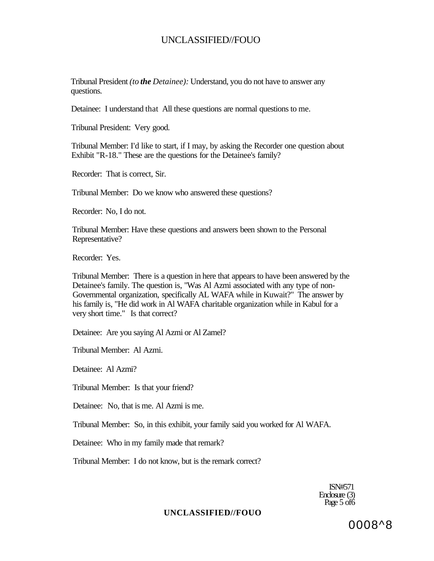Tribunal President *(to the Detainee):* Understand, you do not have to answer any questions.

Detainee: I understand that All these questions are normal questions to me.

Tribunal President: Very good.

Tribunal Member: I'd like to start, if I may, by asking the Recorder one question about Exhibit "R-18." These are the questions for the Detainee's family?

Recorder: That is correct, Sir.

Tribunal Member: Do we know who answered these questions?

Recorder: No, I do not.

Tribunal Member: Have these questions and answers been shown to the Personal Representative?

Recorder: Yes.

Tribunal Member: There is a question in here that appears to have been answered by the Detainee's family. The question is, "Was Al Azmi associated with any type of non-Governmental organization, specifically AL WAFA while in Kuwait?" The answer by his family is, "He did work in Al WAFA charitable organization while in Kabul for a very short time." Is that correct?

Detainee: Are you saying Al Azmi or Al Zamel?

Tribunal Member: Al Azmi.

Detainee: Al Azmi?

Tribunal Member: Is that your friend?

Detainee: No, that is me. Al Azmi is me.

Tribunal Member: So, in this exhibit, your family said you worked for Al WAFA.

Detainee: Who in my family made that remark?

Tribunal Member: I do not know, but is the remark correct?

ISN#571 Enclosure (3) Page 5 of 6

#### **UNCLASSIFIED//FOUO**

0008^8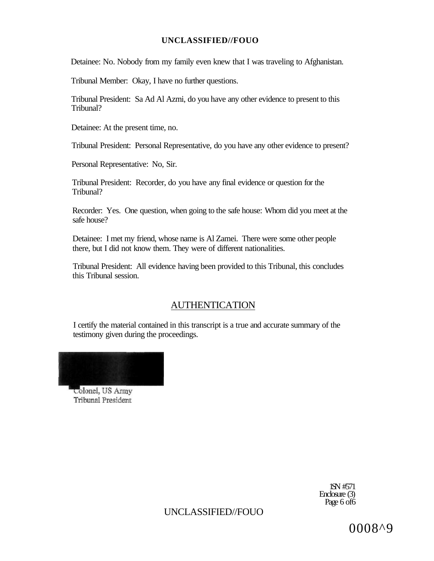Detainee: No. Nobody from my family even knew that I was traveling to Afghanistan.

Tribunal Member: Okay, I have no further questions.

Tribunal President: Sa Ad Al Azmi, do you have any other evidence to present to this Tribunal?

Detainee: At the present time, no.

Tribunal President: Personal Representative, do you have any other evidence to present?

Personal Representative: No, Sir.

Tribunal President: Recorder, do you have any final evidence or question for the Tribunal?

Recorder: Yes. One question, when going to the safe house: Whom did you meet at the safe house?

Detainee: I met my friend, whose name is Al Zamei. There were some other people there, but I did not know them. They were of different nationalities.

Tribunal President: All evidence having been provided to this Tribunal, this concludes this Tribunal session.

## AUTHENTICATION

I certify the material contained in this transcript is a true and accurate summary of the testimony given during the proceedings.



Colonel, US Army Tribunal President

> 1SN #571 Enclosure (3) Page 6 of 6

UNCLASSIFIED//FOUO

0008^9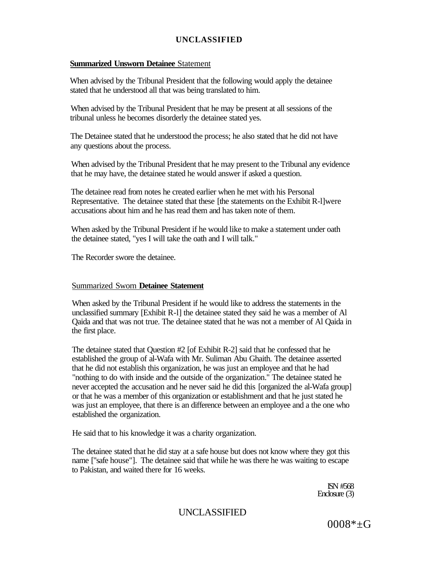## **Summarized Unsworn Detainee** Statement

When advised by the Tribunal President that the following would apply the detainee stated that he understood all that was being translated to him.

When advised by the Tribunal President that he may be present at all sessions of the tribunal unless he becomes disorderly the detainee stated yes.

The Detainee stated that he understood the process; he also stated that he did not have any questions about the process.

When advised by the Tribunal President that he may present to the Tribunal any evidence that he may have, the detainee stated he would answer if asked a question.

The detainee read from notes he created earlier when he met with his Personal Representative. The detainee stated that these [the statements on the Exhibit R-l]were accusations about him and he has read them and has taken note of them.

When asked by the Tribunal President if he would like to make a statement under oath the detainee stated, "yes I will take the oath and I will talk."

The Recorder swore the detainee.

## Summarized Sworn **Detainee Statement**

When asked by the Tribunal President if he would like to address the statements in the unclassified summary [Exhibit R-l] the detainee stated they said he was a member of Al Qaida and that was not true. The detainee stated that he was not a member of Al Qaida in the first place.

The detainee stated that Question #2 [of Exhibit R-2] said that he confessed that he established the group of al-Wafa with Mr. Suliman Abu Ghaith. The detainee asserted that he did not establish this organization, he was just an employee and that he had "nothing to do with inside and the outside of the organization." The detainee stated he never accepted the accusation and he never said he did this [organized the al-Wafa group] or that he was a member of this organization or establishment and that he just stated he was just an employee, that there is an difference between an employee and a the one who established the organization.

He said that to his knowledge it was a charity organization.

The detainee stated that he did stay at a safe house but does not know where they got this name ["safe house"]. The detainee said that while he was there he was waiting to escape to Pakistan, and waited there for 16 weeks.

> ISN #568 Enclosure (3)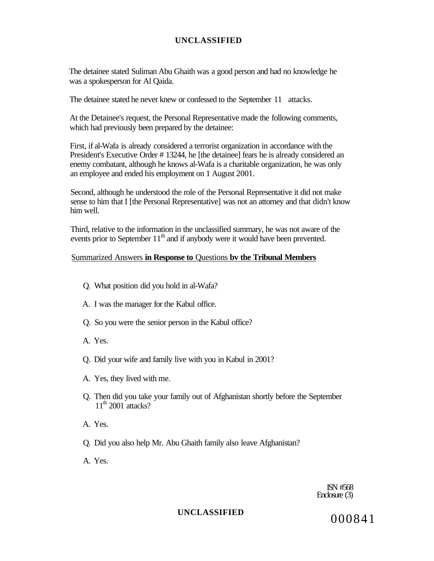The detainee stated Suliman Abu Ghaith was a good person and had no knowledge he was a spokesperson for Al Qaida.

The detainee stated he never knew or confessed to the September 11 attacks.

At the Detainee's request, the Personal Representative made the following comments, which had previously been prepared by the detainee:

First, if al-Wafa is already considered a terrorist organization in accordance with the President's Executive Order # 13244, he [the detainee] fears he is already considered an enemy combatant, although he knows al-Wafa is a charitable organization, he was only an employee and ended his employment on 1 August 2001.

Second, although he understood the role of the Personal Representative it did not make sense to him that I [the Personal Representative] was not an attorney and that didn't know him well.

Third, relative to the information in the unclassified summary, he was not aware of the events prior to September 11<sup>th</sup> and if anybody were it would have been prevented.

#### Summarized Answers **in Response to** Questions **bv the Tribunal Members**

- Q. What position did you hold in al-Wafa?
- A. I was the manager for the Kabul office.
- Q. So you were the senior person in the Kabul office?
- A. Yes.
- Q. Did your wife and family live with you in Kabul in 2001?
- A. Yes, they lived with me.
- Q. Then did you take your family out of Afghanistan shortly before the September  $11<sup>th</sup>$  2001 attacks?
- A. Yes.
- Q. Did you also help Mr. Abu Ghaith family also leave Afghanistan?
- A. Yes.

ISN #568 Enclosure (3)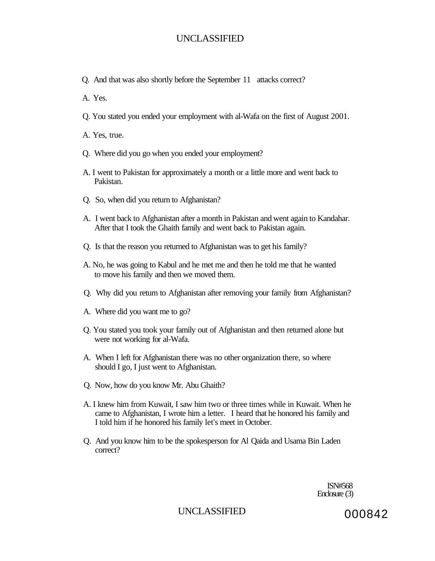Q. And that was also shortly before the September 11 attacks correct?

A. Yes.

Q. You stated you ended your employment with al-Wafa on the first of August 2001.

A. Yes, true.

- Q. Where did you go when you ended your employment?
- A. I went to Pakistan for approximately a month or a little more and went back to Pakistan.
- Q. So, when did you return to Afghanistan?
- A. I went back to Afghanistan after a month in Pakistan and went again to Kandahar. After that I took the Ghaith family and went back to Pakistan again.
- Q. Is that the reason you returned to Afghanistan was to get his family?
- A. No, he was going to Kabul and he met me and then he told me that he wanted to move his family and then we moved them.
- Q. Why did you return to Afghanistan after removing your family from Afghanistan?
- A. Where did you want me to go?
- Q. You stated you took your family out of Afghanistan and then returned alone but were not working for al-Wafa.
- A. When I left for Afghanistan there was no other organization there, so where should I go, I just went to Afghanistan.
- Q. Now, how do you know Mr. Abu Ghaith?
- A. I knew him from Kuwait, I saw him two or three times while in Kuwait. When he came to Afghanistan, I wrote him a letter. I heard that he honored his family and I told him if he honored his family let's meet in October.
- Q. And you know him to be the spokesperson for Al Qaida and Usama Bin Laden correct?

ISN#568 Enclosure (3)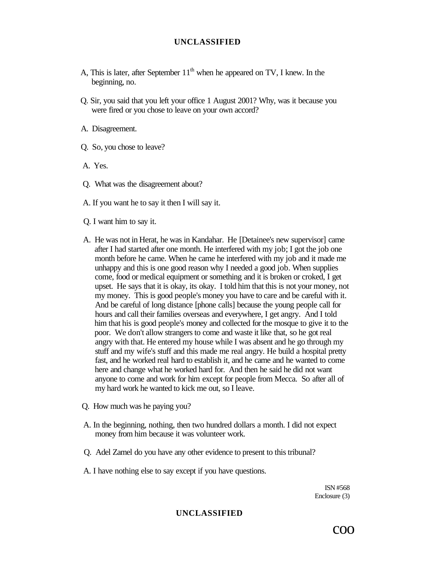- A, This is later, after September  $11<sup>th</sup>$  when he appeared on TV, I knew. In the beginning, no.
- Q. Sir, you said that you left your office 1 August 2001? Why, was it because you were fired or you chose to leave on your own accord?
- A. Disagreement.
- Q. So, you chose to leave?
- A. Yes.
- Q. What was the disagreement about?
- A. If you want he to say it then I will say it.
- Q. I want him to say it.
- A. He was not in Herat, he was in Kandahar. He [Detainee's new supervisor] came after I had started after one month. He interfered with my job; I got the job one month before he came. When he came he interfered with my job and it made me unhappy and this is one good reason why I needed a good job. When supplies come, food or medical equipment or something and it is broken or croked, I get upset. He says that it is okay, its okay. I told him that this is not your money, not my money. This is good people's money you have to care and be careful with it. And be careful of long distance [phone calls] because the young people call for hours and call their families overseas and everywhere, I get angry. And I told him that his is good people's money and collected for the mosque to give it to the poor. We don't allow strangers to come and waste it like that, so he got real angry with that. He entered my house while I was absent and he go through my stuff and my wife's stuff and this made me real angry. He build a hospital pretty fast, and he worked real hard to establish it, and he came and he wanted to come here and change what he worked hard for. And then he said he did not want anyone to come and work for him except for people from Mecca. So after all of my hard work he wanted to kick me out, so I leave.
- Q. How much was he paying you?
- A. In the beginning, nothing, then two hundred dollars a month. I did not expect money from him because it was volunteer work.
- Q. Adel Zamel do you have any other evidence to present to this tribunal?
- A. I have nothing else to say except if you have questions.

ISN #568 Enclosure (3)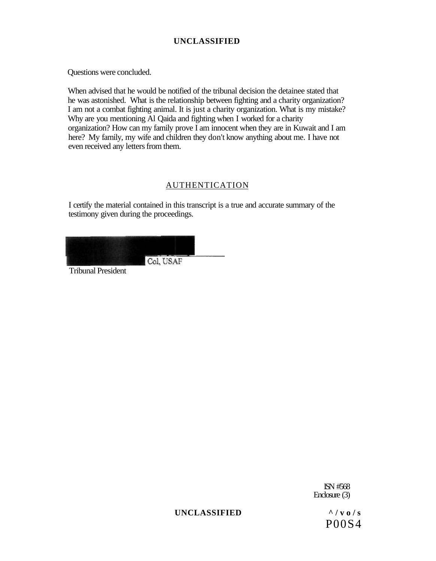Questions were concluded.

When advised that he would be notified of the tribunal decision the detainee stated that he was astonished. What is the relationship between fighting and a charity organization? I am not a combat fighting animal. It is just a charity organization. What is my mistake? Why are you mentioning Al Qaida and fighting when I worked for a charity organization? How can my family prove I am innocent when they are in Kuwait and I am here? My family, my wife and children they don't know anything about me. I have not even received any letters from them.

## AUTHENTICATION

I certify the material contained in this transcript is a true and accurate summary of the testimony given during the proceedings.



Tribunal President

ISN #568 Enclosure (3)

UNCLASSIFIED  $\frac{\wedge}{\vee}$  vo/s

P00S4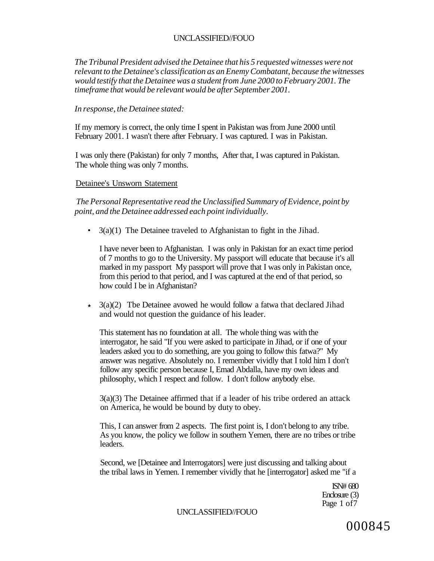*The Tribunal President advised the Detainee that his 5 requested witnesses were not relevant to the Detainee's classification as an Enemy Combatant, because the witnesses would testify that the Detainee was a student from June 2000 to February 2001. The timeframe that would be relevant would be after September 2001.* 

#### *In response, the Detainee stated:*

If my memory is correct, the only time I spent in Pakistan was from June 2000 until February 2001. I wasn't there after February. I was captured. I was in Pakistan.

I was only there (Pakistan) for only 7 months, After that, I was captured in Pakistan. The whole thing was only 7 months.

#### Detainee's Unsworn Statement

*The Personal Representative read the Unclassified Summary of Evidence, point by point, and the Detainee addressed each point individually.* 

•  $3(a)(1)$  The Detainee traveled to Afghanistan to fight in the Jihad.

I have never been to Afghanistan. I was only in Pakistan for an exact time period of 7 months to go to the University. My passport will educate that because it's all marked in my passport My passport will prove that I was only in Pakistan once, from this period to that period, and I was captured at the end of that period, so how could I be in Afghanistan?

**\*** 3(a)(2) Tbe Detainee avowed he would follow a fatwa that declared Jihad and would not question the guidance of his leader.

This statement has no foundation at all. The whole thing was with the interrogator, he said "If you were asked to participate in Jihad, or if one of your leaders asked you to do something, are you going to follow this fatwa?" My answer was negative. Absolutely no. I remember vividly that I told him I don't follow any specific person because I, Emad Abdalla, have my own ideas and philosophy, which I respect and follow. I don't follow anybody else.

3(a)(3) The Detainee affirmed that if a leader of his tribe ordered an attack on America, he would be bound by duty to obey.

This, I can answer from 2 aspects. The first point is, I don't belong to any tribe. As you know, the policy we follow in southern Yemen, there are no tribes or tribe leaders.

Second, we [Detainee and Interrogators] were just discussing and talking about the tribal laws in Yemen. I remember vividly that he [interrogator] asked me "if a

> ISN# 680 Enclosure (3) Page 1 of7

UNCLASSIFIED//FOUO

000845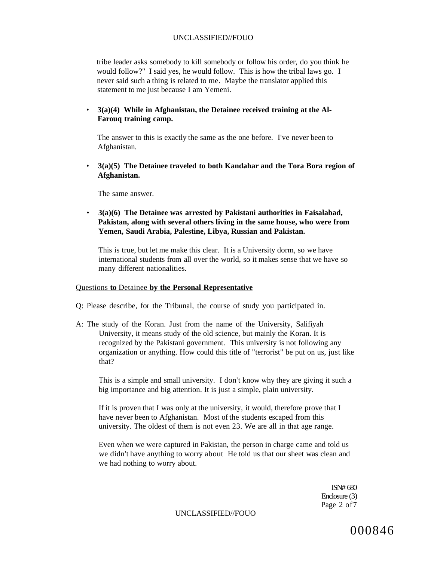tribe leader asks somebody to kill somebody or follow his order, do you think he would follow?" I said yes, he would follow. This is how the tribal laws go. I never said such a thing is related to me. Maybe the translator applied this statement to me just because I am Yemeni.

• **3(a)(4) While in Afghanistan, the Detainee received training at the Al-Farouq training camp.** 

The answer to this is exactly the same as the one before. I've never been to Afghanistan.

• **3(a)(5) The Detainee traveled to both Kandahar and the Tora Bora region of Afghanistan.** 

The same answer.

• **3(a)(6) The Detainee was arrested by Pakistani authorities in Faisalabad, Pakistan, along with several others living in the same house, who were from Yemen, Saudi Arabia, Palestine, Libya, Russian and Pakistan.** 

This is true, but let me make this clear. It is a University dorm, so we have international students from all over the world, so it makes sense that we have so many different nationalities.

#### Questions **to** Detainee **by the Personal Representative**

- Q: Please describe, for the Tribunal, the course of study you participated in.
- A: The study of the Koran. Just from the name of the University, Salifiyah University, it means study of the old science, but mainly the Koran. It is recognized by the Pakistani government. This university is not following any organization or anything. How could this title of "terrorist" be put on us, just like that?

This is a simple and small university. I don't know why they are giving it such a big importance and big attention. It is just a simple, plain university.

If it is proven that I was only at the university, it would, therefore prove that I have never been to Afghanistan. Most of the students escaped from this university. The oldest of them is not even 23. We are all in that age range.

Even when we were captured in Pakistan, the person in charge came and told us we didn't have anything to worry about He told us that our sheet was clean and we had nothing to worry about.

> ISN# 680 Enclosure (3) Page 2 of7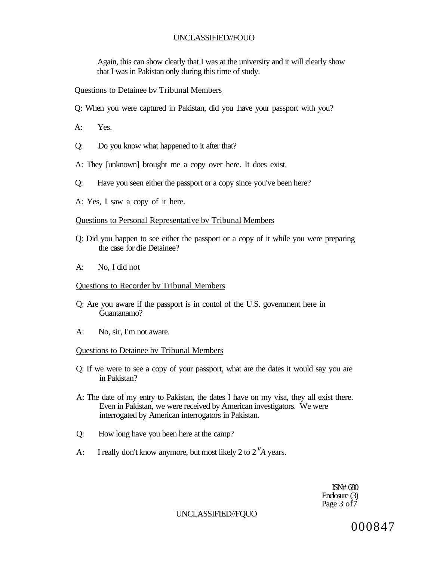Again, this can show clearly that I was at the university and it will clearly show that I was in Pakistan only during this time of study.

#### Questions to Detainee bv Tribunal Members

- Q: When you were captured in Pakistan, did you .have your passport with you?
- A: Yes.
- Q: Do you know what happened to it after that?
- A: They [unknown] brought me a copy over here. It does exist.
- Q: Have you seen either the passport or a copy since you've been here?
- A: Yes, I saw a copy of it here.

#### Questions to Personal Representative bv Tribunal Members

- Q: Did you happen to see either the passport or a copy of it while you were preparing the case for die Detainee?
- A: No, I did not

#### Questions to Recorder bv Tribunal Members

- Q: Are you aware if the passport is in contol of the U.S. government here in Guantanamo?
- A: No, sir, I'm not aware.

#### Questions to Detainee bv Tribunal Members

- Q: If we were to see a copy of your passport, what are the dates it would say you are in Pakistan?
- A: The date of my entry to Pakistan, the dates I have on my visa, they all exist there. Even in Pakistan, we were received by American investigators. We were interrogated by American interrogators in Pakistan.
- Q: How long have you been here at the camp?
- A: I really don't know anymore, but most likely 2 to 2 *<sup>V</sup>A* years.

ISN# 680 Enclosure (3) Page 3 of 7

UNCLASSIFIED//FQUO

000847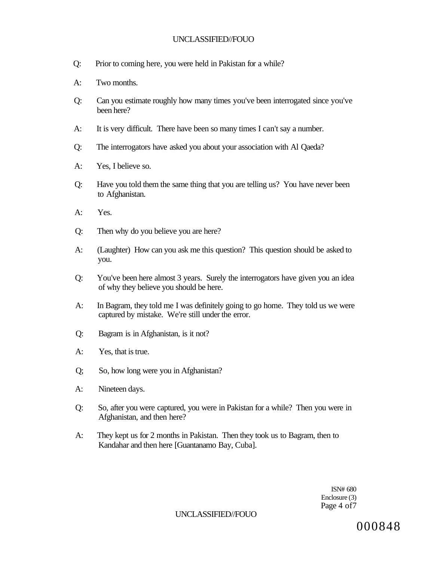- Q: Prior to coming here, you were held in Pakistan for a while?
- A: Two months.
- Q: Can you estimate roughly how many times you've been interrogated since you've been here?
- A: It is very difficult. There have been so many times I can't say a number.
- Q: The interrogators have asked you about your association with Al Qaeda?
- A: Yes, I believe so.
- Q: Have you told them the same thing that you are telling us? You have never been to Afghanistan.
- A: Yes.
- Q: Then why do you believe you are here?
- A: (Laughter) How can you ask me this question? This question should be asked to you.
- Q: You've been here almost 3 years. Surely the interrogators have given you an idea of why they believe you should be here.
- A: In Bagram, they told me I was definitely going to go home. They told us we were captured by mistake. We're still under the error.
- Q: Bagram is in Afghanistan, is it not?
- A: Yes, that is true.
- Q; So, how long were you in Afghanistan?
- A: Nineteen days.
- Q: So, after you were captured, you were in Pakistan for a while? Then you were in Afghanistan, and then here?
- A: They kept us for 2 months in Pakistan. Then they took us to Bagram, then to Kandahar and then here [Guantanamo Bay, Cuba].

ISN# 680 Enclosure (3) Page 4 of7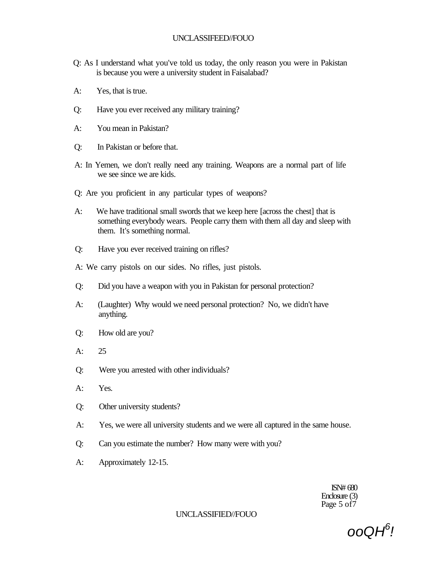- Q: As I understand what you've told us today, the only reason you were in Pakistan is because you were a university student in Faisalabad?
- A: Yes, that is true.
- Q: Have you ever received any military training?
- A: You mean in Pakistan?
- Q: In Pakistan or before that.
- A: In Yemen, we don't really need any training. Weapons are a normal part of life we see since we are kids.
- Q: Are you proficient in any particular types of weapons?
- A: We have traditional small swords that we keep here [across the chest] that is something everybody wears. People carry them with them all day and sleep with them. It's something normal.
- Q: Have you ever received training on rifles?
- A: We carry pistols on our sides. No rifles, just pistols.
- Q: Did you have a weapon with you in Pakistan for personal protection?
- A: (Laughter) Why would we need personal protection? No, we didn't have anything.
- Q: How old are you?
- A: 25
- Q: Were you arrested with other individuals?
- A: Yes.
- Q: Other university students?
- A: Yes, we were all university students and we were all captured in the same house.
- Q: Can you estimate the number? How many were with you?
- A: Approximately 12-15.

ISN# 680 Enclosure (3) Page 5 of  $\overline{7}$ 

ooQH<sup>6</sup> !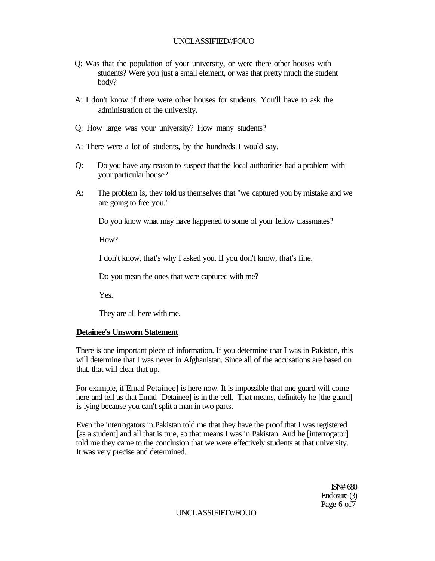- Q: Was that the population of your university, or were there other houses with students? Were you just a small element, or was that pretty much the student body?
- A: I don't know if there were other houses for students. You'll have to ask the administration of the university.
- Q: How large was your university? How many students?
- A: There were a lot of students, by the hundreds I would say.
- Q: Do you have any reason to suspect that the local authorities had a problem with your particular house?
- A: The problem is, they told us themselves that "we captured you by mistake and we are going to free you."

Do you know what may have happened to some of your fellow classmates?

 $How?$ 

I don't know, that's why I asked you. If you don't know, that's fine.

Do you mean the ones that were captured with me?

Yes.

They are all here with me.

### **Detainee's Unsworn Statement**

There is one important piece of information. If you determine that I was in Pakistan, this will determine that I was never in Afghanistan. Since all of the accusations are based on that, that will clear that up.

For example, if Emad Petainee] is here now. It is impossible that one guard will come here and tell us that Emad [Detainee] is in the cell. That means, definitely he [the guard] is lying because you can't split a man in two parts.

Even the interrogators in Pakistan told me that they have the proof that I was registered [as a student] and all that is true, so that means I was in Pakistan. And he [interrogator] told me they came to the conclusion that we were effectively students at that university. It was very precise and determined.

> ISN# 680 Enclosure (3) Page 6 of7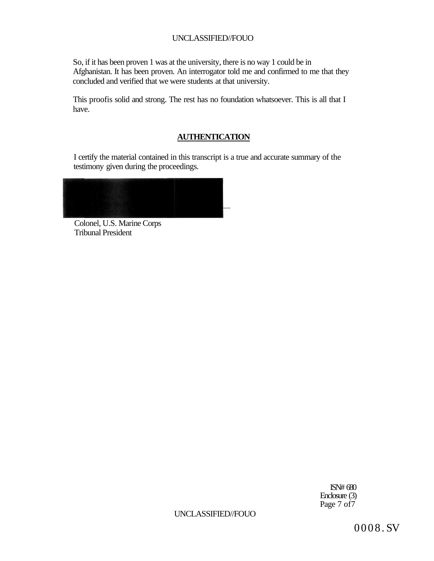So, if it has been proven 1 was at the university, there is no way 1 could be in Afghanistan. It has been proven. An interrogator told me and confirmed to me that they concluded and verified that we were students at that university.

This proofis solid and strong. The rest has no foundation whatsoever. This is all that I have.

### **AUTHENTICATION**

I certify the material contained in this transcript is a true and accurate summary of the testimony given during the proceedings.

Colonel, U.S. Marine Corps Tribunal President

ISN# 680 Enclosure (3) Page 7 of 7

UNCLASSIFIED//FOUO

0008 . SV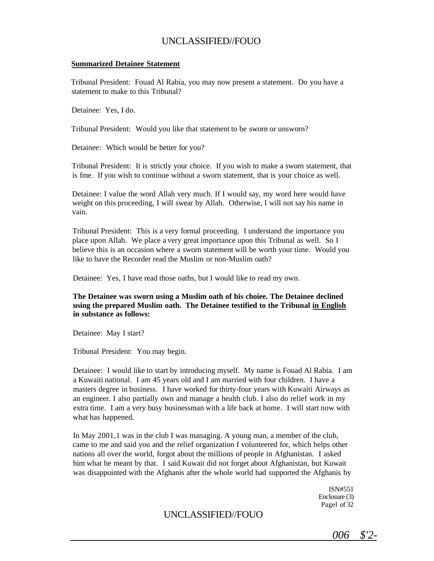#### **Summarized Detainee Statement**

Tribunal President: Fouad Al Rabia, you may now present a statement. Do you have a statement to make to this Tribunal?

Detainee: Yes, I do.

Tribunal President: Would you like that statement to be sworn or unsworn?

Detainee: Which would be better for you?

Tribunal President: It is strictly your choice. If you wish to make a sworn statement, that is fme. If you wish to continue without a sworn statement, that is your choice as well.

Detainee: I value the word Allah very much. If I would say, my word here would have weight on this proceeding, I will swear by Allah. Otherwise, I will not say his name in vain.

Tribunal President: This is a very formal proceeding. I understand the importance you place upon Allah. We place a very great importance upon this Tribunal as well. So I believe this is an occasion where a sworn statement will be worth your time. Would you like to have the Recorder read the Muslim or non-Muslim oath?

Detainee: Yes, I have read those oaths, but I would like to read my own.

**The Detainee was sworn using a Muslim oath of his choiee. The Detainee declined using the prepared Muslim oath. The Detainee testified to the Tribunal in English in substance as follows:** 

Detainee: May I start?

Tribunal President: You may begin.

Detainee: I would like to start by introducing myself. My name is Fouad Al Rabia. I am a Kuwaiti national. I am 45 years old and I am married with four children. I have a masters degree in business. I have worked for thirty-four years with Kuwaiti Airways as an engineer. I also partially own and manage a health club. I also do relief work in my extra time. I am a very busy businessman with a life back at home. I will start now with what has happened.

In May 2001,1 was in the club I was managing. A young man, a member of the club, came to me and said you and the relief organization I volunteered for, which helps other nations all over the world, forgot about the millions of people in Afghanistan. I asked him what he meant by that. I said Kuwait did not forget about Afghanistan, but Kuwait was disappointed with the Afghanis after the whole world had supported the Afghanis by

> ISN#551 Enclosure (3) Pagel of 32

*006 \$'2-*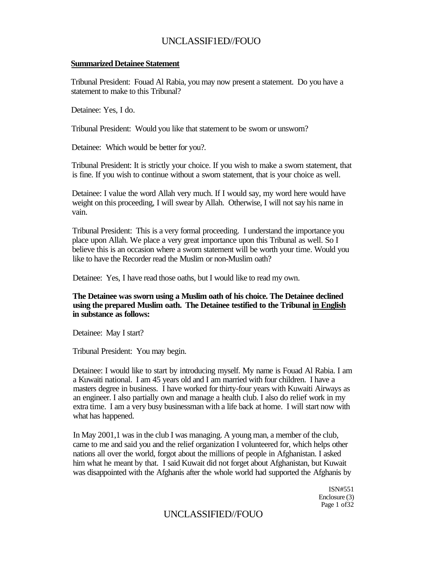#### **Summarized Detainee Statement**

Tribunal President: Fouad Al Rabia, you may now present a statement. Do you have a statement to make to this Tribunal?

Detainee: Yes, I do.

Tribunal President: Would you like that statement to be sworn or unsworn?

Detainee: Which would be better for you?.

Tribunal President: It is strictly your choice. If you wish to make a sworn statement, that is fine. If you wish to continue without a sworn statement, that is your choice as well.

Detainee: I value the word Allah very much. If I would say, my word here would have weight on this proceeding, I will swear by Allah. Otherwise, I will not say his name in vain.

Tribunal President: This is a very formal proceeding. I understand the importance you place upon Allah. We place a very great importance upon this Tribunal as well. So I believe this is an occasion where a sworn statement will be worth your time. Would you like to have the Recorder read the Muslim or non-Muslim oath?

Detainee: Yes, I have read those oaths, but I would like to read my own.

### **The Detainee was sworn using a Muslim oath of his choice. The Detainee declined using the prepared Muslim oath. The Detainee testified to the Tribunal in English in substance as follows:**

Detainee: May I start?

Tribunal President: You may begin.

Detainee: I would like to start by introducing myself. My name is Fouad Al Rabia. I am a Kuwaiti national. I am 45 years old and I am married with four children. I have a masters degree in business. I have worked for thirty-four years with Kuwaiti Airways as an engineer. I also partially own and manage a health club. I also do relief work in my extra time. I am a very busy businessman with a life back at home. I will start now with what has happened.

In May 2001,1 was in the club I was managing. A young man, a member of the club, came to me and said you and the relief organization I volunteered for, which helps other nations all over the world, forgot about the millions of people in Afghanistan. I asked him what he meant by that. I said Kuwait did not forget about Afghanistan, but Kuwait was disappointed with the Afghanis after the whole world had supported the Afghanis by

> ISN#551 Enclosure (3) Page 1 of 32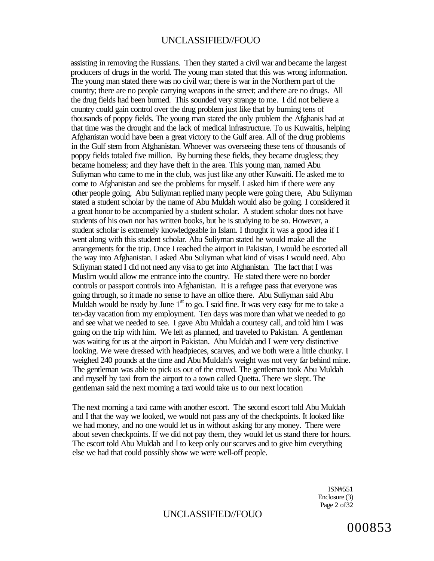assisting in removing the Russians. Then they started a civil war and became the largest producers of drugs in the world. The young man stated that this was wrong information. The young man stated there was no civil war; there is war in the Northern part of the country; there are no people carrying weapons in the street; and there are no drugs. All the drug fields had been burned. This sounded very strange to me. I did not believe a country could gain control over the drug problem just like that by burning tens of thousands of poppy fields. The young man stated the only problem the Afghanis had at that time was the drought and the lack of medical infrastructure. To us Kuwaitis, helping Afghanistan would have been a great victory to the Gulf area. All of the drug problems in the Gulf stem from Afghanistan. Whoever was overseeing these tens of thousands of poppy fields totaled five million. By burning these fields, they became drugless; they became homeless; and they have theft in the area. This young man, named Abu Suliyman who came to me in the club, was just like any other Kuwaiti. He asked me to come to Afghanistan and see the problems for myself. I asked him if there were any other people going, Abu Suliyman replied many people were going there, Abu Suliyman stated a student scholar by the name of Abu Muldah would also be going. I considered it a great honor to be accompanied by a student scholar. A student scholar does not have students of his own nor has written books, but he is studying to be so. However, a student scholar is extremely knowledgeable in Islam. I thought it was a good idea if I went along with this student scholar. Abu Suliyman stated he would make all the arrangements for the trip. Once I reached the airport in Pakistan, I would be escorted all the way into Afghanistan. I asked Abu Suliyman what kind of visas I would need. Abu Suliyman stated I did not need any visa to get into Afghanistan. The fact that I was Muslim would allow me entrance into the country. He stated there were no border controls or passport controls into Afghanistan. It is a refugee pass that everyone was going through, so it made no sense to have an office there. Abu Suliyman said Abu Muldah would be ready by June  $1<sup>st</sup>$  to go. I said fine. It was very easy for me to take a ten-day vacation from my employment. Ten days was more than what we needed to go and see what we needed to see. I gave Abu Muldah a courtesy call, and told him I was going on the trip with him. We left as planned, and traveled to Pakistan. A gentleman was waiting for us at the airport in Pakistan. Abu Muldah and I were very distinctive looking. We were dressed with headpieces, scarves, and we both were a little chunky. I weighed 240 pounds at the time and Abu Muldah's weight was not very far behind mine. The gentleman was able to pick us out of the crowd. The gentleman took Abu Muldah and myself by taxi from the airport to a town called Quetta. There we slept. The gentleman said the next morning a taxi would take us to our next location

The next morning a taxi came with another escort. The second escort told Abu Muldah and I that the way we looked, we would not pass any of the checkpoints. It looked like we had money, and no one would let us in without asking for any money. There were about seven checkpoints. If we did not pay them, they would let us stand there for hours. The escort told Abu Muldah and I to keep only our scarves and to give him everything else we had that could possibly show we were well-off people.

> ISN#551 Enclosure (3) Page 2 of 32

# UNCLASSIFIED//FOUO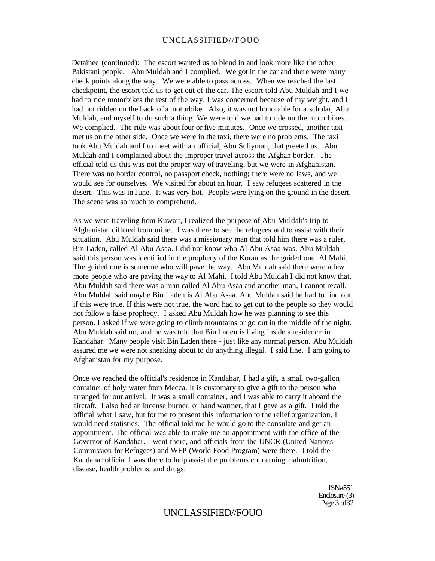Detainee (continued): The escort wanted us to blend in and look more like the other Pakistani people. Abu Muldah and I complied. We got in the car and there were many check points along the way. We were able to pass across. When we reached the last checkpoint, the escort told us to get out of the car. The escort told Abu Muldah and I we had to ride motorbikes the rest of the way. I was concerned because of my weight, and I had not ridden on the back of a motorbike. Also, it was not honorable for a scholar, Abu Muldah, and myself to do such a thing. We were told we had to ride on the motorbikes. We complied. The ride was about four or five minutes. Once we crossed, another taxi met us on the other side. Once we were in the taxi, there were no problems. The taxi took Abu Muldah and I to meet with an official, Abu Suliyman, that greeted us. Abu Muldah and I complained about the improper travel across the Afghan border. The official told us this was not the proper way of traveling, but we were in Afghanistan. There was no border control, no passport check, nothing; there were no laws, and we would see for ourselves. We visited for about an hour. I saw refugees scattered in the desert. This was in June. It was very hot. People were lying on the ground in the desert. The scene was so much to comprehend.

As we were traveling from Kuwait, I realized the purpose of Abu Muldah's trip to Afghanistan differed from mine. I was there to see the refugees and to assist with their situation. Abu Muldah said there was a missionary man that told him there was a ruler, Bin Laden, called Al Abu Asaa. I did not know who Al Abu Asaa was. Abu Muldah said this person was identified in the prophecy of the Koran as the guided one, Al Mahi. The guided one is someone who will pave the way. Abu Muldah said there were a few more people who are paving the way to Al Mahi. I told Abu Muldah I did not know that. Abu Muldah said there was a man called Al Abu Asaa and another man, I cannot recall. Abu Muldah said maybe Bin Laden is Al Abu Asaa. Abu Muldah said he had to find out if this were true. If this were not true, the word had to get out to the people so they would not follow a false prophecy. I asked Abu Muldah how he was planning to see this person. I asked if we were going to climb mountains or go out in the middle of the night. Abu Muldah said no, and he was told that Bin Laden is living inside a residence in Kandahar. Many people visit Bin Laden there - just like any normal person. Abu Muldah assured me we were not sneaking about to do anything illegal. I said fine. I am going to Afghanistan for my purpose.

Once we reached the official's residence in Kandahar, I had a gift, a small two-gallon container of holy water from Mecca. It is customary to give a gift to the person who arranged for our arrival. It was a small container, and I was able to carry it aboard the aircraft. I also had an incense burner, or hand warmer, that I gave as a gift. I told the official what I saw, but for me to present this information to the relief organization, I would need statistics. The official told me he would go to the consulate and get an appointment. The official was able to make me an appointment with the office of the Governor of Kandahar. I went there, and officials from the UNCR (United Nations Commission for Refugees) and WFP (World Food Program) were there. I told the Kandahar official I was there to help assist the problems concerning malnutrition, disease, health problems, and drugs.

> ISN#551 Enclosure (3) Page 3 of 32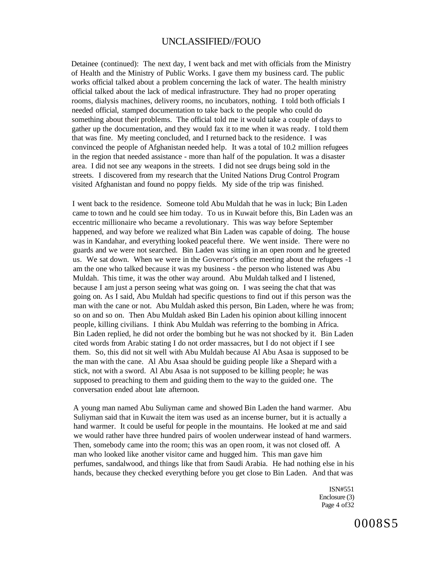Detainee (continued): The next day, I went back and met with officials from the Ministry of Health and the Ministry of Public Works. I gave them my business card. The public works official talked about a problem concerning the lack of water. The health ministry official talked about the lack of medical infrastructure. They had no proper operating rooms, dialysis machines, delivery rooms, no incubators, nothing. I told both officials I needed official, stamped documentation to take back to the people who could do something about their problems. The official told me it would take a couple of days to gather up the documentation, and they would fax it to me when it was ready. I told them that was fine. My meeting concluded, and I returned back to the residence. I was convinced the people of Afghanistan needed help. It was a total of 10.2 million refugees in the region that needed assistance - more than half of the population. It was a disaster area. I did not see any weapons in the streets. I did not see drugs being sold in the streets. I discovered from my research that the United Nations Drug Control Program visited Afghanistan and found no poppy fields. My side of the trip was finished.

I went back to the residence. Someone told Abu Muldah that he was in luck; Bin Laden came to town and he could see him today. To us in Kuwait before this, Bin Laden was an eccentric millionaire who became a revolutionary. This was way before September happened, and way before we realized what Bin Laden was capable of doing. The house was in Kandahar, and everything looked peaceful there. We went inside. There were no guards and we were not searched. Bin Laden was sitting in an open room and he greeted us. We sat down. When we were in the Governor's office meeting about the refugees -1 am the one who talked because it was my business - the person who listened was Abu Muldah. This time, it was the other way around. Abu Muldah talked and I listened, because I am just a person seeing what was going on. I was seeing the chat that was going on. As I said, Abu Muldah had specific questions to find out if this person was the man with the cane or not. Abu Muldah asked this person, Bin Laden, where he was from; so on and so on. Then Abu Muldah asked Bin Laden his opinion about killing innocent people, killing civilians. I think Abu Muldah was referring to the bombing in Africa. Bin Laden replied, he did not order the bombing but he was not shocked by it. Bin Laden cited words from Arabic stating I do not order massacres, but I do not object if I see them. So, this did not sit well with Abu Muldah because Al Abu Asaa is supposed to be the man with the cane. Al Abu Asaa should be guiding people like a Shepard with a stick, not with a sword. Al Abu Asaa is not supposed to be killing people; he was supposed to preaching to them and guiding them to the way to the guided one. The conversation ended about late afternoon.

A young man named Abu Suliyman came and showed Bin Laden the hand warmer. Abu Suliyman said that in Kuwait the item was used as an incense burner, but it is actually a hand warmer. It could be useful for people in the mountains. He looked at me and said we would rather have three hundred pairs of woolen underwear instead of hand warmers. Then, somebody came into the room; this was an open room, it was not closed off. A man who looked like another visitor came and hugged him. This man gave him perfumes, sandalwood, and things like that from Saudi Arabia. He had nothing else in his hands, because they checked everything before you get close to Bin Laden. And that was

> ISN#551 Enclosure (3) Page 4 of 32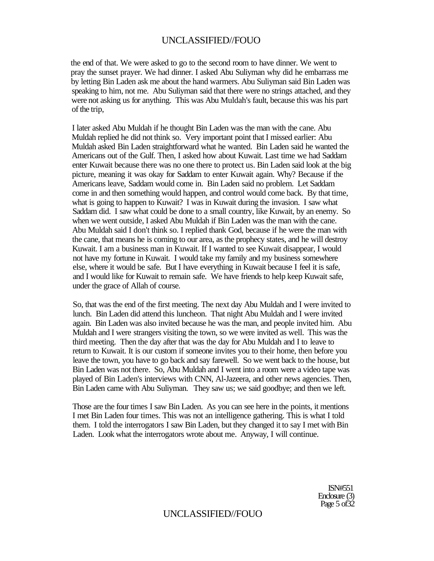the end of that. We were asked to go to the second room to have dinner. We went to pray the sunset prayer. We had dinner. I asked Abu Suliyman why did he embarrass me by letting Bin Laden ask me about the hand warmers. Abu Suliyman said Bin Laden was speaking to him, not me. Abu Suliyman said that there were no strings attached, and they were not asking us for anything. This was Abu Muldah's fault, because this was his part of the trip,

I later asked Abu Muldah if he thought Bin Laden was the man with the cane. Abu Muldah replied he did not think so. Very important point that I missed earlier: Abu Muldah asked Bin Laden straightforward what he wanted. Bin Laden said he wanted the Americans out of the Gulf. Then, I asked how about Kuwait. Last time we had Saddam enter Kuwait because there was no one there to protect us. Bin Laden said look at the big picture, meaning it was okay for Saddam to enter Kuwait again. Why? Because if the Americans leave, Saddam would come in. Bin Laden said no problem. Let Saddam come in and then something would happen, and control would come back. By that time, what is going to happen to Kuwait? I was in Kuwait during the invasion. I saw what Saddam did. I saw what could be done to a small country, like Kuwait, by an enemy. So when we went outside, I asked Abu Muldah if Bin Laden was the man with the cane. Abu Muldah said I don't think so. I replied thank God, because if he were the man with the cane, that means he is coming to our area, as the prophecy states, and he will destroy Kuwait. I am a business man in Kuwait. If I wanted to see Kuwait disappear, I would not have my fortune in Kuwait. I would take my family and my business somewhere else, where it would be safe. But I have everything in Kuwait because I feel it is safe, and I would like for Kuwait to remain safe. We have friends to help keep Kuwait safe, under the grace of Allah of course.

So, that was the end of the first meeting. The next day Abu Muldah and I were invited to lunch. Bin Laden did attend this luncheon. That night Abu Muldah and I were invited again. Bin Laden was also invited because he was the man, and people invited him. Abu Muldah and I were strangers visiting the town, so we were invited as well. This was the third meeting. Then the day after that was the day for Abu Muldah and I to leave to return to Kuwait. It is our custom if someone invites you to their home, then before you leave the town, you have to go back and say farewell. So we went back to the house, but Bin Laden was not there. So, Abu Muldah and I went into a room were a video tape was played of Bin Laden's interviews with CNN, Al-Jazeera, and other news agencies. Then, Bin Laden came with Abu Suliyman. They saw us; we said goodbye; and then we left.

Those are the four times I saw Bin Laden. As you can see here in the points, it mentions I met Bin Laden four times. This was not an intelligence gathering. This is what I told them. I told the interrogators I saw Bin Laden, but they changed it to say I met with Bin Laden. Look what the interrogators wrote about me. Anyway, I will continue.

> ISN#551 Enclosure (3) Page 5 of 32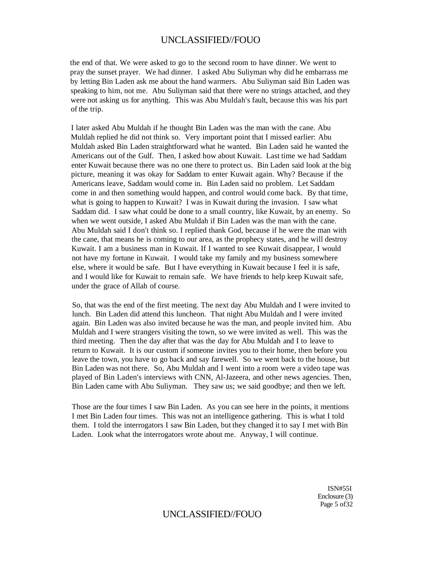the end of that. We were asked to go to the second room to have dinner. We went to pray the sunset prayer. We had dinner. I asked Abu Suliyman why did he embarrass me by letting Bin Laden ask me about the hand warmers. Abu Suliyman said Bin Laden was speaking to him, not me. Abu Suliyman said that there were no strings attached, and they were not asking us for anything. This was Abu Muldah's fault, because this was his part of the trip.

I later asked Abu Muldah if he thought Bin Laden was the man with the cane. Abu Muldah replied he did not think so. Very important point that I missed earlier: Abu Muldah asked Bin Laden straightforward what he wanted. Bin Laden said he wanted the Americans out of the Gulf. Then, I asked how about Kuwait. Last time we had Saddam enter Kuwait because there was no one there to protect us. Bin Laden said look at the big picture, meaning it was okay for Saddam to enter Kuwait again. Why? Because if the Americans leave, Saddam would come in. Bin Laden said no problem. Let Saddam come in and then something would happen, and control would come back. By that time, what is going to happen to Kuwait? I was in Kuwait during the invasion. I saw what Saddam did. I saw what could be done to a small country, like Kuwait, by an enemy. So when we went outside, I asked Abu Muldah if Bin Laden was the man with the cane. Abu Muldah said I don't think so. I replied thank God, because if he were the man with the cane, that means he is coming to our area, as the prophecy states, and he will destroy Kuwait. I am a business man in Kuwait. If I wanted to see Kuwait disappear, I would not have my fortune in Kuwait. I would take my family and my business somewhere else, where it would be safe. But I have everything in Kuwait because I feel it is safe, and I would like for Kuwait to remain safe. We have friends to help keep Kuwait safe, under the grace of Allah of course.

So, that was the end of the first meeting. The next day Abu Muldah and I were invited to lunch. Bin Laden did attend this luncheon. That night Abu Muldah and I were invited again. Bin Laden was also invited because he was the man, and people invited him. Abu Muldah and I were strangers visiting the town, so we were invited as well. This was the third meeting. Then the day after that was the day for Abu Muldah and I to leave to return to Kuwait. It is our custom if someone invites you to their home, then before you leave the town, you have to go back and say farewell. So we went back to the house, but Bin Laden was not there. So, Abu Muldah and I went into a room were a video tape was played of Bin Laden's interviews with CNN, Al-Jazeera, and other news agencies. Then, Bin Laden came with Abu Suliyman. They saw us; we said goodbye; and then we left.

Those are the four times I saw Bin Laden. As you can see here in the points, it mentions I met Bin Laden four times. This was not an intelligence gathering. This is what I told them. I told the interrogators I saw Bin Laden, but they changed it to say I met with Bin Laden. Look what the interrogators wrote about me. Anyway, I will continue.

> ISN#55I Enclosure (3) Page 5 of 32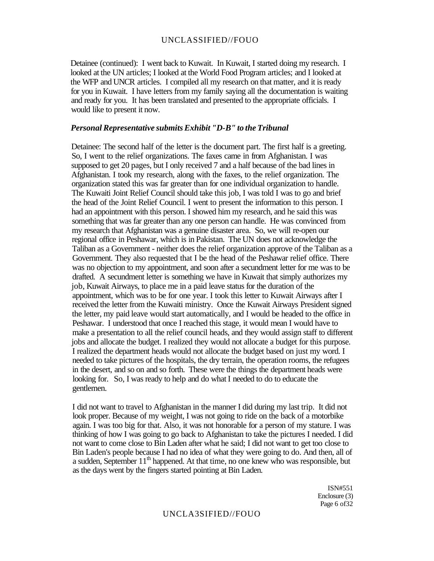Detainee (continued): I went back to Kuwait. In Kuwait, I started doing my research. I looked at the UN articles; I looked at the World Food Program articles; and I looked at the WFP and UNCR articles. I compiled all my research on that matter, and it is ready for you in Kuwait. I have letters from my family saying all the documentation is waiting and ready for you. It has been translated and presented to the appropriate officials. I would like to present it now.

#### *Personal Representative submits Exhibit "D-B" to the Tribunal*

Detainee: The second half of the letter is the document part. The first half is a greeting. So, I went to the relief organizations. The faxes came in from Afghanistan. I was supposed to get 20 pages, but I only received 7 and a half because of the bad lines in Afghanistan. I took my research, along with the faxes, to the relief organization. The organization stated this was far greater than for one individual organization to handle. The Kuwaiti Joint Relief Council should take this job, I was told I was to go and brief the head of the Joint Relief Council. I went to present the information to this person. I had an appointment with this person. I showed him my research, and he said this was something that was far greater than any one person can handle. He was convinced from my research that Afghanistan was a genuine disaster area. So, we will re-open our regional office in Peshawar, which is in Pakistan. The UN does not acknowledge the Taliban as a Government - neither does the relief organization approve of the Taliban as a Government. They also requested that I be the head of the Peshawar relief office. There was no objection to my appointment, and soon after a secundment letter for me was to be drafted. A secundment letter is something we have in Kuwait that simply authorizes my job, Kuwait Airways, to place me in a paid leave status for the duration of the appointment, which was to be for one year. I took this letter to Kuwait Airways after I received the letter from the Kuwaiti ministry. Once the Kuwait Airways President signed the letter, my paid leave would start automatically, and I would be headed to the office in Peshawar. I understood that once I reached this stage, it would mean I would have to make a presentation to all the relief council heads, and they would assign staff to different jobs and allocate the budget. I realized they would not allocate a budget for this purpose. I realized the department heads would not allocate the budget based on just my word. I needed to take pictures of the hospitals, the dry terrain, the operation rooms, the refugees in the desert, and so on and so forth. These were the things the department heads were looking for. So, I was ready to help and do what I needed to do to educate the gentlemen.

I did not want to travel to Afghanistan in the manner I did during my last trip. It did not look proper. Because of my weight, I was not going to ride on the back of a motorbike again. I was too big for that. Also, it was not honorable for a person of my stature. I was thinking of how I was going to go back to Afghanistan to take the pictures I needed. I did not want to come close to Bin Laden after what he said; I did not want to get too close to Bin Laden's people because I had no idea of what they were going to do. And then, all of a sudden, September 11<sup>th</sup> happened. At that time, no one knew who was responsible, but as the days went by the fingers started pointing at Bin Laden.

> ISN#551 Enclosure (3) Page 6 of 32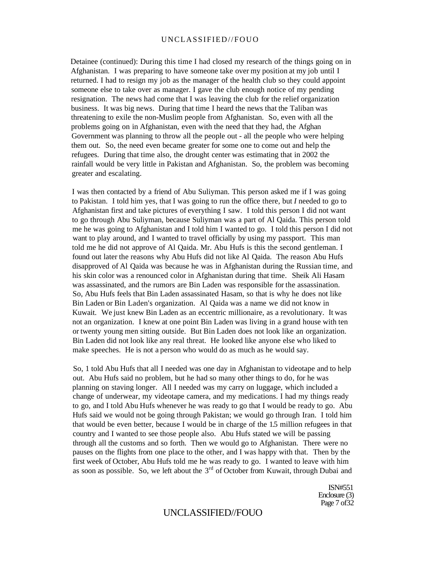Detainee (continued): During this time I had closed my research of the things going on in Afghanistan. I was preparing to have someone take over my position at my job until I returned. I had to resign my job as the manager of the health club so they could appoint someone else to take over as manager. I gave the club enough notice of my pending resignation. The news had come that I was leaving the club for the relief organization business. It was big news. During that time I heard the news that the Taliban was threatening to exile the non-Muslim people from Afghanistan. So, even with all the problems going on in Afghanistan, even with the need that they had, the Afghan Government was planning to throw all the people out - all the people who were helping them out. So, the need even became greater for some one to come out and help the refugees. During that time also, the drought center was estimating that in 2002 the rainfall would be very little in Pakistan and Afghanistan. So, the problem was becoming greater and escalating.

I was then contacted by a friend of Abu Suliyman. This person asked me if I was going to Pakistan. I told him yes, that I was going to run the office there, but *I* needed to go to Afghanistan first and take pictures of everything I saw. I told this person I did not want to go through Abu Suliyman, because Suliyman was a part of Al Qaida. This person told me he was going to Afghanistan and I told him I wanted to go. I told this person I did not want to play around, and I wanted to travel officially by using my passport. This man told me he did not approve of Al Qaida. Mr. Abu Hufs is this the second gentleman. I found out later the reasons why Abu Hufs did not like Al Qaida. The reason Abu Hufs disapproved of Al Qaida was because he was in Afghanistan during the Russian time, and his skin color was a renounced color in Afghanistan during that time. Sheik Ali Hasam was assassinated, and the rumors are Bin Laden was responsible for the assassination. So, Abu Hufs feels that Bin Laden assassinated Hasam, so that is why he does not like Bin Laden or Bin Laden's organization. Al Qaida was a name we did not know in Kuwait. We just knew Bin Laden as an eccentric millionaire, as a revolutionary. It was not an organization. I knew at one point Bin Laden was living in a grand house with ten or twenty young men sitting outside. But Bin Laden does not look like an organization. Bin Laden did not look like any real threat. He looked like anyone else who liked to make speeches. He is not a person who would do as much as he would say.

So, 1 told Abu Hufs that all I needed was one day in Afghanistan to videotape and to help out. Abu Hufs said no problem, but he had so many other things to do, for he was planning on staving longer. All I needed was my carry on luggage, which included a change of underwear, my videotape camera, and my medications. I had my things ready to go, and I told Abu Hufs whenever he was ready to go that I would be ready to go. Abu Hufs said we would not be going through Pakistan; we would go through Iran. I told him that would be even better, because I would be in charge of the 1.5 million refugees in that country and I wanted to see those people also. Abu Hufs stated we will be passing through all the customs and so forth. Then we would go to Afghanistan. There were no pauses on the flights from one place to the other, and I was happy with that. Then by the first week of October, Abu Hufs told me he was ready to go. I wanted to leave with him as soon as possible. So, we left about the  $3<sup>rd</sup>$  of October from Kuwait, through Dubai and

> ISN#551 Enclosure (3) Page 7 of 32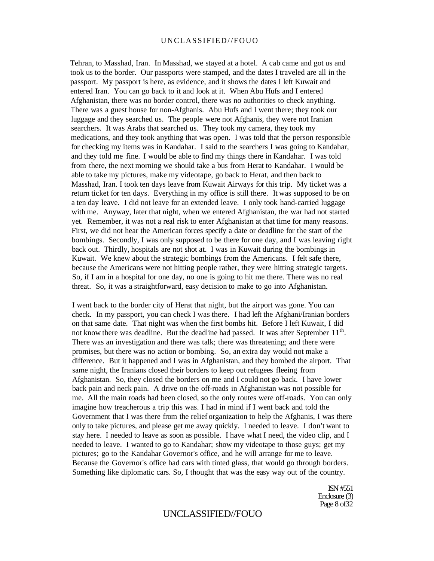Tehran, to Masshad, Iran. In Masshad, we stayed at a hotel. A cab came and got us and took us to the border. Our passports were stamped, and the dates I traveled are all in the passport. My passport is here, as evidence, and it shows the dates I left Kuwait and entered Iran. You can go back to it and look at it. When Abu Hufs and I entered Afghanistan, there was no border control, there was no authorities to check anything. There was a guest house for non-Afghanis. Abu Hufs and I went there; they took our luggage and they searched us. The people were not Afghanis, they were not Iranian searchers. It was Arabs that searched us. They took my camera, they took my medications, and they took anything that was open. I was told that the person responsible for checking my items was in Kandahar. I said to the searchers I was going to Kandahar, and they told me fine. I would be able to find my things there in Kandahar. I was told from there, the next morning we should take a bus from Herat to Kandahar. I would be able to take my pictures, make my videotape, go back to Herat, and then back to Masshad, Iran. I took ten days leave from Kuwait Airways for this trip. My ticket was a return ticket for ten days. Everything in my office is still there. It was supposed to be on a ten day leave. I did not leave for an extended leave. I only took hand-carried luggage with me. Anyway, later that night, when we entered Afghanistan, the war had not started yet. Remember, it was not a real risk to enter Afghanistan at that time for many reasons. First, we did not hear the American forces specify a date or deadline for the start of the bombings. Secondly, I was only supposed to be there for one day, and I was leaving right back out. Thirdly, hospitals are not shot at. I was in Kuwait during the bombings in Kuwait. We knew about the strategic bombings from the Americans. I felt safe there, because the Americans were not hitting people rather, they were hitting strategic targets. So, if I am in a hospital for one day, no one is going to hit me there. There was no real threat. So, it was a straightforward, easy decision to make to go into Afghanistan.

I went back to the border city of Herat that night, but the airport was gone. You can check. In my passport, you can check I was there. I had left the Afghani/Iranian borders on that same date. That night was when the first bombs hit. Before I left Kuwait, I did not know there was deadline. But the deadline had passed. It was after September  $11<sup>th</sup>$ . There was an investigation and there was talk; there was threatening; and there were promises, but there was no action or bombing. So, an extra day would not make a difference. But it happened and I was in Afghanistan, and they bombed the airport. That same night, the Iranians closed their borders to keep out refugees fleeing from Afghanistan. So, they closed the borders on me and I could not go back. I have lower back pain and neck pain. A drive on the off-roads in Afghanistan was not possible for me. All the main roads had been closed, so the only routes were off-roads. You can only imagine how treacherous a trip this was. I had in mind if I went back and told the Government that I was there from the relief organization to help the Afghanis, I was there only to take pictures, and please get me away quickly. I needed to leave. I don't want to stay here. I needed to leave as soon as possible. I have what I need, the video clip, and I needed to leave. I wanted to go to Kandahar; show my videotape to those guys; get my pictures; go to the Kandahar Governor's office, and he will arrange for me to leave. Because the Governor's office had cars with tinted glass, that would go through borders. Something like diplomatic cars. So, I thought that was the easy way out of the country.

> ISN #551 Enclosure (3) Page 8 of 32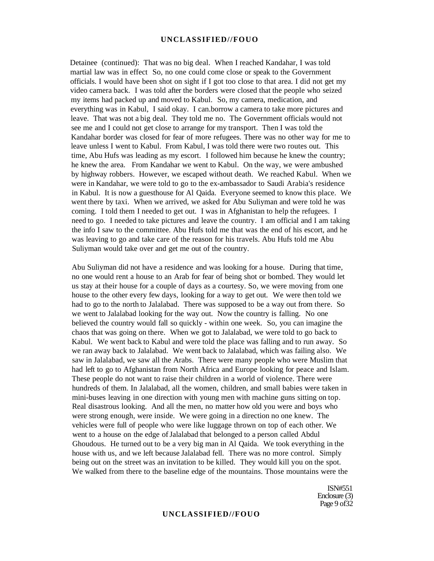Detainee (continued): That was no big deal. When I reached Kandahar, I was told martial law was in effect So, no one could come close or speak to the Government officials. I would have been shot on sight if I got too close to that area. I did not get my video camera back. I was told after the borders were closed that the people who seized my items had packed up and moved to Kabul. So, my camera, medication, and everything was in Kabul, I said okay. I can.borrow a camera to take more pictures and leave. That was not a big deal. They told me no. The Government officials would not see me and I could not get close to arrange for my transport. Then I was told the Kandahar border was closed for fear of more refugees. There was no other way for me to leave unless I went to Kabul. From Kabul, I was told there were two routes out. This time, Abu Hufs was leading as my escort. I followed him because he knew the country; he knew the area. From Kandahar we went to Kabul. On the way, we were ambushed by highway robbers. However, we escaped without death. We reached Kabul. When we were in Kandahar, we were told to go to the ex-ambassador to Saudi Arabia's residence in Kabul. It is now a guesthouse for Al Qaida. Everyone seemed to know this place. We went there by taxi. When we arrived, we asked for Abu Suliyman and were told he was coming. I told them I needed to get out. I was in Afghanistan to help the refugees. I need to go. I needed to take pictures and leave the country. I am official and I am taking the info I saw to the committee. Abu Hufs told me that was the end of his escort, and he was leaving to go and take care of the reason for his travels. Abu Hufs told me Abu Suliyman would take over and get me out of the country.

Abu Suliyman did not have a residence and was looking for a house. During that time, no one would rent a house to an Arab for fear of being shot or bombed. They would let us stay at their house for a couple of days as a courtesy. So, we were moving from one house to the other every few days, looking for a way to get out. We were then told we had to go to the north to Jalalabad. There was supposed to be a way out from there. So we went to Jalalabad looking for the way out. Now the country is falling. No one believed the country would fall so quickly - within one week. So, you can imagine the chaos that was going on there. When we got to Jalalabad, we were told to go back to Kabul. We went back to Kabul and were told the place was falling and to run away. So we ran away back to Jalalabad. We went back to Jalalabad, which was failing also. We saw in Jalalabad, we saw all the Arabs. There were many people who were Muslim that had left to go to Afghanistan from North Africa and Europe looking for peace and Islam. These people do not want to raise their children in a world of violence. There were hundreds of them. In Jalalabad, all the women, children, and small babies were taken in mini-buses leaving in one direction with young men with machine guns sitting on top. Real disastrous looking. And all the men, no matter how old you were and boys who were strong enough, were inside. We were going in a direction no one knew. The vehicles were full of people who were like luggage thrown on top of each other. We went to a house on the edge of Jalalabad that belonged to a person called Abdul Ghoudous. He turned out to be a very big man in Al Qaida. We took everything in the house with us, and we left because Jalalabad fell. There was no more control. Simply being out on the street was an invitation to be killed. They would kill you on the spot. We walked from there to the baseline edge of the mountains. Those mountains were the

> ISN#551 Enclosure (3) Page 9 of 32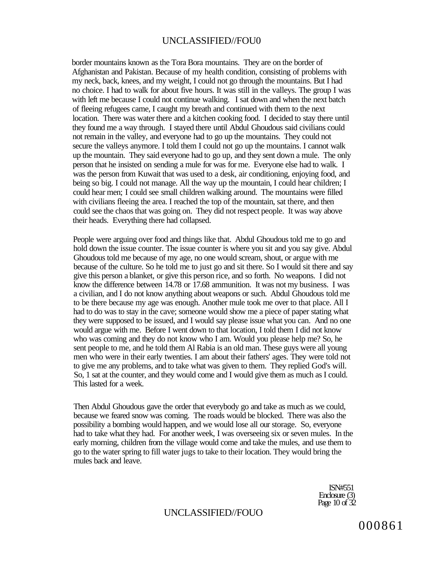border mountains known as the Tora Bora mountains. They are on the border of Afghanistan and Pakistan. Because of my health condition, consisting of problems with my neck, back, knees, and my weight, I could not go through the mountains. But I had no choice. I had to walk for about five hours. It was still in the valleys. The group I was with left me because I could not continue walking. I sat down and when the next batch of fleeing refugees came, I caught my breath and continued with them to the next location. There was water there and a kitchen cooking food. I decided to stay there until they found me a way through. I stayed there until Abdul Ghoudous said civilians could not remain in the valley, and everyone had to go up the mountains. They could not secure the valleys anymore. I told them I could not go up the mountains. I cannot walk up the mountain. They said everyone had to go up, and they sent down a mule. The only person that he insisted on sending a mule for was for me. Everyone else had to walk. I was the person from Kuwait that was used to a desk, air conditioning, enjoying food, and being so big. I could not manage. All the way up the mountain, I could hear children; I could hear men; I could see small children walking around. The mountains were filled with civilians fleeing the area. I reached the top of the mountain, sat there, and then could see the chaos that was going on. They did not respect people. It was way above their heads. Everything there had collapsed.

People were arguing over food and things like that. Abdul Ghoudous told me to go and hold down the issue counter. The issue counter is where you sit and you say give. Abdul Ghoudous told me because of my age, no one would scream, shout, or argue with me because of the culture. So he told me to just go and sit there. So I would sit there and say give this person a blanket, or give this person rice, and so forth. No weapons. I did not know the difference between 14.78 or 17.68 ammunition. It was not my business. I was a civilian, and I do not know anything about weapons or such. Abdul Ghoudous told me to be there because my age was enough. Another mule took me over to that place. All I had to do was to stay in the cave; someone would show me a piece of paper stating what they were supposed to be issued, and I would say please issue what you can. And no one would argue with me. Before I went down to that location, I told them I did not know who was coming and they do not know who I am. Would you please help me? So, he sent people to me, and he told them Al Rabia is an old man. These guys were all young men who were in their early twenties. I am about their fathers' ages. They were told not to give me any problems, and to take what was given to them. They replied God's will. So, 1 sat at the counter, and they would come and I would give them as much as I could. This lasted for a week.

Then Abdul Ghoudous gave the order that everybody go and take as much as we could, because we feared snow was coming. The roads would be blocked. There was also the possibility a bombing would happen, and we would lose all our storage. So, everyone had to take what they had. For another week, I was overseeing six or seven mules. In the early morning, children from the village would come and take the mules, and use them to go to the water spring to fill water jugs to take to their location. They would bring the mules back and leave.

> ISN#551 Enclosure (3) Page 10 of 32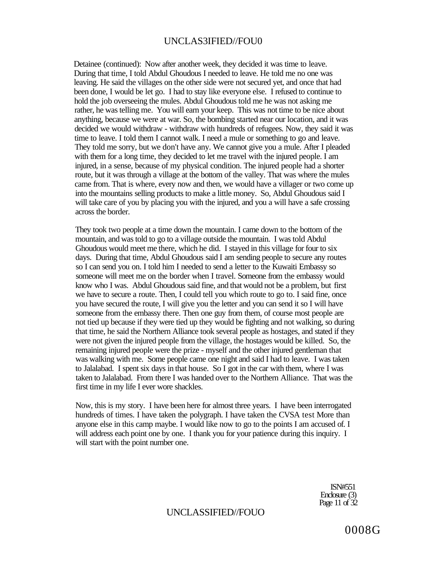Detainee (continued): Now after another week, they decided it was time to leave. During that time, I told Abdul Ghoudous I needed to leave. He told me no one was leaving. He said the villages on the other side were not secured yet, and once that had been done, I would be let go. I had to stay like everyone else. I refused to continue to hold the job overseeing the mules. Abdul Ghoudous told me he was not asking me rather, he was telling me. You will earn your keep. This was not time to be nice about anything, because we were at war. So, the bombing started near our location, and it was decided we would withdraw - withdraw with hundreds of refugees. Now, they said it was time to leave. I told them I cannot walk. I need a mule or something to go and leave. They told me sorry, but we don't have any. We cannot give you a mule. After I pleaded with them for a long time, they decided to let me travel with the injured people. I am injured, in a sense, because of my physical condition. The injured people had a shorter route, but it was through a village at the bottom of the valley. That was where the mules came from. That is where, every now and then, we would have a villager or two come up into the mountains selling products to make a little money. So, Abdul Ghoudous said I will take care of you by placing you with the injured, and you a will have a safe crossing across the border.

They took two people at a time down the mountain. I came down to the bottom of the mountain, and was told to go to a village outside the mountain. I was told Abdul Ghoudous would meet me there, which he did. I stayed in this village for four to six days. During that time, Abdul Ghoudous said I am sending people to secure any routes so I can send you on. I told him I needed to send a letter to the Kuwaiti Embassy so someone will meet me on the border when I travel. Someone from the embassy would know who I was. Abdul Ghoudous said fine, and that would not be a problem, but first we have to secure a route. Then, I could tell you which route to go to. I said fine, once you have secured the route, I will give you the letter and you can send it so I will have someone from the embassy there. Then one guy from them, of course most people are not tied up because if they were tied up they would be fighting and not walking, so during that time, he said the Northern Alliance took several people as hostages, and stated if they were not given the injured people from the village, the hostages would be killed. So, the remaining injured people were the prize - myself and the other injured gentleman that was walking with me. Some people came one night and said I had to leave. I was taken to Jalalabad. I spent six days in that house. So I got in the car with them, where I was taken to Jalalabad. From there I was handed over to the Northern Alliance. That was the first time in my life I ever wore shackles.

Now, this is my story. I have been here for almost three years. I have been interrogated hundreds of times. I have taken the polygraph. I have taken the CVSA test More than anyone else in this camp maybe. I would like now to go to the points I am accused of. I will address each point one by one. I thank you for your patience during this inquiry. I will start with the point number one.

> ISN#551 Enclosure (3) Page 11 of 32

# UNCLASSIFIED//FOUO

0008G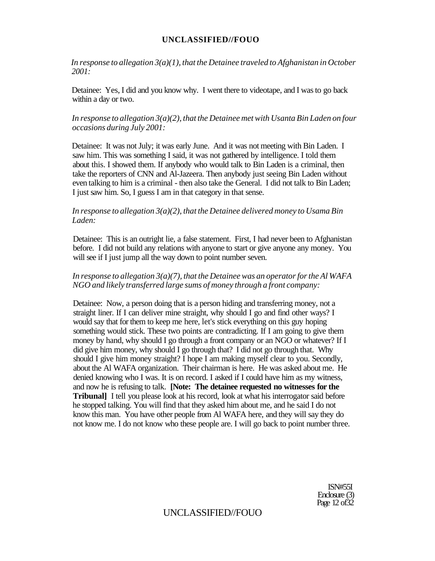*In response to allegation 3(a)(1), that the Detainee traveled to Afghanistan in October 2001:* 

Detainee: Yes, I did and you know why. I went there to videotape, and I was to go back within a day or two.

### *In response to allegation 3(a)(2), that the Detainee met with Usanta Bin Laden on four occasions during July 2001:*

Detainee: It was not July; it was early June. And it was not meeting with Bin Laden. I saw him. This was something I said, it was not gathered by intelligence. I told them about this. I showed them. If anybody who would talk to Bin Laden is a criminal, then take the reporters of CNN and Al-Jazeera. Then anybody just seeing Bin Laden without even talking to him is a criminal - then also take the General. I did not talk to Bin Laden; I just saw him. So, I guess I am in that category in that sense.

### *In response to allegation 3(a)(2), that the Detainee delivered money to Usama Bin Laden:*

Detainee: This is an outright lie, a false statement. First, I had never been to Afghanistan before. I did not build any relations with anyone to start or give anyone any money. You will see if I just jump all the way down to point number seven.

### *In response to allegation 3(a)(7), that the Detainee was an operator for the Al WAFA NGO and likely transferred large sums of money through a front company:*

Detainee: Now, a person doing that is a person hiding and transferring money, not a straight liner. If I can deliver mine straight, why should I go and find other ways? I would say that for them to keep me here, let's stick everything on this guy hoping something would stick. These two points are contradicting. If I am going to give them money by hand, why should I go through a front company or an NGO or whatever? If I did give him money, why should I go through that? I did not go through that. Why should I give him money straight? I hope I am making myself clear to you. Secondly, about the Al WAFA organization. Their chairman is here. He was asked about me. He denied knowing who I was. It is on record. I asked if I could have him as my witness, and now he is refusing to talk. **[Note: The detainee requested no witnesses for the Tribunal]** I tell you please look at his record, look at what his interrogator said before he stopped talking. You will find that they asked him about me, and he said I do not know this man. You have other people from Al WAFA here, and they will say they do not know me. I do not know who these people are. I will go back to point number three.

> ISN#55I Enclosure (3) Page 12 of 32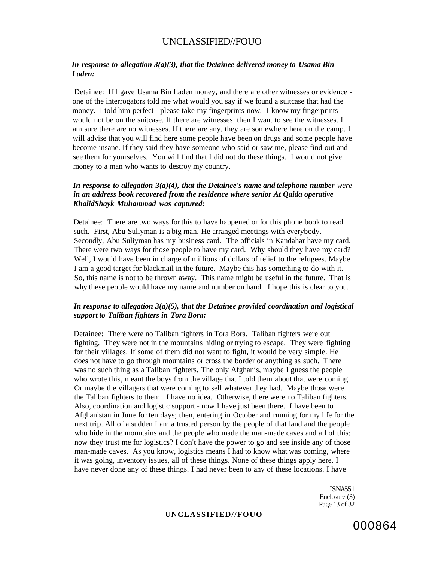#### *In response to allegation 3(a)(3), that the Detainee delivered money to Usama Bin Laden:*

Detainee: If I gave Usama Bin Laden money, and there are other witnesses or evidence one of the interrogators told me what would you say if we found a suitcase that had the money. I told him perfect - please take my fingerprints now. I know my fingerprints would not be on the suitcase. If there are witnesses, then I want to see the witnesses. I am sure there are no witnesses. If there are any, they are somewhere here on the camp. I will advise that you will find here some people have been on drugs and some people have become insane. If they said they have someone who said or saw me, please find out and see them for yourselves. You will find that I did not do these things. I would not give money to a man who wants to destroy my country.

### *In response to allegation 3(a)(4), that the Detainee's name and telephone number were in an address book recovered from the residence where senior At Qaida operative KhalidShayk Muhammad was captured:*

Detainee: There are two ways for this to have happened or for this phone book to read such. First, Abu Suliyman is a big man. He arranged meetings with everybody. Secondly, Abu Suliyman has my business card. The officials in Kandahar have my card. There were two ways for those people to have my card. Why should they have my card? Well, I would have been in charge of millions of dollars of relief to the refugees. Maybe I am a good target for blackmail in the future. Maybe this has something to do with it. So, this name is not to be thrown away. This name might be useful in the future. That is why these people would have my name and number on hand. I hope this is clear to you.

### *In response to allegation 3(a)(5), that the Detainee provided coordination and logistical support to Taliban fighters in Tora Bora:*

Detainee: There were no Taliban fighters in Tora Bora. Taliban fighters were out fighting. They were not in the mountains hiding or trying to escape. They were fighting for their villages. If some of them did not want to fight, it would be very simple. He does not have to go through mountains or cross the border or anything as such. There was no such thing as a Taliban fighters. The only Afghanis, maybe I guess the people who wrote this, meant the boys from the village that I told them about that were coming. Or maybe the villagers that were coming to sell whatever they had. Maybe those were the Taliban fighters to them. I have no idea. Otherwise, there were no Taliban fighters. Also, coordination and logistic support - now I have just been there. I have been to Afghanistan in June for ten days; then, entering in October and running for my life for the next trip. All of a sudden I am a trusted person by the people of that land and the people who hide in the mountains and the people who made the man-made caves and all of this; now they trust me for logistics? I don't have the power to go and see inside any of those man-made caves. As you know, logistics means I had to know what was coming, where it was going, inventory issues, all of these things. None of these things apply here. I have never done any of these things. I had never been to any of these locations. I have

> ISN#551 Enclosure (3) Page 13 of 32

#### **UNCLASSIFIED//FOUO**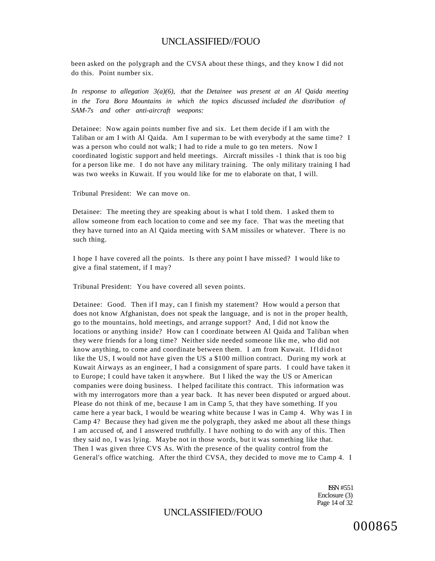been asked on the polygraph and the CVSA about these things, and they know I did not do this. Point number six.

*In response to allegation 3(a)(6), that the Detainee was present at an Al Qaida meeting in the Tora Bora Mountains in which the topics discussed included the distribution of SAM-7s and other anti-aircraft weapons:* 

Detainee: Now again points number five and six. Let them decide if I am with the Taliban or am I with Al Qaida. Am I superman to be with everybody at the same time? I was a person who could not walk; I had to ride a mule to go ten meters. Now I coordinated logistic support and held meetings. Aircraft missiles -1 think that is too big for a person like me. I do not have any military training. The only military training I had was two weeks in Kuwait. If you would like for me to elaborate on that, I will.

Tribunal President: We can move on.

Detainee: The meeting they are speaking about is what I told them. I asked them to allow someone from each location to come and see my face. That was the meeting that they have turned into an Al Qaida meeting with SAM missiles or whatever. There is no such thing.

I hope I have covered all the points. Is there any point I have missed? I would like to give a final statement, if I may?

Tribunal President: You have covered all seven points.

Detainee: Good. Then if I may, can I finish my statement? How would a person that does not know Afghanistan, does not speak the language, and is not in the proper health, go to the mountains, hold meetings, and arrange support? And, I did not know the locations or anything inside? How can I coordinate between Al Qaida and Taliban when they were friends for a long time? Neither side needed someone like me, who did not know anything, to come and coordinate between them. I am from Kuwait. Ifldidno t like the US, I would not have given the US a \$100 million contract. During my work at Kuwait Airways as an engineer, I had a consignment of spare parts. I could have taken it to Europe; I could have taken it anywhere. But I liked the way the US or American companies were doing business. I helped facilitate this contract. This information was with my interrogators more than a year back. It has never been disputed or argued about. Please do not think of me, because I am in Camp 5, that they have something. If you came here a year back, I would be wearing white because I was in Camp 4. Why was I in Camp 4? Because they had given me the polygraph, they asked me about all these things I am accused of, and I answered truthfully. I have nothing to do with any of this. Then they said no, I was lying. Maybe not in those words, but it was something like that. Then I was given three CVS As. With the presence of the quality control from the General's office watching. After the third CVSA, they decided to move me to Camp 4. I

> ISSN #551 Enclosure (3) Page 14 of 32

# UNCLASSIFIED//FOUO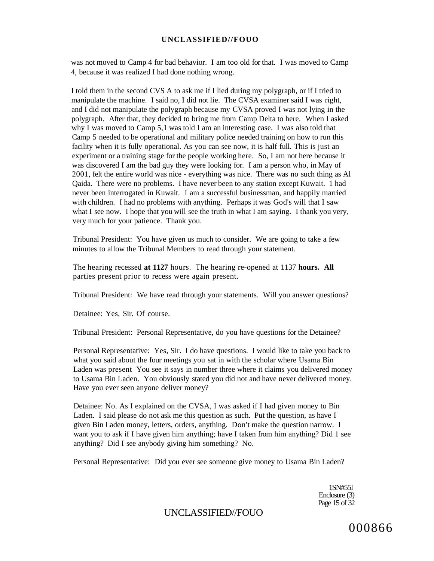was not moved to Camp 4 for bad behavior. I am too old for that. I was moved to Camp 4, because it was realized I had done nothing wrong.

I told them in the second CVS A to ask me if I lied during my polygraph, or if I tried to manipulate the machine. I said no, I did not lie. The CVSA examiner said I was right, and I did not manipulate the polygraph because my CVSA proved I was not lying in the polygraph. After that, they decided to bring me from Camp Delta to here. When I asked why I was moved to Camp 5,1 was told I am an interesting case. I was also told that Camp 5 needed to be operational and military police needed training on how to run this facility when it is fully operational. As you can see now, it is half full. This is just an experiment or a training stage for the people working here. So, I am not here because it was discovered I am the bad guy they were looking for. I am a person who, in May of 2001, felt the entire world was nice - everything was nice. There was no such thing as Al Qaida. There were no problems. I have never been to any station except Kuwait. 1 had never been interrogated in Kuwait. I am a successful businessman, and happily married with children. I had no problems with anything. Perhaps it was God's will that I saw what I see now. I hope that you will see the truth in what I am saying. I thank you very, very much for your patience. Thank you.

Tribunal President: You have given us much to consider. We are going to take a few minutes to allow the Tribunal Members to read through your statement.

The hearing recessed **at 1127** hours. The hearing re-opened at 1137 **hours. All**  parties present prior to recess were again present.

Tribunal President: We have read through your statements. Will you answer questions?

Detainee: Yes, Sir. Of course.

Tribunal President: Personal Representative, do you have questions for the Detainee?

Personal Representative: Yes, Sir. I do have questions. I would like to take you back to what you said about the four meetings you sat in with the scholar where Usama Bin Laden was present You see it says in number three where it claims you delivered money to Usama Bin Laden. You obviously stated you did not and have never delivered money. Have you ever seen anyone deliver money?

Detainee: No. As I explained on the CVSA, I was asked if I had given money to Bin Laden. I said please do not ask me this question as such. Put the question, as have I given Bin Laden money, letters, orders, anything. Don't make the question narrow. I want you to ask if I have given him anything; have I taken from him anything? Did 1 see anything? Did I see anybody giving him something? No.

Personal Representative: Did you ever see someone give money to Usama Bin Laden?

1SN#55I Enclosure (3) Page 15 of 32

UNCLASSIFIED//FOUO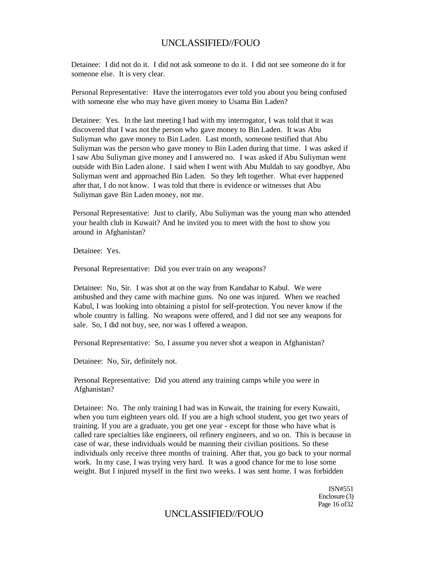Detainee: I did not do it. I did not ask someone to do it. I did not see someone do it for someone else. It is very clear.

Personal Representative: Have the interrogators ever told you about you being confused with someone else who may have given money to Usama Bin Laden?

Detainee: Yes. In the last meeting I had with my interrogator, I was told that it was discovered that I was not the person who gave money to Bin Laden. It was Abu Suliyman who gave money to Bin Laden. Last month, someone testified that Abu Suliyman was the person who gave money to Bin Laden during that time. I was asked if I saw Abu Suliyman give money and I answered no. I was asked if Abu Suliyman went outside with Bin Laden alone. I said when I went with Abu Muldah to say goodbye, Abu Suliyman went and approached Bin Laden. So they left together. What ever happened after that, I do not know. I was told that there is evidence or witnesses that Abu Suliyman gave Bin Laden money, not me.

Personal Representative: Just to clarify, Abu Suliyman was the young man who attended your health club in Kuwait? And he invited you to meet with the host to show you around in Afghanistan?

Detainee: Yes.

Personal Representative: Did you ever train on any weapons?

Detainee: No, Sir. I was shot at on the way from Kandahar to Kabul. We were ambushed and they came with machine guns. No one was injured. When we reached Kabul, I was looking into obtaining a pistol for self-protection. You never know if the whole country is falling. No weapons were offered, and I did not see any weapons for sale. So, I did not buy, see, nor was I offered a weapon.

Personal Representative: So, I assume you never shot a weapon in Afghanistan?

Detainee: No, Sir, definitely not.

Personal Representative: Did you attend any training camps while you were in Afghanistan?

Detainee: No. The only training I had was in Kuwait, the training for every Kuwaiti, when you turn eighteen years old. If you are a high school student, you get two years of training. If you are a graduate, you get one year - except for those who have what is called rare specialties like engineers, oil refinery engineers, and so on. This is because in case of war, these individuals would be manning their civilian positions. So these individuals only receive three months of training. After that, you go back to your normal work. In my case, I was trying very hard. It was a good chance for me to lose some weight. But I injured myself in the first two weeks. I was sent home. I was forbidden

> ISN#551 Enclosure (3) Page 16 of32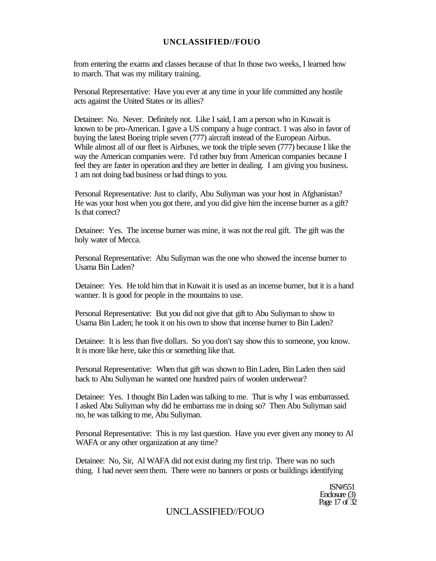from entering the exams and classes because of that In those two weeks, I learned how to march. That was my military training.

Personal Representative: Have you ever at any time in your life committed any hostile acts against the United States or its allies?

Detainee: No. Never. Definitely not. Like I said, I am a person who in Kuwait is known to be pro-American. I gave a US company a huge contract. 1 was also in favor of buying the latest Boeing triple seven (777) aircraft instead of the European Airbus. While almost all of our fleet is Airbuses, we took the triple seven (777) because I like the way the American companies were. I'd rather buy from American companies because I feel they are faster in operation and they are better in dealing. I am giving you business. 1 am not doing bad business or bad things to you.

Personal Representative: Just to clarify, Abu Suliyman was your host in Afghanistan? He was your host when you got there, and you did give him the incense burner as a gift? Is that correct?

Detainee: Yes. The incense burner was mine, it was not the real gift. The gift was the holy water of Mecca.

Personal Representative: Abu Suliyman was the one who showed the incense burner to Usama Bin Laden?

Detainee: Yes. He told him that in Kuwait it is used as an incense burner, but it is a hand wanner. It is good for people in the mountains to use.

Personal Representative: But you did not give that gift to Abu Suliyman to show to Usama Bin Laden; he took it on his own to show that incense burner to Bin Laden?

Detainee: It is less than five dollars. So you don't say show this to someone, you know. It is more like here, take this or something like that.

Personal Representative: When that gift was shown to Bin Laden, Bin Laden then said back to Abu Suliyman he wanted one hundred pairs of woolen underwear?

Detainee: Yes. I thought Bin Laden was talking to me. That is why I was embarrassed. I asked Abu Suliyman why did he embarrass me in doing so? Then Abu Suliyman said no, he was talking to me, Abu Suliyman.

Personal Representative: This is my last question. Have you ever given any money to Al WAFA or any other organization at any time?

Detainee: No, Sir, Al WAFA did not exist during my first trip. There was no such thing. I had never seen them. There were no banners or posts or buildings identifying

> ISN#551 Enclosure (3) Page 17 of 32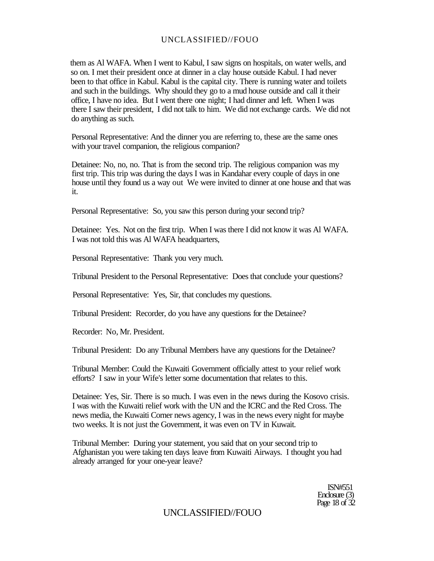them as Al WAFA. When I went to Kabul, I saw signs on hospitals, on water wells, and so on. I met their president once at dinner in a clay house outside Kabul. I had never been to that office in Kabul. Kabul is the capital city. There is running water and toilets and such in the buildings. Why should they go to a mud house outside and call it their office, I have no idea. But I went there one night; I had dinner and left. When I was there I saw their president, I did not talk to him. We did not exchange cards. We did not do anything as such.

Personal Representative: And the dinner you are referring to, these are the same ones with your travel companion, the religious companion?

Detainee: No, no, no. That is from the second trip. The religious companion was my first trip. This trip was during the days I was in Kandahar every couple of days in one house until they found us a way out We were invited to dinner at one house and that was it.

Personal Representative: So, you saw this person during your second trip?

Detainee: Yes. Not on the first trip. When I was there I did not know it was Al WAFA. I was not told this was Al WAFA headquarters,

Personal Representative: Thank you very much.

Tribunal President to the Personal Representative: Does that conclude your questions?

Personal Representative: Yes, Sir, that concludes my questions.

Tribunal President: Recorder, do you have any questions for the Detainee?

Recorder: No, Mr. President.

Tribunal President: Do any Tribunal Members have any questions for the Detainee?

Tribunal Member: Could the Kuwaiti Government officially attest to your relief work efforts? I saw in your Wife's letter some documentation that relates to this.

Detainee: Yes, Sir. There is so much. I was even in the news during the Kosovo crisis. I was with the Kuwaiti relief work with the UN and the ICRC and the Red Cross. The news media, the Kuwaiti Corner news agency, I was in the news every night for maybe two weeks. It is not just the Government, it was even on TV in Kuwait.

Tribunal Member: During your statement, you said that on your second trip to Afghanistan you were taking ten days leave from Kuwaiti Airways. I thought you had already arranged for your one-year leave?

> ISN#551 Enclosure (3) Page 18 of 32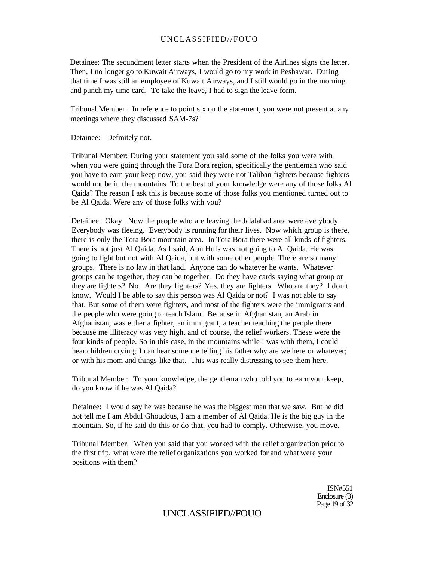Detainee: The secundment letter starts when the President of the Airlines signs the letter. Then, I no longer go to Kuwait Airways, I would go to my work in Peshawar. During that time I was still an employee of Kuwait Airways, and I still would go in the morning and punch my time card. To take the leave, I had to sign the leave form.

Tribunal Member: In reference to point six on the statement, you were not present at any meetings where they discussed SAM-7s?

Detainee: Defmitely not.

Tribunal Member: During your statement you said some of the folks you were with when you were going through the Tora Bora region, specifically the gentleman who said you have to earn your keep now, you said they were not Taliban fighters because fighters would not be in the mountains. To the best of your knowledge were any of those folks Al Qaida? The reason I ask this is because some of those folks you mentioned turned out to be Al Qaida. Were any of those folks with you?

Detainee: Okay. Now the people who are leaving the Jalalabad area were everybody. Everybody was fleeing. Everybody is running for their lives. Now which group is there, there is only the Tora Bora mountain area. In Tora Bora there were all kinds of fighters. There is not just Al Qaida. As I said, Abu Hufs was not going to Al Qaida. He was going to fight but not with Al Qaida, but with some other people. There are so many groups. There is no law in that land. Anyone can do whatever he wants. Whatever groups can be together, they can be together. Do they have cards saying what group or they are fighters? No. Are they fighters? Yes, they are fighters. Who are they? I don't know. Would I be able to say this person was Al Qaida or not? I was not able to say that. But some of them were fighters, and most of the fighters were the immigrants and the people who were going to teach Islam. Because in Afghanistan, an Arab in Afghanistan, was either a fighter, an immigrant, a teacher teaching the people there because me illiteracy was very high, and of course, the relief workers. These were the four kinds of people. So in this case, in the mountains while I was with them, I could hear children crying; I can hear someone telling his father why are we here or whatever; or with his mom and things like that. This was really distressing to see them here.

Tribunal Member: To your knowledge, the gentleman who told you to earn your keep, do you know if he was Al Qaida?

Detainee: I would say he was because he was the biggest man that we saw. But he did not tell me I am Abdul Ghoudous, I am a member of Al Qaida. He is the big guy in the mountain. So, if he said do this or do that, you had to comply. Otherwise, you move.

Tribunal Member: When you said that you worked with the relief organization prior to the first trip, what were the relief organizations you worked for and what were your positions with them?

> ISN#551 Enclosure (3) Page 19 of 32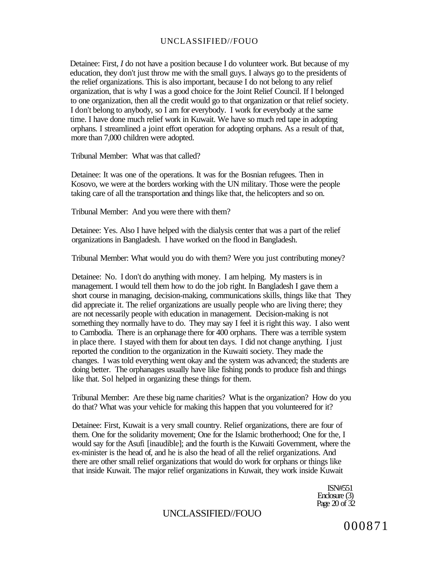Detainee: First, *I* do not have a position because I do volunteer work. But because of my education, they don't just throw me with the small guys. I always go to the presidents of the relief organizations. This is also important, because I do not belong to any relief organization, that is why I was a good choice for the Joint Relief Council. If I belonged to one organization, then all the credit would go to that organization or that relief society. I don't belong to anybody, so I am for everybody. I work for everybody at the same time. I have done much relief work in Kuwait. We have so much red tape in adopting orphans. I streamlined a joint effort operation for adopting orphans. As a result of that, more than 7,000 children were adopted.

Tribunal Member: What was that called?

Detainee: It was one of the operations. It was for the Bosnian refugees. Then in Kosovo, we were at the borders working with the UN military. Those were the people taking care of all the transportation and things like that, the helicopters and so on.

Tribunal Member: And you were there with them?

Detainee: Yes. Also I have helped with the dialysis center that was a part of the relief organizations in Bangladesh. I have worked on the flood in Bangladesh.

Tribunal Member: What would you do with them? Were you just contributing money?

Detainee: No. I don't do anything with money. I am helping. My masters is in management. I would tell them how to do the job right. In Bangladesh I gave them a short course in managing, decision-making, communications skills, things like that They did appreciate it. The relief organizations are usually people who are living there; they are not necessarily people with education in management. Decision-making is not something they normally have to do. They may say I feel it is right this way. I also went to Cambodia. There is an orphanage there for 400 orphans. There was a terrible system in place there. I stayed with them for about ten days. I did not change anything. I just reported the condition to the organization in the Kuwaiti society. They made the changes. I was told everything went okay and the system was advanced; the students are doing better. The orphanages usually have like fishing ponds to produce fish and things like that. Sol helped in organizing these things for them.

Tribunal Member: Are these big name charities? What is the organization? How do you do that? What was your vehicle for making this happen that you volunteered for it?

Detainee: First, Kuwait is a very small country. Relief organizations, there are four of them. One for the solidarity movement; One for the Islamic brotherhood; One for the, I would say for the Asufi [inaudible]; and the fourth is the Kuwaiti Government, where the ex-minister is the head of, and he is also the head of all the relief organizations. And there are other small relief organizations that would do work for orphans or things like that inside Kuwait. The major relief organizations in Kuwait, they work inside Kuwait

> ISN#551 Enclosure (3) Page 20 of 32

### UNCLASSIFIED//FOUO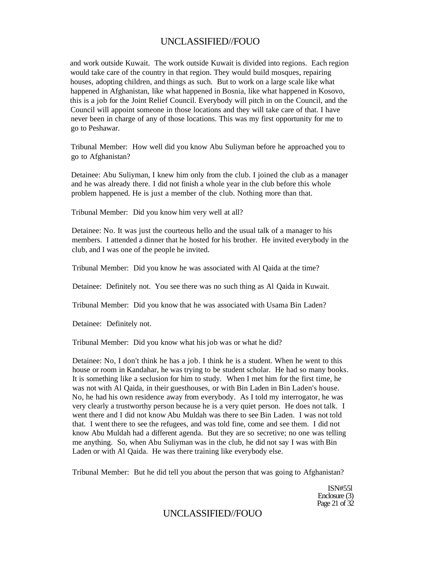and work outside Kuwait. The work outside Kuwait is divided into regions. Each region would take care of the country in that region. They would build mosques, repairing houses, adopting children, and things as such. But to work on a large scale like what happened in Afghanistan, like what happened in Bosnia, like what happened in Kosovo, this is a job for the Joint Relief Council. Everybody will pitch in on the Council, and the Council will appoint someone in those locations and they will take care of that. I have never been in charge of any of those locations. This was my first opportunity for me to go to Peshawar.

Tribunal Member: How well did you know Abu Suliyman before he approached you to go to Afghanistan?

Detainee: Abu Suliyman, I knew him only from the club. I joined the club as a manager and he was already there. I did not finish a whole year in the club before this whole problem happened. He is just a member of the club. Nothing more than that.

Tribunal Member: Did you know him very well at all?

Detainee: No. It was just the courteous hello and the usual talk of a manager to his members. I attended a dinner that he hosted for his brother. He invited everybody in the club, and I was one of the people he invited.

Tribunal Member: Did you know he was associated with Al Qaida at the time?

Detainee: Definitely not. You see there was no such thing as Al Qaida in Kuwait.

Tribunal Member: Did you know that he was associated with Usama Bin Laden?

Detainee: Definitely not.

Tribunal Member: Did you know what his job was or what he did?

Detainee: No, I don't think he has a job. I think he is a student. When he went to this house or room in Kandahar, he was trying to be student scholar. He had so many books. It is something like a seclusion for him to study. When I met him for the first time, he was not with Al Qaida, in their guesthouses, or with Bin Laden in Bin Laden's house. No, he had his own residence away from everybody. As I told my interrogator, he was very clearly a trustworthy person because he is a very quiet person. He does not talk. I went there and I did not know Abu Muldah was there to see Bin Laden. I was not told that. I went there to see the refugees, and was told fine, come and see them. I did not know Abu Muldah had a different agenda. But they are so secretive; no one was telling me anything. So, when Abu Suliyman was in the club, he did not say I was with Bin Laden or with Al Qaida. He was there training like everybody else.

Tribunal Member: But he did tell you about the person that was going to Afghanistan?

ISN#55l Enclosure (3) Page 21 of 32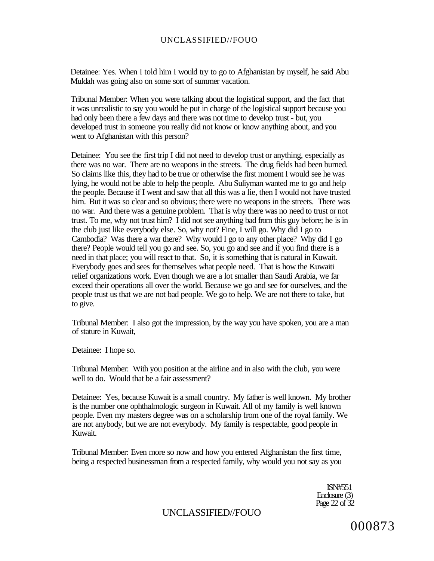Detainee: Yes. When I told him I would try to go to Afghanistan by myself, he said Abu Muldah was going also on some sort of summer vacation.

Tribunal Member: When you were talking about the logistical support, and the fact that it was unrealistic to say you would be put in charge of the logistical support because you had only been there a few days and there was not time to develop trust - but, you developed trust in someone you really did not know or know anything about, and you went to Afghanistan with this person?

Detainee: You see the first trip I did not need to develop trust or anything, especially as there was no war. There are no weapons in the streets. The drug fields had been burned. So claims like this, they had to be true or otherwise the first moment I would see he was lying, he would not be able to help the people. Abu Suliyman wanted me to go and help the people. Because if I went and saw that all this was a lie, then I would not have trusted him. But it was so clear and so obvious; there were no weapons in the streets. There was no war. And there was a genuine problem. That is why there was no need to trust or not trust. To me, why not trust him? I did not see anything bad from this guy before; he is in the club just like everybody else. So, why not? Fine, I will go. Why did I go to Cambodia? Was there a war there? Why would I go to any other place? Why did I go there? People would tell you go and see. So, you go and see and if you find there is a need in that place; you will react to that. So, it is something that is natural in Kuwait. Everybody goes and sees for themselves what people need. That is how the Kuwaiti relief organizations work. Even though we are a lot smaller than Saudi Arabia, we far exceed their operations all over the world. Because we go and see for ourselves, and the people trust us that we are not bad people. We go to help. We are not there to take, but to give.

Tribunal Member: I also got the impression, by the way you have spoken, you are a man of stature in Kuwait,

Detainee: I hope so.

Tribunal Member: With you position at the airline and in also with the club, you were well to do. Would that be a fair assessment?

Detainee: Yes, because Kuwait is a small country. My father is well known. My brother is the number one ophthalmologic surgeon in Kuwait. All of my family is well known people. Even my masters degree was on a scholarship from one of the royal family. We are not anybody, but we are not everybody. My family is respectable, good people in Kuwait.

Tribunal Member: Even more so now and how you entered Afghanistan the first time, being a respected businessman from a respected family, why would you not say as you

> ISN#551 Enclosure (3) Page 22 of 32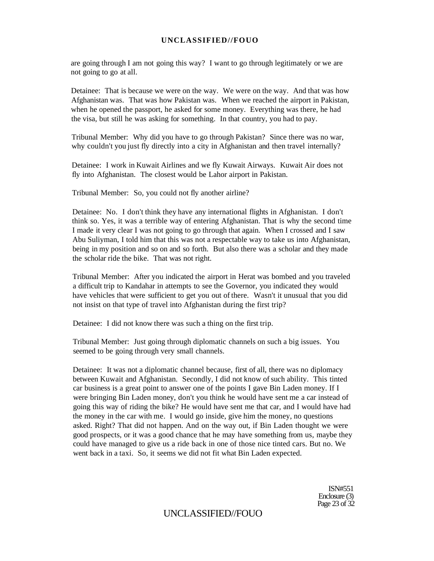are going through I am not going this way? I want to go through legitimately or we are not going to go at all.

Detainee: That is because we were on the way. We were on the way. And that was how Afghanistan was. That was how Pakistan was. When we reached the airport in Pakistan, when he opened the passport, he asked for some money. Everything was there, he had the visa, but still he was asking for something. In that country, you had to pay.

Tribunal Member: Why did you have to go through Pakistan? Since there was no war, why couldn't you just fly directly into a city in Afghanistan and then travel internally?

Detainee: I work in Kuwait Airlines and we fly Kuwait Airways. Kuwait Air does not fly into Afghanistan. The closest would be Lahor airport in Pakistan.

Tribunal Member: So, you could not fly another airline?

Detainee: No. I don't think they have any international flights in Afghanistan. I don't think so. Yes, it was a terrible way of entering Afghanistan. That is why the second time I made it very clear I was not going to go through that again. When I crossed and I saw Abu Suliyman, I told him that this was not a respectable way to take us into Afghanistan, being in my position and so on and so forth. But also there was a scholar and they made the scholar ride the bike. That was not right.

Tribunal Member: After you indicated the airport in Herat was bombed and you traveled a difficult trip to Kandahar in attempts to see the Governor, you indicated they would have vehicles that were sufficient to get you out of there. Wasn't it unusual that you did not insist on that type of travel into Afghanistan during the first trip?

Detainee: I did not know there was such a thing on the first trip.

Tribunal Member: Just going through diplomatic channels on such a big issues. You seemed to be going through very small channels.

Detainee: It was not a diplomatic channel because, first of all, there was no diplomacy between Kuwait and Afghanistan. Secondly, I did not know of such ability. This tinted car business is a great point to answer one of the points I gave Bin Laden money. If I were bringing Bin Laden money, don't you think he would have sent me a car instead of going this way of riding the bike? He would have sent me that car, and I would have had the money in the car with me. I would go inside, give him the money, no questions asked. Right? That did not happen. And on the way out, if Bin Laden thought we were good prospects, or it was a good chance that he may have something from us, maybe they could have managed to give us a ride back in one of those nice tinted cars. But no. We went back in a taxi. So, it seems we did not fit what Bin Laden expected.

> ISN#551 Enclosure (3) Page 23 of 32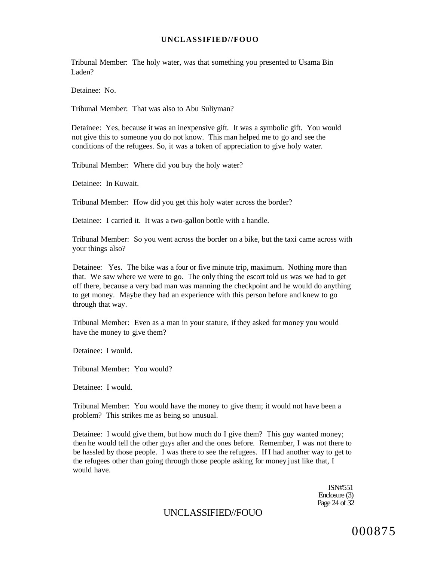Tribunal Member: The holy water, was that something you presented to Usama Bin Laden?

Detainee: No.

Tribunal Member: That was also to Abu Suliyman?

Detainee: Yes, because it was an inexpensive gift. It was a symbolic gift. You would not give this to someone you do not know. This man helped me to go and see the conditions of the refugees. So, it was a token of appreciation to give holy water.

Tribunal Member: Where did you buy the holy water?

Detainee: In Kuwait.

Tribunal Member: How did you get this holy water across the border?

Detainee: I carried it. It was a two-gallon bottle with a handle.

Tribunal Member: So you went across the border on a bike, but the taxi came across with your things also?

Detainee: Yes. The bike was a four or five minute trip, maximum. Nothing more than that. We saw where we were to go. The only thing the escort told us was we had to get off there, because a very bad man was manning the checkpoint and he would do anything to get money. Maybe they had an experience with this person before and knew to go through that way.

Tribunal Member: Even as a man in your stature, if they asked for money you would have the money to give them?

Detainee: I would.

Tribunal Member: You would?

Detainee: I would.

Tribunal Member: You would have the money to give them; it would not have been a problem? This strikes me as being so unusual.

Detainee: I would give them, but how much do I give them? This guy wanted money; then he would tell the other guys after and the ones before. Remember, I was not there to be hassled by those people. I was there to see the refugees. If I had another way to get to the refugees other than going through those people asking for money just like that, I would have.

> ISN#551 Enclosure (3) Page 24 of 32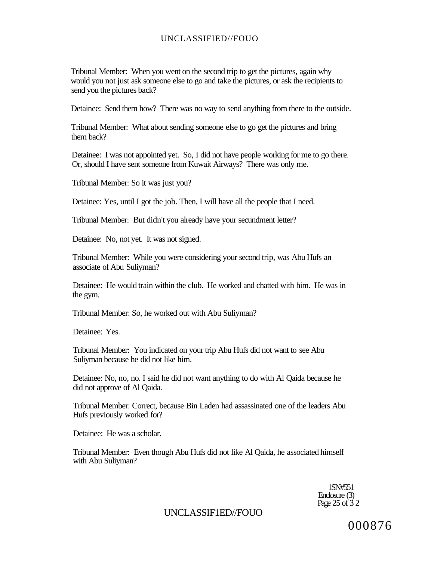Tribunal Member: When you went on the second trip to get the pictures, again why would you not just ask someone else to go and take the pictures, or ask the recipients to send you the pictures back?

Detainee: Send them how? There was no way to send anything from there to the outside.

Tribunal Member: What about sending someone else to go get the pictures and bring them back?

Detainee: I was not appointed yet. So, I did not have people working for me to go there. Or, should I have sent someone from Kuwait Airways? There was only me.

Tribunal Member: So it was just you?

Detainee: Yes, until I got the job. Then, I will have all the people that I need.

Tribunal Member: But didn't you already have your secundment letter?

Detainee: No, not yet. It was not signed.

Tribunal Member: While you were considering your second trip, was Abu Hufs an associate of Abu Suliyman?

Detainee: He would train within the club. He worked and chatted with him. He was in the gym.

Tribunal Member: So, he worked out with Abu Suliyman?

Detainee: Yes.

Tribunal Member: You indicated on your trip Abu Hufs did not want to see Abu Suliyman because he did not like him.

Detainee: No, no, no. I said he did not want anything to do with Al Qaida because he did not approve of Al Qaida.

Tribunal Member: Correct, because Bin Laden had assassinated one of the leaders Abu Hufs previously worked for?

Detainee: He was a scholar.

Tribunal Member: Even though Abu Hufs did not like Al Qaida, he associated himself with Abu Suliyman?

> 1SN#551 Enclosure (3) Page 25 of 32

## UNCLASSIF1ED//FOUO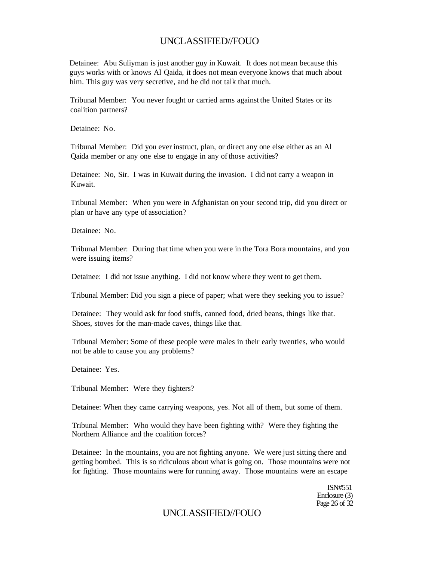Detainee: Abu Suliyman is just another guy in Kuwait. It does not mean because this guys works with or knows Al Qaida, it does not mean everyone knows that much about him. This guy was very secretive, and he did not talk that much.

Tribunal Member: You never fought or carried arms against the United States or its coalition partners?

Detainee: No.

Tribunal Member: Did you ever instruct, plan, or direct any one else either as an Al Qaida member or any one else to engage in any of those activities?

Detainee: No, Sir. I was in Kuwait during the invasion. I did not carry a weapon in Kuwait.

Tribunal Member: When you were in Afghanistan on your second trip, did you direct or plan or have any type of association?

Detainee: No.

Tribunal Member: During that time when you were in the Tora Bora mountains, and you were issuing items?

Detainee: I did not issue anything. I did not know where they went to get them.

Tribunal Member: Did you sign a piece of paper; what were they seeking you to issue?

Detainee: They would ask for food stuffs, canned food, dried beans, things like that. Shoes, stoves for the man-made caves, things like that.

Tribunal Member: Some of these people were males in their early twenties, who would not be able to cause you any problems?

Detainee: Yes.

Tribunal Member: Were they fighters?

Detainee: When they came carrying weapons, yes. Not all of them, but some of them.

Tribunal Member: Who would they have been fighting with? Were they fighting the Northern Alliance and the coalition forces?

Detainee: In the mountains, you are not fighting anyone. We were just sitting there and getting bombed. This is so ridiculous about what is going on. Those mountains were not for fighting. Those mountains were for running away. Those mountains were an escape

> ISN#551 Enclosure (3) Page 26 of 32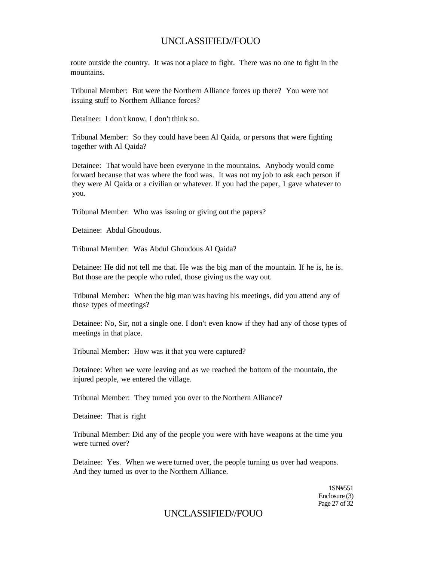route outside the country. It was not a place to fight. There was no one to fight in the mountains.

Tribunal Member: But were the Northern Alliance forces up there? You were not issuing stuff to Northern Alliance forces?

Detainee: I don't know, I don't think so.

Tribunal Member: So they could have been Al Qaida, or persons that were fighting together with Al Qaida?

Detainee: That would have been everyone in the mountains. Anybody would come forward because that was where the food was. It was not my job to ask each person if they were Al Qaida or a civilian or whatever. If you had the paper, 1 gave whatever to you.

Tribunal Member: Who was issuing or giving out the papers?

Detainee: Abdul Ghoudous.

Tribunal Member: Was Abdul Ghoudous Al Qaida?

Detainee: He did not tell me that. He was the big man of the mountain. If he is, he is. But those are the people who ruled, those giving us the way out.

Tribunal Member: When the big man was having his meetings, did you attend any of those types of meetings?

Detainee: No, Sir, not a single one. I don't even know if they had any of those types of meetings in that place.

Tribunal Member: How was it that you were captured?

Detainee: When we were leaving and as we reached the bottom of the mountain, the injured people, we entered the village.

Tribunal Member: They turned you over to the Northern Alliance?

Detainee: That is right

Tribunal Member: Did any of the people you were with have weapons at the time you were turned over?

Detainee: Yes. When we were turned over, the people turning us over had weapons. And they turned us over to the Northern Alliance.

> 1SN#551 Enclosure (3) Page 27 of 32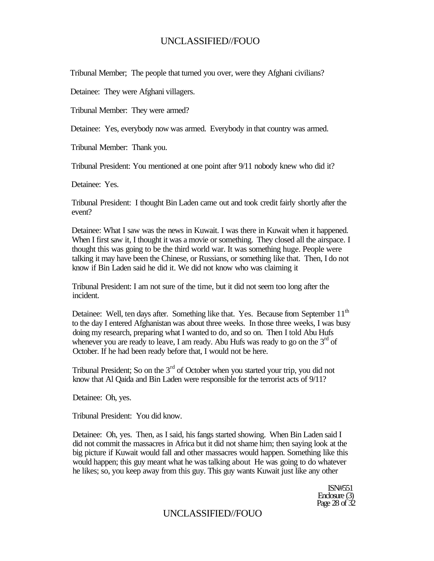Tribunal Member; The people that turned you over, were they Afghani civilians?

Detainee: They were Afghani villagers.

Tribunal Member: They were armed?

Detainee: Yes, everybody now was armed. Everybody in that country was armed.

Tribunal Member: Thank you.

Tribunal President: You mentioned at one point after 9/11 nobody knew who did it?

Detainee: Yes.

Tribunal President: I thought Bin Laden came out and took credit fairly shortly after the event?

Detainee: What I saw was the news in Kuwait. I was there in Kuwait when it happened. When I first saw it, I thought it was a movie or something. They closed all the airspace. I thought this was going to be the third world war. It was something huge. People were talking it may have been the Chinese, or Russians, or something like that. Then, I do not know if Bin Laden said he did it. We did not know who was claiming it

Tribunal President: I am not sure of the time, but it did not seem too long after the incident.

Detainee: Well, ten days after. Something like that. Yes. Because from September 11<sup>th</sup> to the day I entered Afghanistan was about three weeks. In those three weeks, I was busy doing my research, preparing what I wanted to do, and so on. Then I told Abu Hufs whenever you are ready to leave, I am ready. Abu Hufs was ready to go on the  $3<sup>rd</sup>$  of October. If he had been ready before that, I would not be here.

Tribunal President; So on the  $3<sup>rd</sup>$  of October when you started your trip, you did not know that Al Qaida and Bin Laden were responsible for the terrorist acts of 9/11?

Detainee: Oh, yes.

Tribunal President: You did know.

Detainee: Oh, yes. Then, as I said, his fangs started showing. When Bin Laden said I did not commit the massacres in Africa but it did not shame him; then saying look at the big picture if Kuwait would fall and other massacres would happen. Something like this would happen; this guy meant what he was talking about He was going to do whatever he likes; so, you keep away from this guy. This guy wants Kuwait just like any other

> ISN#551 Enclosure (3) Page 28 of 32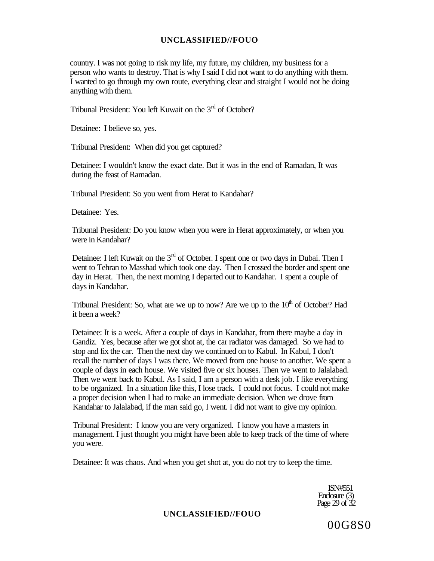country. I was not going to risk my life, my future, my children, my business for a person who wants to destroy. That is why I said I did not want to do anything with them. I wanted to go through my own route, everything clear and straight I would not be doing anything with them.

Tribunal President: You left Kuwait on the 3<sup>rd</sup> of October?

Detainee: I believe so, yes.

Tribunal President: When did you get captured?

Detainee: I wouldn't know the exact date. But it was in the end of Ramadan, It was during the feast of Ramadan.

Tribunal President: So you went from Herat to Kandahar?

Detainee: Yes.

Tribunal President: Do you know when you were in Herat approximately, or when you were in Kandahar?

Detainee: I left Kuwait on the 3<sup>rd</sup> of October. I spent one or two days in Dubai. Then I went to Tehran to Masshad which took one day. Then I crossed the border and spent one day in Herat. Then, the next morning I departed out to Kandahar. I spent a couple of days in Kandahar.

Tribunal President: So, what are we up to now? Are we up to the  $10<sup>th</sup>$  of October? Had it been a week?

Detainee: It is a week. After a couple of days in Kandahar, from there maybe a day in Gandiz. Yes, because after we got shot at, the car radiator was damaged. So we had to stop and fix the car. Then the next day we continued on to Kabul. In Kabul, I don't recall the number of days I was there. We moved from one house to another. We spent a couple of days in each house. We visited five or six houses. Then we went to Jalalabad. Then we went back to Kabul. As I said, I am a person with a desk job. I like everything to be organized. In a situation like this, I lose track. I could not focus. I could not make a proper decision when I had to make an immediate decision. When we drove from Kandahar to Jalalabad, if the man said go, I went. I did not want to give my opinion.

Tribunal President: I know you are very organized. I know you have a masters in management. I just thought you might have been able to keep track of the time of where you were.

Detainee: It was chaos. And when you get shot at, you do not try to keep the time.

ISN#551 Enclosure (3) Page 29 of  $32$ 

### **UNCLASSIFIED//FOUO**

00G8S0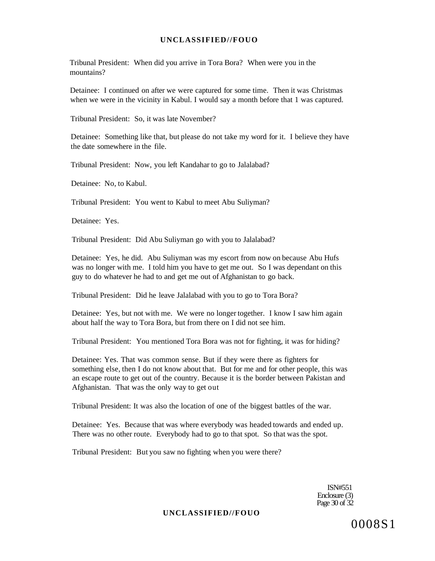Tribunal President: When did you arrive in Tora Bora? When were you in the mountains?

Detainee: I continued on after we were captured for some time. Then it was Christmas when we were in the vicinity in Kabul. I would say a month before that 1 was captured.

Tribunal President: So, it was late November?

Detainee: Something like that, but please do not take my word for it. I believe they have the date somewhere in the file.

Tribunal President: Now, you left Kandahar to go to Jalalabad?

Detainee: No, to Kabul.

Tribunal President: You went to Kabul to meet Abu Suliyman?

Detainee: Yes.

Tribunal President: Did Abu Suliyman go with you to Jalalabad?

Detainee: Yes, he did. Abu Suliyman was my escort from now on because Abu Hufs was no longer with me. I told him you have to get me out. So I was dependant on this guy to do whatever he had to and get me out of Afghanistan to go back.

Tribunal President: Did he leave Jalalabad with you to go to Tora Bora?

Detainee: Yes, but not with me. We were no longer together. I know I saw him again about half the way to Tora Bora, but from there on I did not see him.

Tribunal President: You mentioned Tora Bora was not for fighting, it was for hiding?

Detainee: Yes. That was common sense. But if they were there as fighters for something else, then I do not know about that. But for me and for other people, this was an escape route to get out of the country. Because it is the border between Pakistan and Afghanistan. That was the only way to get out

Tribunal President: It was also the location of one of the biggest battles of the war.

Detainee: Yes. Because that was where everybody was headed towards and ended up. There was no other route. Everybody had to go to that spot. So that was the spot.

Tribunal President: But you saw no fighting when you were there?

ISN#551 Enclosure (3) Page 30 of 32

#### **UNCLASSIFIED//FOUO**

0008S1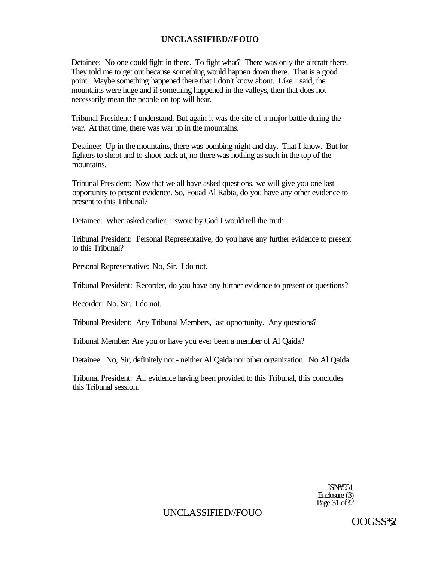#### **UNCLASSIFIED//FOUO**

Detainee: No one could fight in there. To fight what? There was only the aircraft there. They told me to get out because something would happen down there. That is a good point. Maybe something happened there that I don't know about. Like I said, the mountains were huge and if something happened in the valleys, then that does not necessarily mean the people on top will hear.

Tribunal President: I understand. But again it was the site of a major battle during the war. At that time, there was war up in the mountains.

Detainee: Up in the mountains, there was bombing night and day. That I know. But for fighters to shoot and to shoot back at, no there was nothing as such in the top of the mountains.

Tribunal President: Now that we all have asked questions, we will give you one last opportunity to present evidence. So, Fouad Al Rabia, do you have any other evidence to present to this Tribunal?

Detainee: When asked earlier, I swore by God I would tell the truth.

Tribunal President: Personal Representative, do you have any further evidence to present to this Tribunal?

Personal Representative: No, Sir. I do not.

Tribunal President: Recorder, do you have any further evidence to present or questions?

Recorder: No, Sir. I do not.

Tribunal President: Any Tribunal Members, last opportunity. Any questions?

Tribunal Member: Are you or have you ever been a member of Al Qaida?

Detainee: No, Sir, definitely not - neither Al Qaida nor other organization. No Al Qaida.

Tribunal President: All evidence having been provided to this Tribunal, this concludes this Tribunal session.

> ISN#551 Enclosure (3) Page 31 of 32

UNCLASSIFIED//FOUO

OOGSS\***.•\***? **-**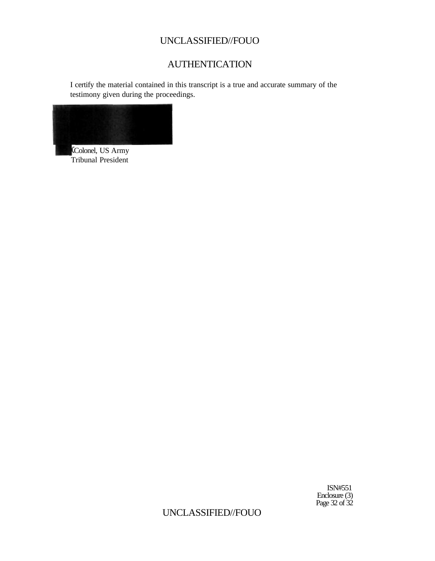## UNCLASSIFIED//FOUO

# AUTHENTICATION

I certify the material contained in this transcript is a true and accurate summary of the testimony given during the proceedings.



Colonel, US Army Tribunal President

> ISN#551 Enclosure (3) Page 32 of 32

UNCLASSIFIED//FOUO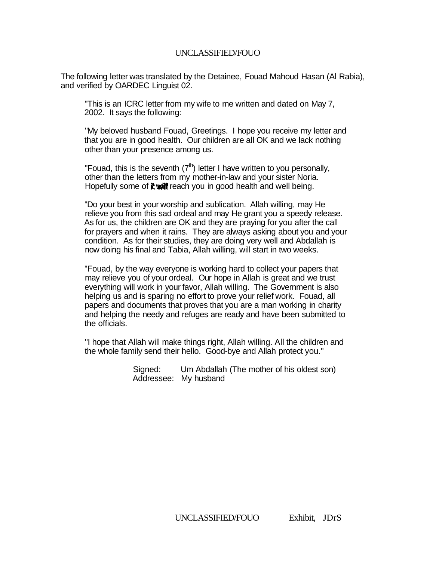### UNCLASSIFIED/FOUO

The following letter was translated by the Detainee, Fouad Mahoud Hasan (Al Rabia), and verified by OARDEC Linguist 02.

"This is an ICRC letter from my wife to me written and dated on May 7, 2002. It says the following:

"My beloved husband Fouad, Greetings. I hope you receive my letter and that you are in good health. Our children are all OK and we lack nothing other than your presence among us.

"Fouad, this is the seventh  $(7<sup>th</sup>)$  letter I have written to you personally, other than the letters from my mother-in-law and your sister Noria. Hopefully some of it will reach you in good health and well being.

"Do your best in your worship and sublication. Allah willing, may He relieve you from this sad ordeal and may He grant you a speedy release. As for us, the children are OK and they are praying for you after the call for prayers and when it rains. They are always asking about you and your condition. As for their studies, they are doing very well and Abdallah is now doing his final and Tabia, Allah willing, will start in two weeks.

"Fouad, by the way everyone is working hard to collect your papers that may relieve you of your ordeal. Our hope in Allah is great and we trust everything will work in your favor, Allah willing. The Government is also helping us and is sparing no effort to prove your relief work. Fouad, all papers and documents that proves that you are a man working in charity and helping the needy and refuges are ready and have been submitted to the officials.

"I hope that Allah will make things right, Allah willing. All the children and the whole family send their hello. Good-bye and Allah protect you."

> Signed: Um Abdallah (The mother of his oldest son) Addressee: My husband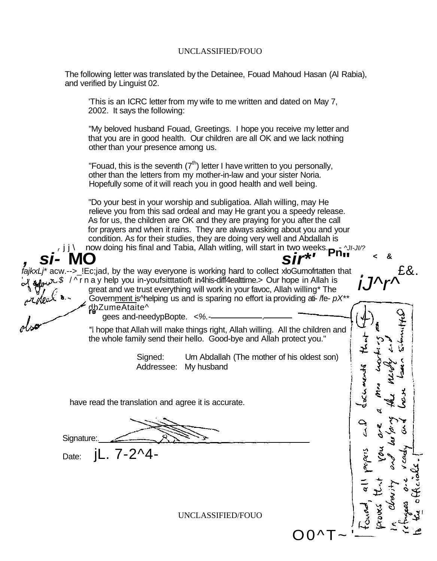#### UNCLASSIFIED/FOUO

The following letter was translated by the Detainee, Fouad Mahoud Hasan (Al Rabia), and verified by Linguist 02.

'This is an ICRC letter from my wife to me written and dated on May 7, 2002. It says the following:

"My beloved husband Fouad, Greetings. I hope you receive my letter and that you are in good health. Our children are all OK and we lack nothing other than your presence among us.

"Fouad, this is the seventh  $(7<sup>th</sup>)$  letter I have written to you personally, other than the letters from my mother-in-law and your sister Noria. Hopefully some of it will reach you in good health and well being.

"Do your best in your worship and subligatioa. Allah willing, may He relieve you from this sad ordeal and may He grant you a speedy release. As for us, the children are OK and they are praying for you after the call for prayers and when it rains. They are always asking about you and your condition. As for their studies, they are doing very well and Abdallah is **, si** will start in two weeks. **Pn**  $\mathbf{a}^{\text{I}}$ ,  $\mathbf{S}$ **i** we were **Pn**  $\mathbf{a}^{\text{I}}$  and  $\mathbf{a}^{\text{II}}$  and Tabia, Allah witling, will start in two weeks. **Pn**  $\mathbf{a}^{\text{II}}$ 

 $f$ ajkxLj\* acw.-->\_!Ec;jad, by the way everyone is working hard to collect xloGumofrtatten that  $\sqrt{s}$  /^ r n a y help you in-youfsitttatioft in4his-diff4ealttime.> Our hope in Allah is great and we trust everything will work in your favoc, Allah willing\* The Government is<sup> $\wedge$ </sup>helping us and is sparing no effort ia providing ati- /fe-  $pX^{**}$ dbZumeAtaite^

gees and-needypBopte. <%.-

hope that Allah will make things right, Allah willing. All the children and the whole family send their hello. Good-bye and Allah protect you."

> Signed: Urn Abdallah (The mother of his oldest son) Addressee: My husband

**< &** 

 $j$ J $\wedge$ r $\wedge$ 

やくて そうさん

 $OO^{\wedge}T\sim$  '-

**\*** £&.

have read the translation and agree it is accurate.

Signature:

Date: **iL. 7-2^4-**

r J J  $\setminus$ 

'

UNCLASSIFIED/FOUO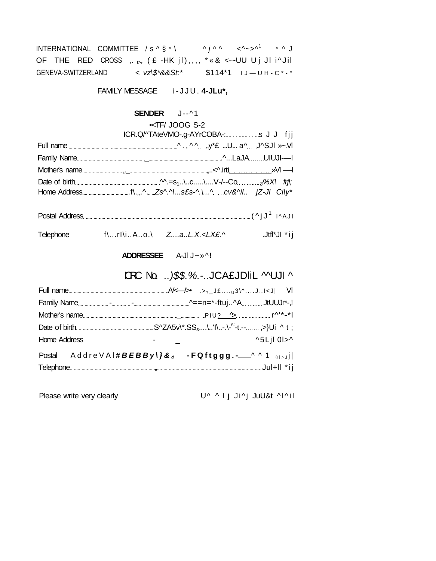|                    | INTERNATIONAL COMMITTEE / $s \wedge \S * \setminus$ |  |                                                          | $\wedge i \wedge \wedge \qquad \wedge \wedge \neg \wedge^1 \qquad \wedge \wedge J$ |  |
|--------------------|-----------------------------------------------------|--|----------------------------------------------------------|------------------------------------------------------------------------------------|--|
|                    |                                                     |  | OF THE RED CROSS $, b, (E-HKjl), T, * k <-UU Uj Jli'Jil$ |                                                                                    |  |
| GENEVA-SWITZERLAND |                                                     |  | < vz\\$*&&St:*                                           | $$114*1$ $J-UH-C*-$                                                                |  |

FAMILY MESSAGE i-JJU. 4-JLu\*,

# SENDER J--^1

KTF/ JOOG S-2

| ICR.Q/^TAteVMO-.g-AYrCOBA-:s J J fjj |
|--------------------------------------|
|                                      |
|                                      |
|                                      |
|                                      |
|                                      |
|                                      |
| ADDRESSEE A-JI J~ »^!                |
| DRC No.  )\$\$.%.-JCA£JDIiL MUJI ^   |

| Postal AddreVAI#BEBByl}& <sub>4</sub> - FQftggg.- <sup>AA1</sup> 01> J |
|------------------------------------------------------------------------|

Please write very clearly

U^ ^ I j Ji^j JuU&t ^I^il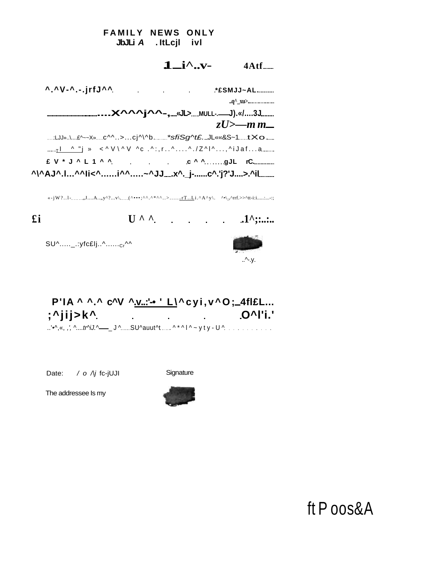**FAMILY NEWS ONLY** JbJLi A . ItLcjI ivl

# $1 - i^{\wedge}$ .... 4Atf........

|                                                   | $zU$ >—m m— |
|---------------------------------------------------|-------------|
| :LJJ».\£^~~X»c^^>cj^\^b*sfiSg^t£JL««&S~1tXo__     |             |
|                                                   |             |
| $E V * J \wedge L 1 \wedge N$ c $\wedge N$ gJL rC |             |
| ^\^AJ^.I^^li<^i^^~^JJx^._j-c^.'j?'J>.^iL          |             |

£i

 $U \wedge \wedge$ 

 $SU^{\wedge}$ .....\_.:yfc£lj..^......cr^^



 $.1^{\wedge}$  :.....

#### P'IA ^ ^.^ c^V ^.v..:'- ' L\^cyi, v^O;\_4fl£L...  $\overline{O^{\wedge}}$   $\overline{O^{\wedge}}$   $\overline{O^{\wedge}}$   $\overline{O^{\wedge}}$  $\mathbf{r}$  . ..'•^, «, ,', ^....tr^iJ.^\_\_\_\_J^......SU^auut^t .....^\*^|^~yty-U^..............

Date:  $\angle$  o  $\angle$  fc-jUJI

Signature

The addressee Is my



ft Poos&A